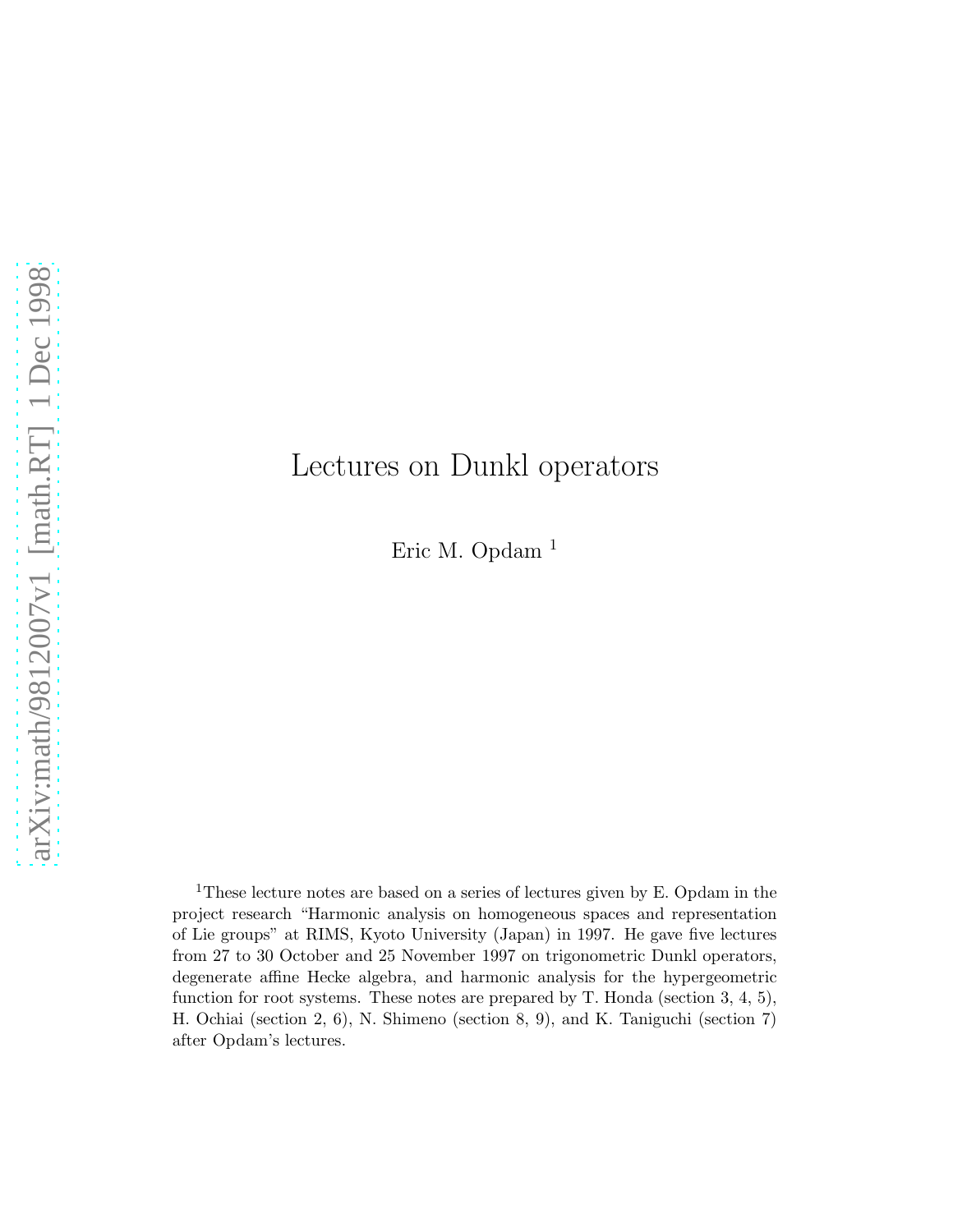Eric M. Opdam <sup>1</sup>

<sup>1</sup>These lecture notes are based on a series of lectures given by E. Opdam in the project research "Harmonic analysis on homogeneous spaces and representation of Lie groups" at RIMS, Kyoto University (Japan) in 1997. He gave five lectures from 27 to 30 October and 25 November 1997 on trigonometric Dunkl operators, degenerate affine Hecke algebra, and harmonic analysis for the hypergeometric function for root systems. These notes are prepared by  $T$ . Honda (section 3, 4, 5), H. Ochiai (section 2, 6), N. Shimeno (section 8, 9), and K. Taniguchi (section 7) after Opdam's lectures.

Lectures on Dunkl operators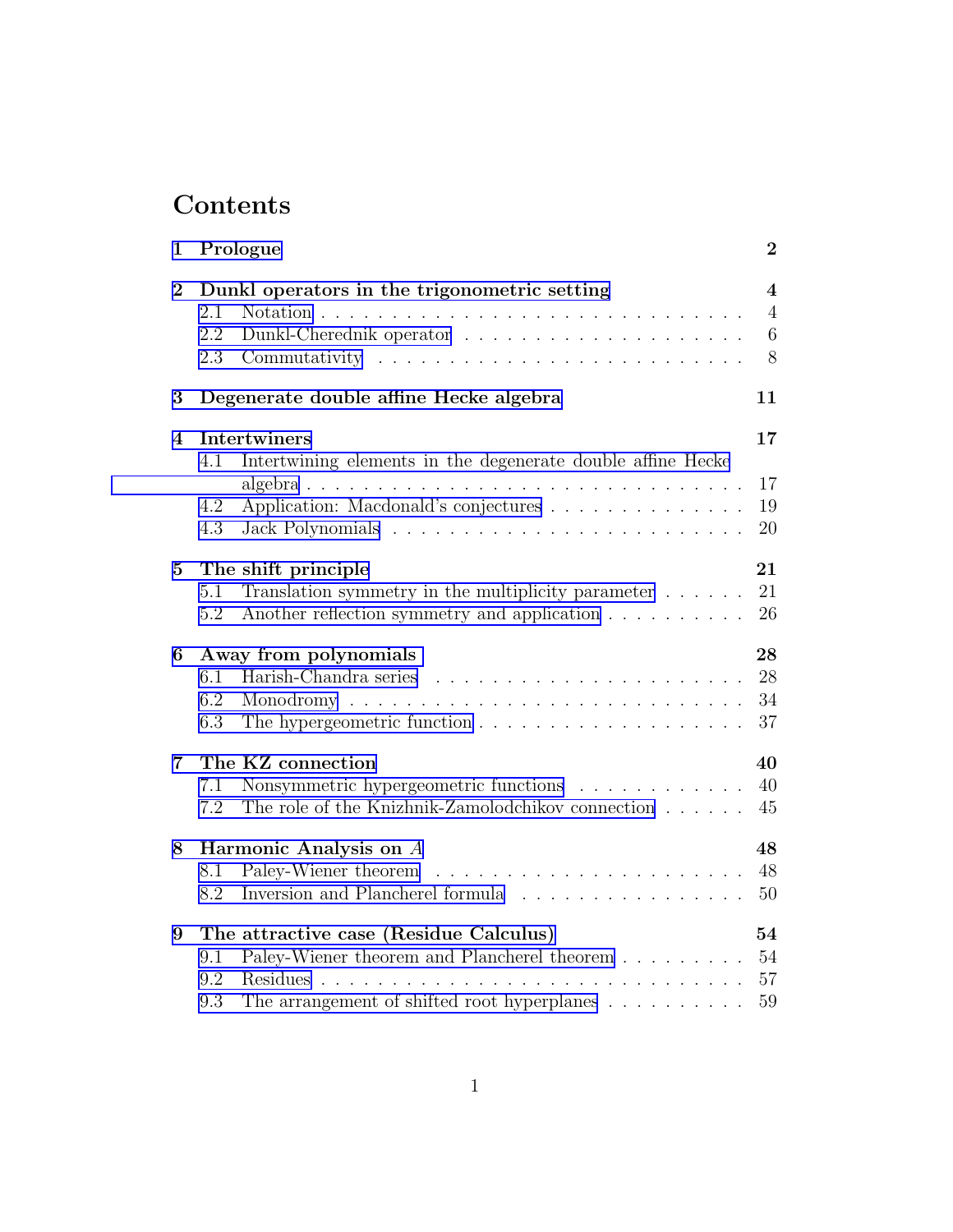# Contents

| $\mathbf{1}$   | Prologue                                                                                                                                                                                                           |                                                  |  |  |  |  |
|----------------|--------------------------------------------------------------------------------------------------------------------------------------------------------------------------------------------------------------------|--------------------------------------------------|--|--|--|--|
| $\overline{2}$ | Dunkl operators in the trigonometric setting<br>2.1<br>2.2<br>2.3                                                                                                                                                  | $\overline{4}$<br>$\overline{4}$<br>$\,6\,$<br>8 |  |  |  |  |
| 3              | Degenerate double affine Hecke algebra                                                                                                                                                                             | 11                                               |  |  |  |  |
| 4              | <b>Intertwiners</b>                                                                                                                                                                                                |                                                  |  |  |  |  |
|                | 4.1<br>Intertwining elements in the degenerate double affine Hecke<br>$algebra \ldots \ldots \ldots \ldots \ldots \ldots \ldots \ldots \ldots \ldots \ldots$<br>Application: Macdonald's conjectures<br>4.2<br>4.3 | 17<br>19<br>20                                   |  |  |  |  |
| $\bf{5}$       | The shift principle<br>21                                                                                                                                                                                          |                                                  |  |  |  |  |
|                | Translation symmetry in the multiplicity parameter<br>5.1                                                                                                                                                          | 21                                               |  |  |  |  |
|                | Another reflection symmetry and application<br>5.2                                                                                                                                                                 | 26                                               |  |  |  |  |
| 6              | Away from polynomials                                                                                                                                                                                              |                                                  |  |  |  |  |
|                | Harish-Chandra series<br>6.1                                                                                                                                                                                       | 28                                               |  |  |  |  |
|                | 6.2                                                                                                                                                                                                                | 34                                               |  |  |  |  |
|                | 6.3                                                                                                                                                                                                                | 37                                               |  |  |  |  |
| 7              | The KZ connection                                                                                                                                                                                                  | 40                                               |  |  |  |  |
|                | Nonsymmetric hypergeometric functions<br>7.1                                                                                                                                                                       | 40                                               |  |  |  |  |
|                | The role of the Knizhnik-Zamolodchikov connection $\hfill\ldots\ldots\ldots$<br>7.2                                                                                                                                | 45                                               |  |  |  |  |
| 8              | Harmonic Analysis on A                                                                                                                                                                                             | 48                                               |  |  |  |  |
|                | Paley-Wiener theorem<br>8.1                                                                                                                                                                                        | 48                                               |  |  |  |  |
|                | Inversion and Plancherel formula $\ldots \ldots \ldots \ldots \ldots$<br>8.2                                                                                                                                       | 50                                               |  |  |  |  |
| 9              | The attractive case (Residue Calculus)                                                                                                                                                                             | 54                                               |  |  |  |  |
|                | Paley-Wiener theorem and Plancherel theorem<br>9.1                                                                                                                                                                 | 54                                               |  |  |  |  |
|                | Residues.<br>9.2<br>.<br>and a control                                                                                                                                                                             | 57                                               |  |  |  |  |
|                | The arrangement of shifted root hyperplanes $\dots \dots \dots$<br>9.3                                                                                                                                             | 59                                               |  |  |  |  |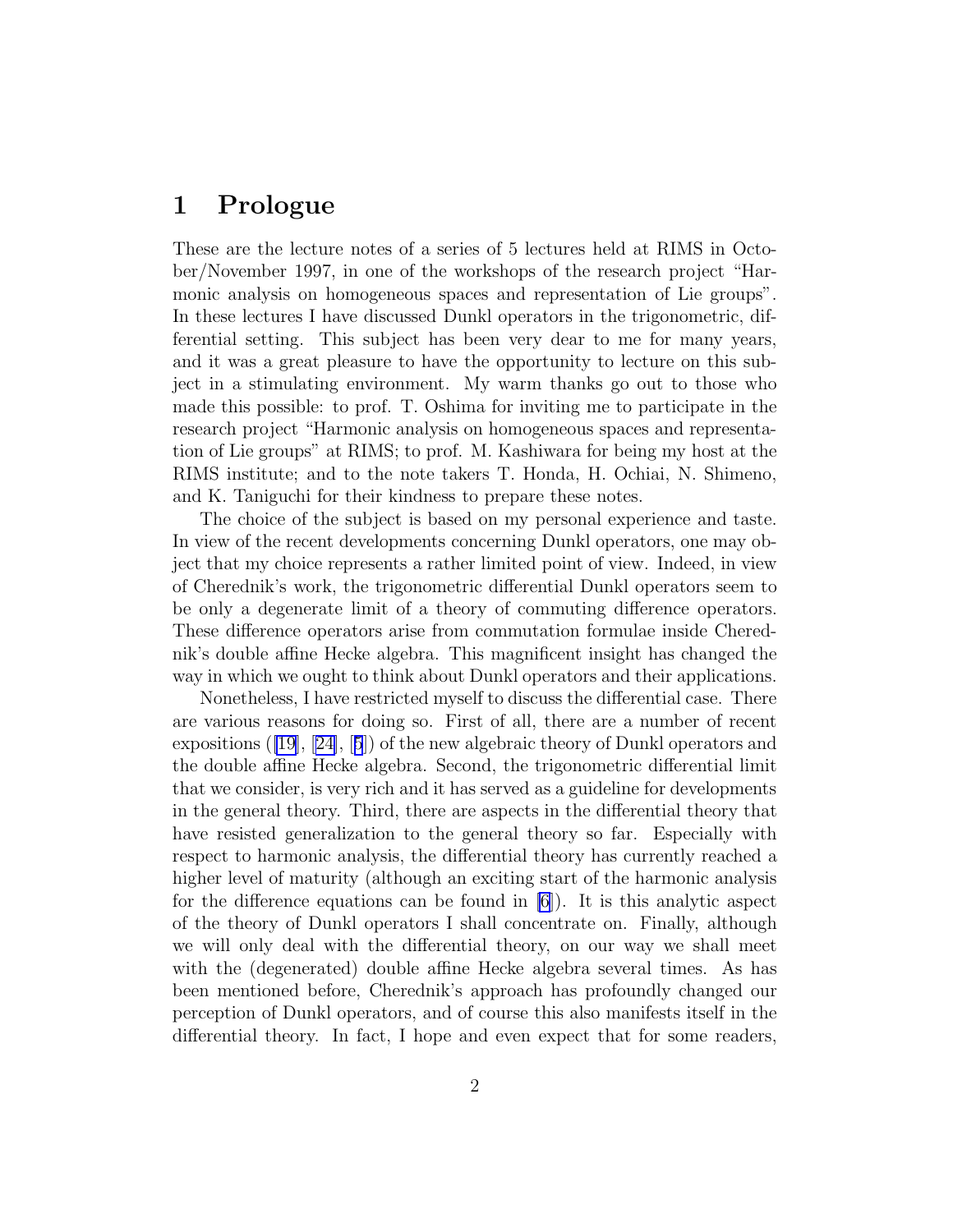# <span id="page-2-0"></span>1 Prologue

These are the lecture notes of a series of 5 lectures held at RIMS in October/November 1997, in one of the workshops of the research project "Harmonic analysis on homogeneous spaces and representation of Lie groups". In these lectures I have discussed Dunkl operators in the trigonometric, differential setting. This subject has been very dear to me for many years, and it was a great pleasure to have the opportunity to lecture on this subject in a stimulating environment. My warm thanks go out to those who made this possible: to prof. T. Oshima for inviting me to participate in the research project "Harmonic analysis on homogeneous spaces and representation of Lie groups" at RIMS; to prof. M. Kashiwara for being my host at the RIMS institute; and to the note takers T. Honda, H. Ochiai, N. Shimeno, and K. Taniguchi for their kindness to prepare these notes.

The choice of the subject is based on my personal experience and taste. In view of the recent developments concerning Dunkl operators, one may object that my choice represents a rather limited point of view. Indeed, in view of Cherednik's work, the trigonometric differential Dunkl operators seem to be only a degenerate limit of a theory of commuting difference operators. These difference operators arise from commutation formulae inside Cherednik's double affine Hecke algebra. This magnificent insight has changed the way in which we ought to think about Dunkl operators and their applications.

Nonetheless, I have restricted myself to discuss the differential case. There are various reasons for doing so. First of all, there are a number of recent expositions ([\[19\]](#page-64-0),[[24\]](#page-65-0),[[5](#page-63-0)]) of the new algebraic theory of Dunkl operators and the double affine Hecke algebra. Second, the trigonometric differential limit that we consider, is very rich and it has served as a guideline for developments in the general theory. Third, there are aspects in the differential theory that have resisted generalization to the general theory so far. Especially with respect to harmonic analysis, the differential theory has currently reached a higher level of maturity (although an exciting start of the harmonic analysis for the difference equations can be found in [\[6](#page-63-0)]). It is this analytic aspect of the theory of Dunkl operators I shall concentrate on. Finally, although we will only deal with the differential theory, on our way we shall meet with the (degenerated) double affine Hecke algebra several times. As has been mentioned before, Cherednik's approach has profoundly changed our perception of Dunkl operators, and of course this also manifests itself in the differential theory. In fact, I hope and even expect that for some readers,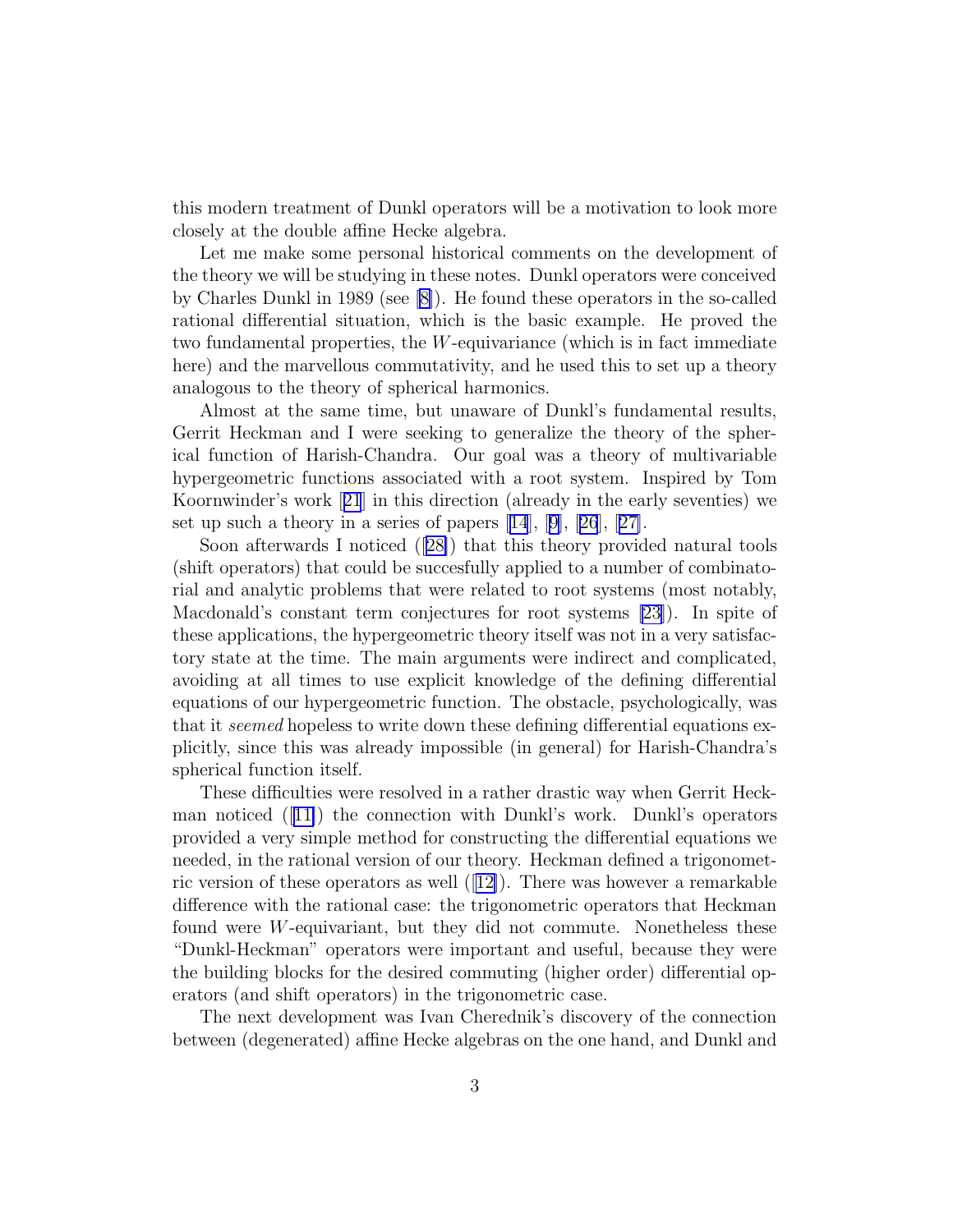this modern treatment of Dunkl operators will be a motivation to look more closely at the double affine Hecke algebra.

Let me make some personal historical comments on the development of the theory we will be studying in these notes. Dunkl operators were conceived by Charles Dunkl in 1989 (see[[8\]](#page-63-0)). He found these operators in the so-called rational differential situation, which is the basic example. He proved the two fundamental properties, the W-equivariance (which is in fact immediate here) and the marvellous commutativity, and he used this to set up a theory analogous to the theory of spherical harmonics.

Almost at the same time, but unaware of Dunkl's fundamental results, Gerrit Heckman and I were seeking to generalize the theory of the spherical function of Harish-Chandra. Our goal was a theory of multivariable hypergeometric functions associated with a root system. Inspired by Tom Koornwinder's work[[21](#page-64-0)] in this direction (already in the early seventies) we setup such a theory in a series of papers  $[14]$  $[14]$  $[14]$ ,  $[9]$ ,  $[26]$  $[26]$  $[26]$ ,  $[27]$  $[27]$ .

Soon afterwards I noticed ([[28\]](#page-65-0)) that this theory provided natural tools (shift operators) that could be succesfully applied to a number of combinatorial and analytic problems that were related to root systems (most notably, Macdonald's constant term conjectures for root systems [\[23\]](#page-65-0)). In spite of these applications, the hypergeometric theory itself was not in a very satisfactory state at the time. The main arguments were indirect and complicated, avoiding at all times to use explicit knowledge of the defining differential equations of our hypergeometric function. The obstacle, psychologically, was that it seemed hopeless to write down these defining differential equations explicitly, since this was already impossible (in general) for Harish-Chandra's spherical function itself.

These difficulties were resolved in a rather drastic way when Gerrit Heckman noticed ([[11\]](#page-64-0)) the connection with Dunkl's work. Dunkl's operators provided a very simple method for constructing the differential equations we needed, in the rational version of our theory. Heckman defined a trigonometric version of these operators as well  $([12])$  $([12])$  $([12])$ . There was however a remarkable difference with the rational case: the trigonometric operators that Heckman found were W-equivariant, but they did not commute. Nonetheless these "Dunkl-Heckman" operators were important and useful, because they were the building blocks for the desired commuting (higher order) differential operators (and shift operators) in the trigonometric case.

The next development was Ivan Cherednik's discovery of the connection between (degenerated) affine Hecke algebras on the one hand, and Dunkl and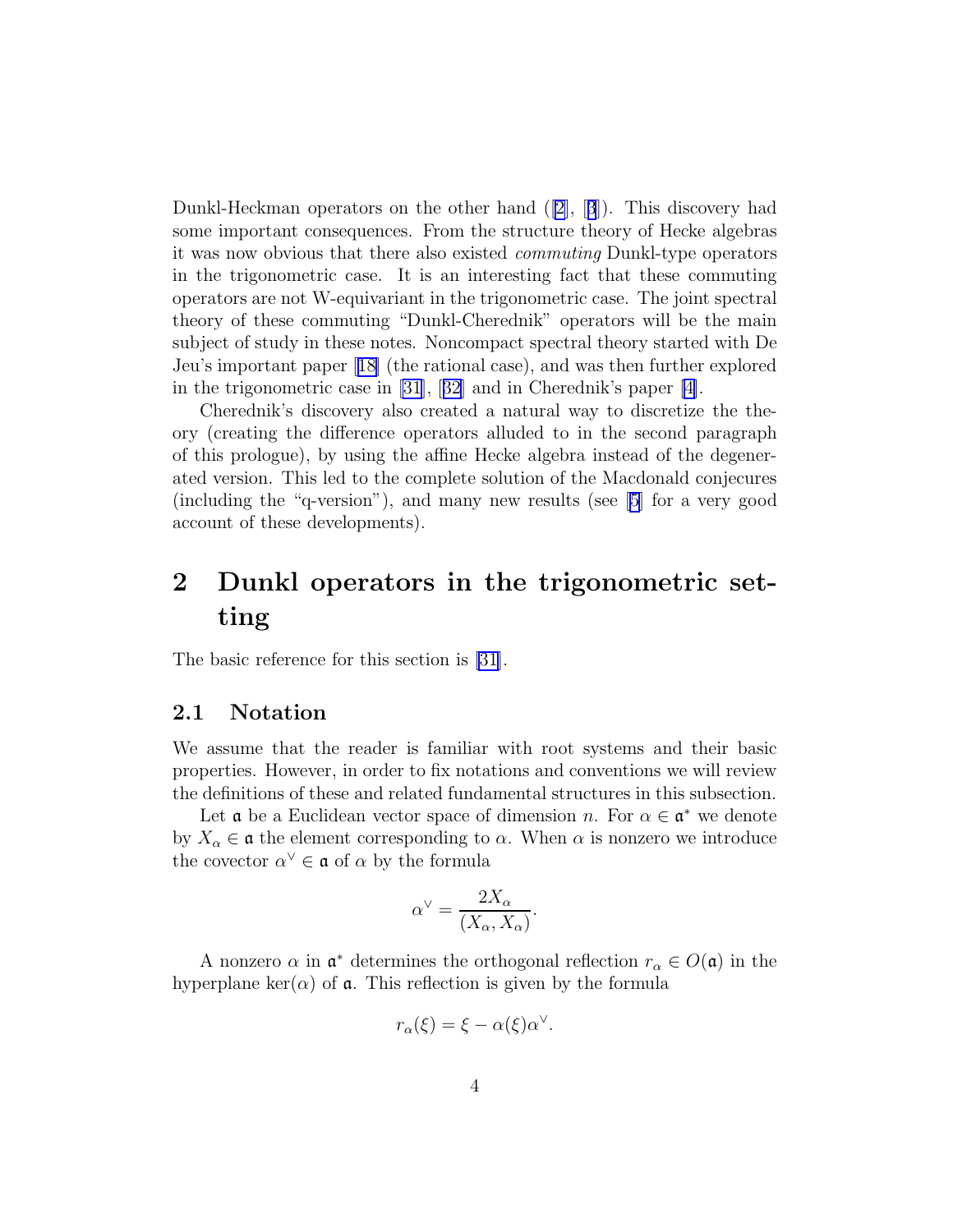<span id="page-4-0"></span>Dunkl-Heckmanoperators on the other hand  $([2], [3])$  $([2], [3])$  $([2], [3])$  $([2], [3])$  $([2], [3])$ . This discovery had some important consequences. From the structure theory of Hecke algebras it was now obvious that there also existed commuting Dunkl-type operators in the trigonometric case. It is an interesting fact that these commuting operators are not W-equivariant in the trigonometric case. The joint spectral theory of these commuting "Dunkl-Cherednik" operators will be the main subject of study in these notes. Noncompact spectral theory started with De Jeu's important paper[[18\]](#page-64-0) (the rational case), and was then further explored in the trigonometric case in [\[31\]](#page-65-0),[[32](#page-65-0)] and in Cherednik's paper [\[4\]](#page-63-0).

Cherednik's discovery also created a natural way to discretize the theory (creating the difference operators alluded to in the second paragraph of this prologue), by using the affine Hecke algebra instead of the degenerated version. This led to the complete solution of the Macdonald conjecures (including the "q-version"), and many new results (see[[5\]](#page-63-0) for a very good account of these developments).

# 2 Dunkl operators in the trigonometric setting

The basic reference for this section is [\[31\]](#page-65-0).

#### 2.1 Notation

We assume that the reader is familiar with root systems and their basic properties. However, in order to fix notations and conventions we will review the definitions of these and related fundamental structures in this subsection.

Let  $\mathfrak a$  be a Euclidean vector space of dimension n. For  $\alpha \in \mathfrak a^*$  we denote by  $X_\alpha \in \mathfrak{a}$  the element corresponding to  $\alpha$ . When  $\alpha$  is nonzero we introduce the covector  $\alpha^{\vee} \in \mathfrak{a}$  of  $\alpha$  by the formula

$$
\alpha^{\vee} = \frac{2X_{\alpha}}{(X_{\alpha}, X_{\alpha})}.
$$

A nonzero  $\alpha$  in  $\mathfrak{a}^*$  determines the orthogonal reflection  $r_{\alpha} \in O(\mathfrak{a})$  in the hyperplane ker( $\alpha$ ) of **a**. This reflection is given by the formula

$$
r_{\alpha}(\xi) = \xi - \alpha(\xi)\alpha^{\vee}.
$$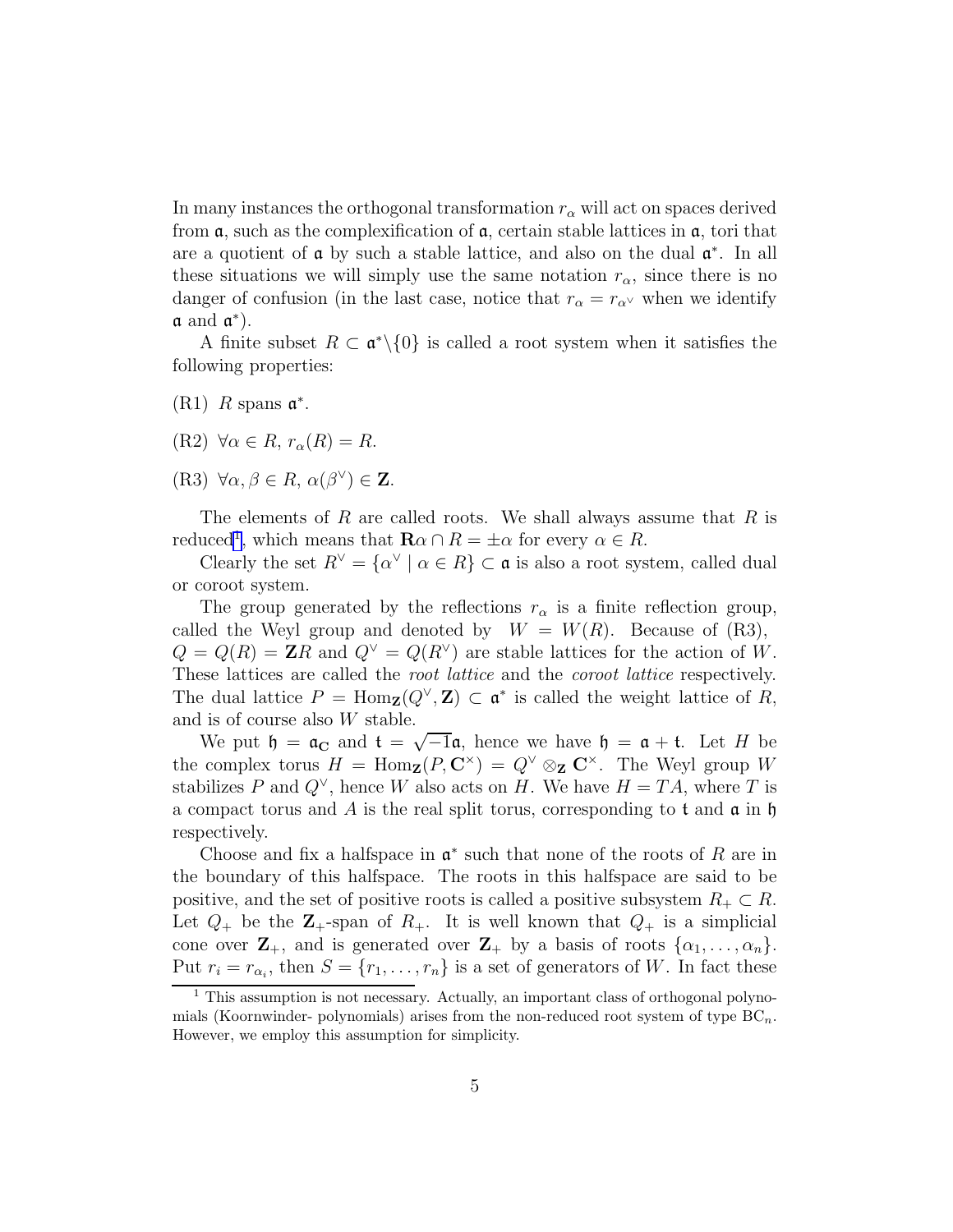In many instances the orthogonal transformation  $r_{\alpha}$  will act on spaces derived from  $\alpha$ , such as the complexification of  $\alpha$ , certain stable lattices in  $\alpha$ , tori that are a quotient of  $\alpha$  by such a stable lattice, and also on the dual  $\alpha^*$ . In all these situations we will simply use the same notation  $r_{\alpha}$ , since there is no danger of confusion (in the last case, notice that  $r_{\alpha} = r_{\alpha} \vee$  when we identify  $\mathfrak{a}$  and  $\mathfrak{a}^*$ ).

A finite subset  $R \subset \mathfrak{a}^*\backslash\{0\}$  is called a root system when it satisfies the following properties:

- $(R1)$  R spans  $\mathfrak{a}^*$ .
- (R2)  $\forall \alpha \in R$ ,  $r_{\alpha}(R) = R$ .
- (R3)  $\forall \alpha, \beta \in R, \alpha(\beta^{\vee}) \in \mathbf{Z}.$

The elements of R are called roots. We shall always assume that R is reduced<sup>1</sup>, which means that  $\mathbf{R}\alpha \cap R = \pm \alpha$  for every  $\alpha \in R$ .

Clearly the set  $R^{\vee} = {\alpha^{\vee} \mid \alpha \in R} \subset \mathfrak{a}$  is also a root system, called dual or coroot system.

The group generated by the reflections  $r_{\alpha}$  is a finite reflection group, called the Weyl group and denoted by  $W = W(R)$ . Because of  $(R3)$ ,  $Q = Q(R) = \mathbf{Z}R$  and  $Q^{\vee} = Q(R^{\vee})$  are stable lattices for the action of W. These lattices are called the root lattice and the coroot lattice respectively. The dual lattice  $P = \text{Hom}_{\mathbf{Z}}(Q^{\vee}, \mathbf{Z}) \subset \mathfrak{a}^*$  is called the weight lattice of R, and is of course also W stable.

We put  $\mathfrak{h} = \mathfrak{a}_{\mathbf{C}}$  and  $\mathfrak{t} = \sqrt{-1}\mathfrak{a}$ , hence we have  $\mathfrak{h} = \mathfrak{a} + \mathfrak{t}$ . Let H be the complex torus  $H = \text{Hom}_{\mathbf{Z}}(P, \mathbf{C}^{\times}) = Q^{\vee} \otimes_{\mathbf{Z}} \mathbf{C}^{\times}$ . The Weyl group W stabilizes P and  $Q^{\vee}$ , hence W also acts on H. We have  $H = TA$ , where T is a compact torus and A is the real split torus, corresponding to t and  $\alpha$  in  $\mathfrak h$ respectively.

Choose and fix a halfspace in  $\mathfrak{a}^*$  such that none of the roots of R are in the boundary of this halfspace. The roots in this halfspace are said to be positive, and the set of positive roots is called a positive subsystem  $R_+ \subset R$ . Let  $Q_+$  be the  $\mathbb{Z}_+$ -span of  $R_+$ . It is well known that  $Q_+$  is a simplicial cone over  $\mathbf{Z}_+$ , and is generated over  $\mathbf{Z}_+$  by a basis of roots  $\{\alpha_1, \ldots, \alpha_n\}$ . Put  $r_i = r_{\alpha_i}$ , then  $S = \{r_1, \ldots, r_n\}$  is a set of generators of W. In fact these

<sup>&</sup>lt;sup>1</sup> This assumption is not necessary. Actually, an important class of orthogonal polynomials (Koornwinder- polynomials) arises from the non-reduced root system of type  $BC_n$ . However, we employ this assumption for simplicity.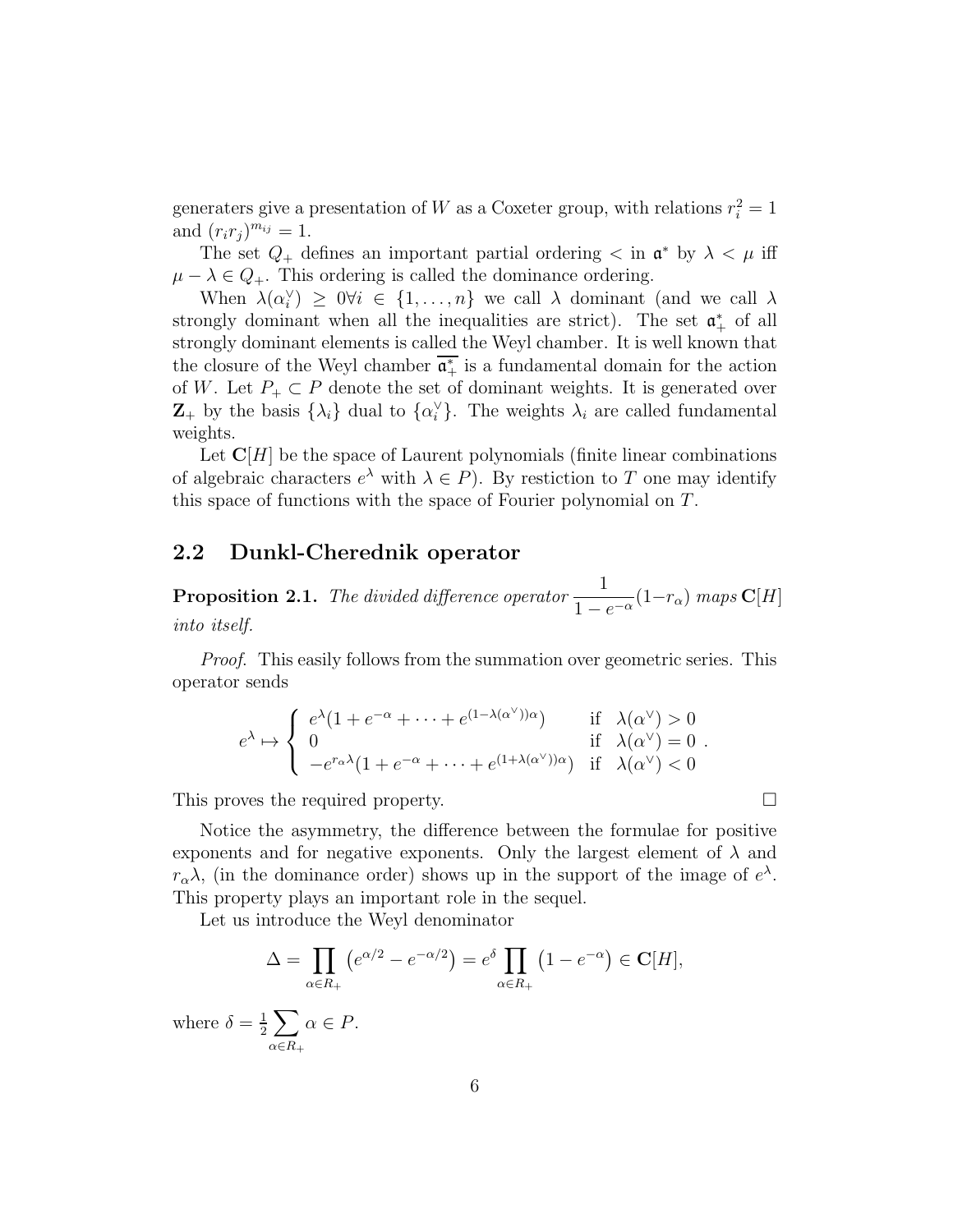<span id="page-6-0"></span>generaters give a presentation of W as a Coxeter group, with relations  $r_i^2 = 1$ and  $(r_i r_j)^{m_{ij}} = 1$ .

The set  $Q_+$  defines an important partial ordering  $\lt$  in  $\mathfrak{a}^*$  by  $\lambda \lt \mu$  iff  $\mu - \lambda \in Q_+$ . This ordering is called the dominance ordering.

When  $\lambda(\alpha_i^{\vee}) \geq 0 \forall i \in \{1, ..., n\}$  we call  $\lambda$  dominant (and we call  $\lambda$ strongly dominant when all the inequalities are strict). The set  $\mathfrak{a}^*_+$  of all strongly dominant elements is called the Weyl chamber. It is well known that the closure of the Weyl chamber  $\overline{\mathfrak{a}^*_{+}}$  is a fundamental domain for the action of W. Let  $P_+ \subset P$  denote the set of dominant weights. It is generated over  $\mathbf{Z}_{+}$  by the basis  $\{\lambda_{i}\}\$  dual to  $\{\alpha_{i}^{\vee}\}\$ . The weights  $\lambda_{i}$  are called fundamental weights.

Let  $\mathbb{C}[H]$  be the space of Laurent polynomials (finite linear combinations of algebraic characters  $e^{\lambda}$  with  $\lambda \in P$ ). By restiction to T one may identify this space of functions with the space of Fourier polynomial on T.

### 2.2 Dunkl-Cherednik operator

**Proposition 2.1.** The divided difference operator  $\frac{1}{1}$  $\frac{1}{1-e^{-\alpha}}(1-r_{\alpha})$  maps  $\mathbf{C}[H]$ into itself.

Proof. This easily follows from the summation over geometric series. This operator sends

$$
e^{\lambda} \mapsto \begin{cases} e^{\lambda} (1 + e^{-\alpha} + \dots + e^{(1 - \lambda(\alpha^{\vee}))\alpha}) & \text{if } \lambda(\alpha^{\vee}) > 0 \\ 0 & \text{if } \lambda(\alpha^{\vee}) = 0 \\ -e^{r_{\alpha}\lambda} (1 + e^{-\alpha} + \dots + e^{(1 + \lambda(\alpha^{\vee}))\alpha}) & \text{if } \lambda(\alpha^{\vee}) < 0 \end{cases}.
$$

This proves the required property.

Notice the asymmetry, the difference between the formulae for positive exponents and for negative exponents. Only the largest element of  $\lambda$  and  $r_{\alpha}\lambda$ , (in the dominance order) shows up in the support of the image of  $e^{\lambda}$ . This property plays an important role in the sequel.

Let us introduce the Weyl denominator

$$
\Delta = \prod_{\alpha \in R_+} \left( e^{\alpha/2} - e^{-\alpha/2} \right) = e^{\delta} \prod_{\alpha \in R_+} \left( 1 - e^{-\alpha} \right) \in \mathbf{C}[H],
$$
  
=  $\frac{1}{2} \sum \alpha \in P.$ 

where  $\delta$ 2  $\alpha \in R_+$  $\alpha \in P$ .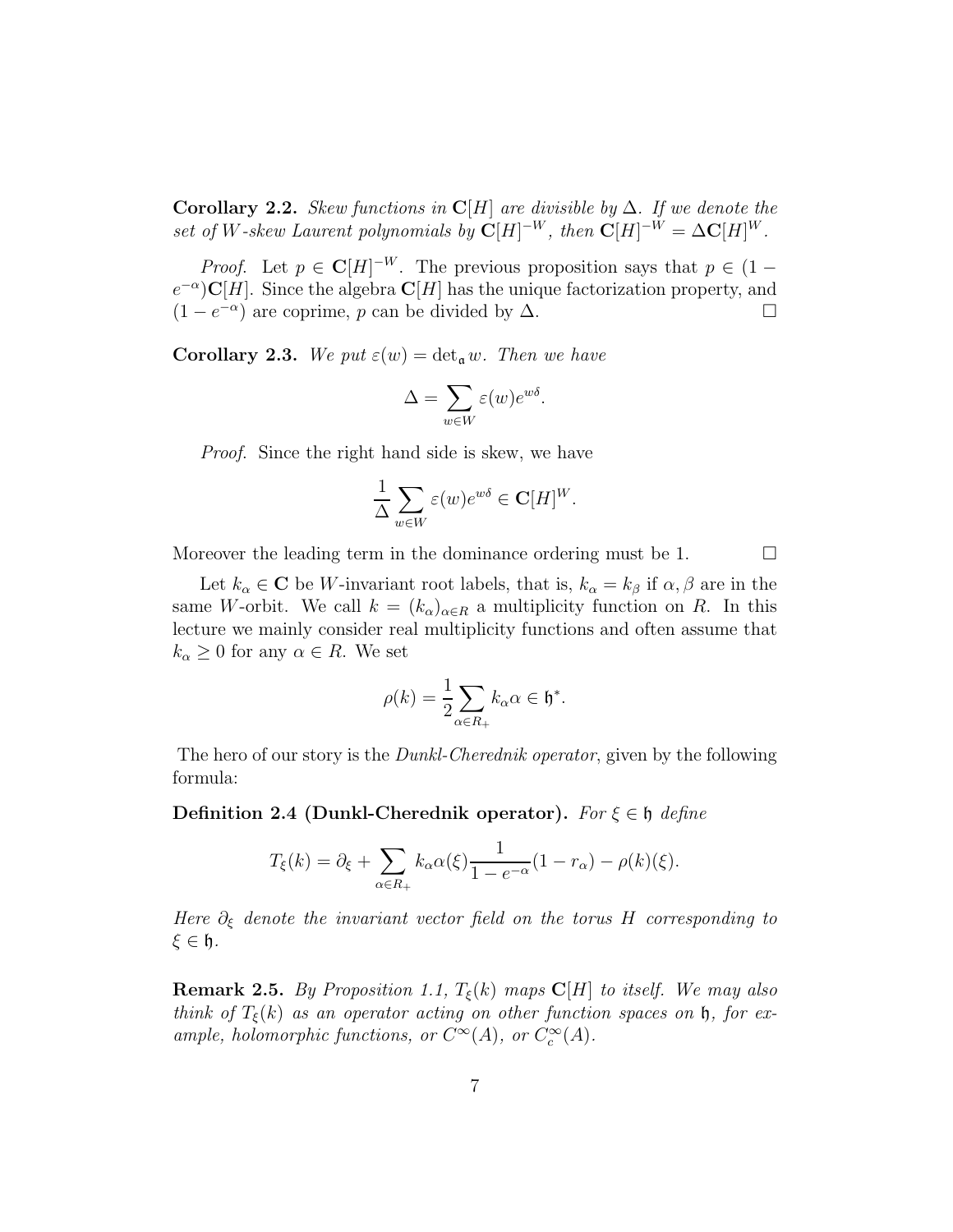<span id="page-7-0"></span>Corollary 2.2. Skew functions in C[H] are divisible by  $\Delta$ . If we denote the set of W-skew Laurent polynomials by  $\mathbf{C}[H]^{-W}$ , then  $\mathbf{C}[H]^{-W} = \Delta \mathbf{C}[H]^W$ .

*Proof.* Let  $p \in \mathbb{C}[H]^{-W}$ . The previous proposition says that  $p \in (1-\epsilon)$  $e^{-\alpha}$ )**C**[H]. Since the algebra **C**[H] has the unique factorization property, and  $(1 - e^{-\alpha})$  are coprime, *p* can be divided by  $\Delta$ . □

**Corollary 2.3.** We put  $\varepsilon(w) = \det_{\mathfrak{a}} w$ . Then we have

$$
\Delta = \sum_{w \in W} \varepsilon(w) e^{w\delta}.
$$

Proof. Since the right hand side is skew, we have

$$
\frac{1}{\Delta} \sum_{w \in W} \varepsilon(w) e^{w\delta} \in \mathbf{C}[H]^W.
$$

Moreover the leading term in the dominance ordering must be 1.  $\Box$ 

Let  $k_{\alpha} \in \mathbb{C}$  be W-invariant root labels, that is,  $k_{\alpha} = k_{\beta}$  if  $\alpha, \beta$  are in the same W-orbit. We call  $k = (k_{\alpha})_{\alpha \in R}$  a multiplicity function on R. In this lecture we mainly consider real multiplicity functions and often assume that  $k_{\alpha} \geq 0$  for any  $\alpha \in R$ . We set

$$
\rho(k) = \frac{1}{2} \sum_{\alpha \in R_+} k_{\alpha} \alpha \in \mathfrak{h}^*.
$$

The hero of our story is the *Dunkl-Cherednik operator*, given by the following formula:

Definition 2.4 (Dunkl-Cherednik operator). For  $\xi \in \mathfrak{h}$  define

$$
T_{\xi}(k) = \partial_{\xi} + \sum_{\alpha \in R_+} k_{\alpha} \alpha(\xi) \frac{1}{1 - e^{-\alpha}} (1 - r_{\alpha}) - \rho(k)(\xi).
$$

Here  $\partial_{\xi}$  denote the invariant vector field on the torus H corresponding to ξ ∈ h.

**Remark 2.5.** By Proposition 1.1,  $T_{\xi}(k)$  maps  $\mathbb{C}[H]$  to itself. We may also think of  $T_{\xi}(k)$  as an operator acting on other function spaces on b, for example, holomorphic functions, or  $C^{\infty}(A)$ , or  $C_c^{\infty}(A)$ .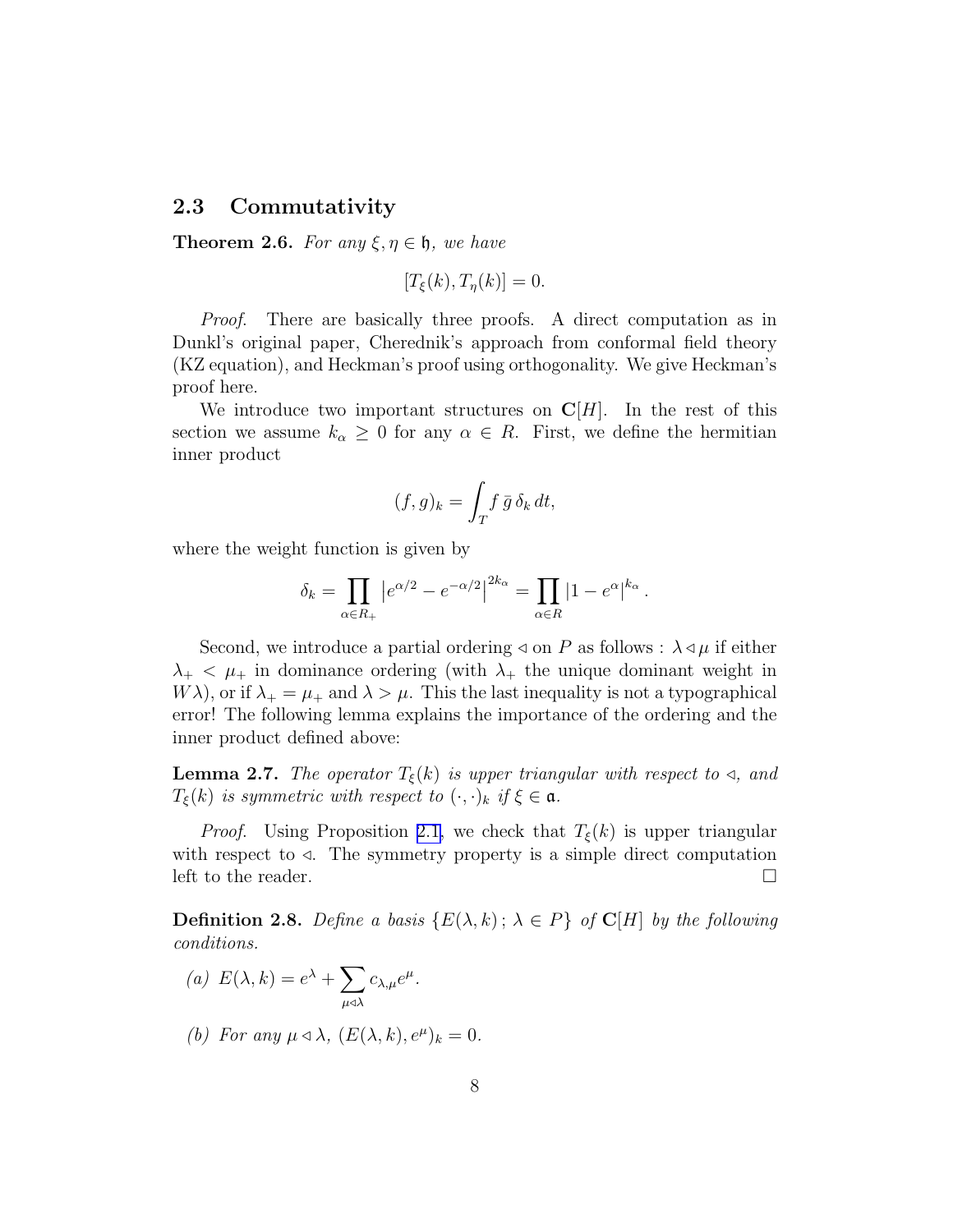#### <span id="page-8-0"></span>2.3 Commutativity

**Theorem 2.6.** For any  $\xi, \eta \in \mathfrak{h}$ , we have

$$
[T_{\xi}(k), T_{\eta}(k)] = 0.
$$

Proof. There are basically three proofs. A direct computation as in Dunkl's original paper, Cherednik's approach from conformal field theory (KZ equation), and Heckman's proof using orthogonality. We give Heckman's proof here.

We introduce two important structures on  $\mathbb{C}[H]$ . In the rest of this section we assume  $k_{\alpha} \geq 0$  for any  $\alpha \in R$ . First, we define the hermitian inner product

$$
(f,g)_k = \int_T f \,\bar{g} \,\delta_k \,dt,
$$

where the weight function is given by

$$
\delta_k = \prod_{\alpha \in R_+} \left| e^{\alpha/2} - e^{-\alpha/2} \right|^{2k_\alpha} = \prod_{\alpha \in R} \left| 1 - e^{\alpha} \right|^{k_\alpha}.
$$

Second, we introduce a partial ordering  $\triangle$  on P as follows :  $\lambda \triangleleft \mu$  if either  $\lambda_{+} < \mu_{+}$  in dominance ordering (with  $\lambda_{+}$  the unique dominant weight in  $W\lambda$ , or if  $\lambda_+ = \mu_+$  and  $\lambda > \mu$ . This the last inequality is not a typographical error! The following lemma explains the importance of the ordering and the inner product defined above:

**Lemma 2.7.** The operator  $T_{\xi}(k)$  is upper triangular with respect to  $\triangleleft$ , and  $T_{\xi}(k)$  is symmetric with respect to  $(\cdot, \cdot)_k$  if  $\xi \in \mathfrak{a}$ .

*Proof.* Using Proposition [2.1,](#page-6-0) we check that  $T_{\xi}(k)$  is upper triangular with respect to  $\triangleleft$ . The symmetry property is a simple direct computation left to the reader.  $\Box$ 

**Definition 2.8.** Define a basis  $\{E(\lambda, k) : \lambda \in P\}$  of  $\mathbb{C}[H]$  by the following conditions.

(a) 
$$
E(\lambda, k) = e^{\lambda} + \sum_{\mu \triangleleft \lambda} c_{\lambda, \mu} e^{\mu}
$$
.

(b) For any  $\mu \triangleleft \lambda$ ,  $(E(\lambda, k), e^{\mu})_k = 0$ .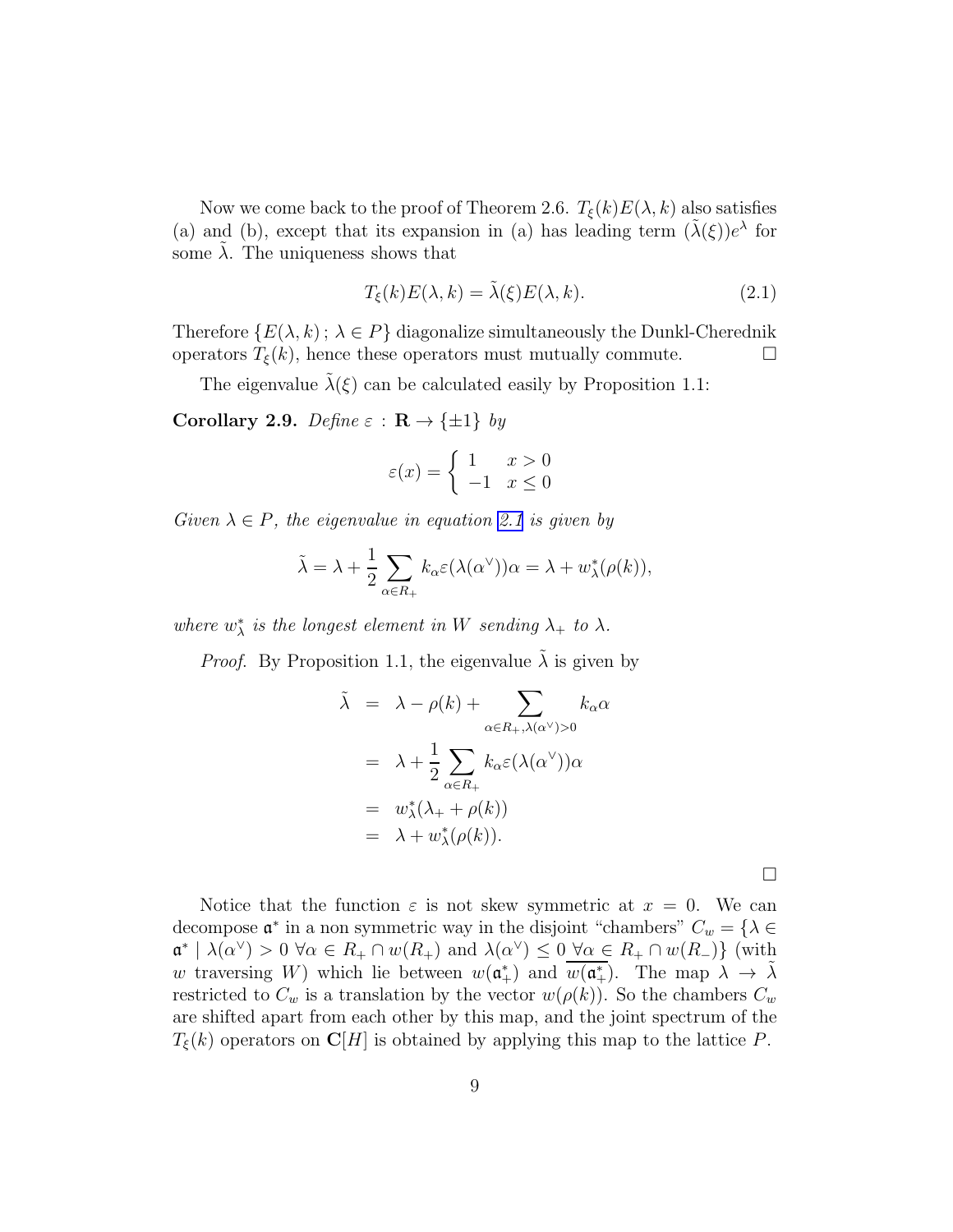<span id="page-9-0"></span>Now we come back to the proof of Theorem 2.6.  $T_{\xi}(k)E(\lambda, k)$  also satisfies (a) and (b), except that its expansion in (a) has leading term  $(\tilde{\lambda}(\xi))e^{\lambda}$  for some  $\lambda$ . The uniqueness shows that

$$
T_{\xi}(k)E(\lambda,k) = \tilde{\lambda}(\xi)E(\lambda,k).
$$
\n(2.1)

Therefore  $\{E(\lambda, k) : \lambda \in P\}$  diagonalize simultaneously the Dunkl-Cherednik operators  $T_{\epsilon}(k)$ , hence these operators must mutually commute. operators  $T_{\xi}(k)$ , hence these operators must mutually commute.

The eigenvalue  $\lambda(\xi)$  can be calculated easily by Proposition 1.1:

Corollary 2.9.  $Define \varepsilon : \mathbf{R} \to \{\pm 1\}$  by

$$
\varepsilon(x) = \begin{cases} 1 & x > 0 \\ -1 & x \le 0 \end{cases}
$$

Given  $\lambda \in P$ , the eigenvalue in equation 2.1 is given by

$$
\tilde{\lambda} = \lambda + \frac{1}{2} \sum_{\alpha \in R_+} k_{\alpha} \varepsilon (\lambda(\alpha^{\vee})) \alpha = \lambda + w_{\lambda}^*(\rho(k)),
$$

where  $w_{\lambda}^{*}$  is the longest element in W sending  $\lambda_{+}$  to  $\lambda$ .

*Proof.* By Proposition 1.1, the eigenvalue  $\lambda$  is given by

$$
\tilde{\lambda} = \lambda - \rho(k) + \sum_{\alpha \in R_+, \lambda(\alpha^{\vee}) > 0} k_{\alpha} \alpha
$$
\n
$$
= \lambda + \frac{1}{2} \sum_{\alpha \in R_+} k_{\alpha} \varepsilon(\lambda(\alpha^{\vee})) \alpha
$$
\n
$$
= w_{\lambda}^{*}(\lambda_{+} + \rho(k))
$$
\n
$$
= \lambda + w_{\lambda}^{*}(\rho(k)).
$$

 $\Box$ 

Notice that the function  $\varepsilon$  is not skew symmetric at  $x = 0$ . We can decompose  $\mathfrak{a}^*$  in a non symmetric way in the disjoint "chambers"  $C_w = \{ \lambda \in$  $\mathfrak{a}^* \mid \lambda(\alpha^{\vee}) > 0 \,\forall \alpha \in R_+ \cap w(R_+) \text{ and } \lambda(\alpha^{\vee}) \leq 0 \,\forall \alpha \in R_+ \cap w(R_-) \}$  (with w traversing W) which lie between  $w(\mathfrak{a}^*_+)$  and  $w(\mathfrak{a}^*_+)$ . The map  $\lambda \to \tilde{\lambda}$ restricted to  $C_w$  is a translation by the vector  $w(\rho(k))$ . So the chambers  $C_w$ are shifted apart from each other by this map, and the joint spectrum of the  $T_{\xi}(k)$  operators on  $\mathbb{C}[H]$  is obtained by applying this map to the lattice P.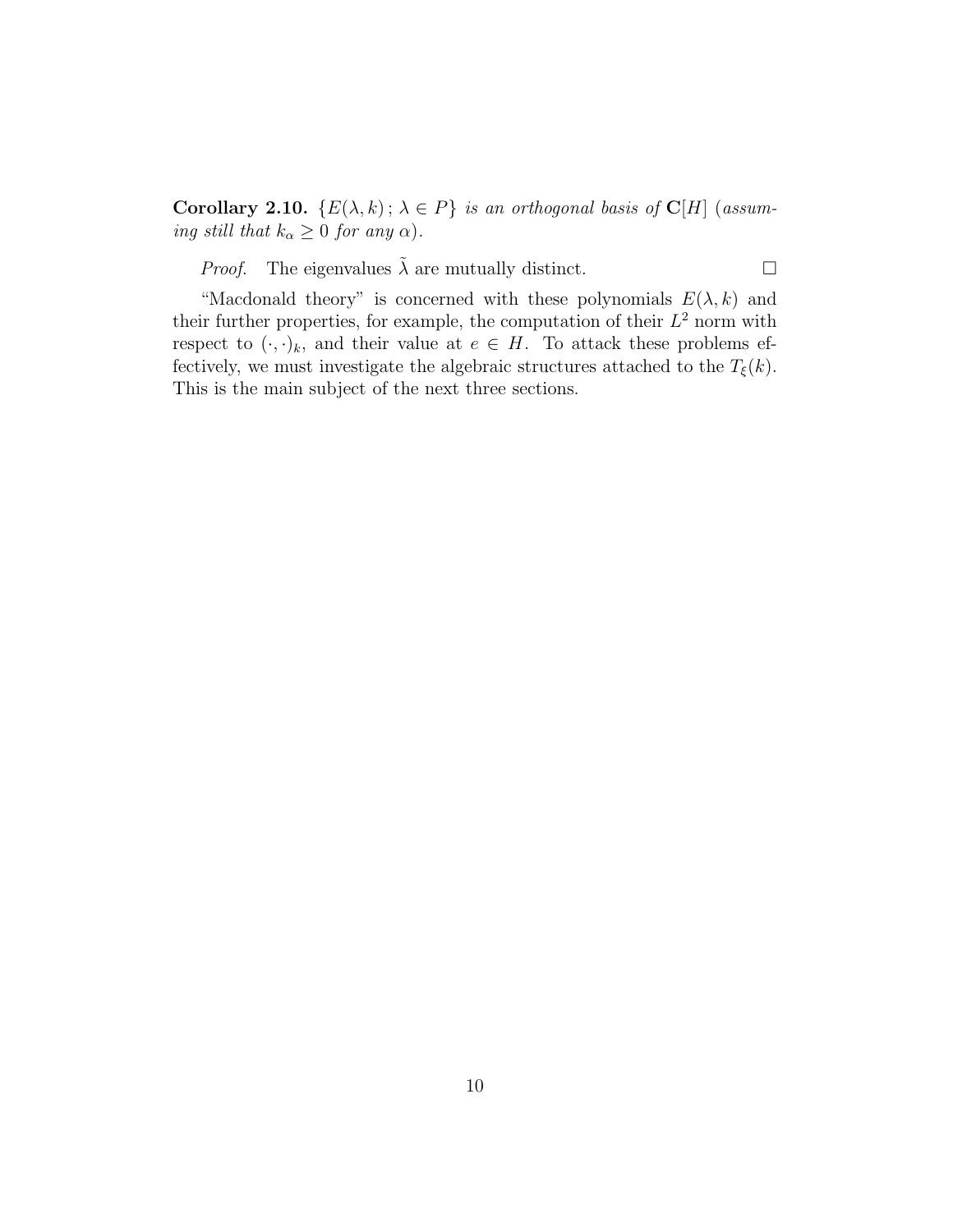Corollary 2.10.  $\{E(\lambda, k) : \lambda \in P\}$  is an orthogonal basis of C[H] (assuming still that  $k_{\alpha} \geq 0$  for any  $\alpha$ ).

*Proof.* The eigenvalues  $\tilde{\lambda}$  are mutually distinct.  $\square$ 

"Macdonald theory" is concerned with these polynomials  $E(\lambda, k)$  and their further properties, for example, the computation of their  $L^2$  norm with respect to  $(\cdot, \cdot)_k$ , and their value at  $e \in H$ . To attack these problems effectively, we must investigate the algebraic structures attached to the  $T_{\xi}(k)$ . This is the main subject of the next three sections.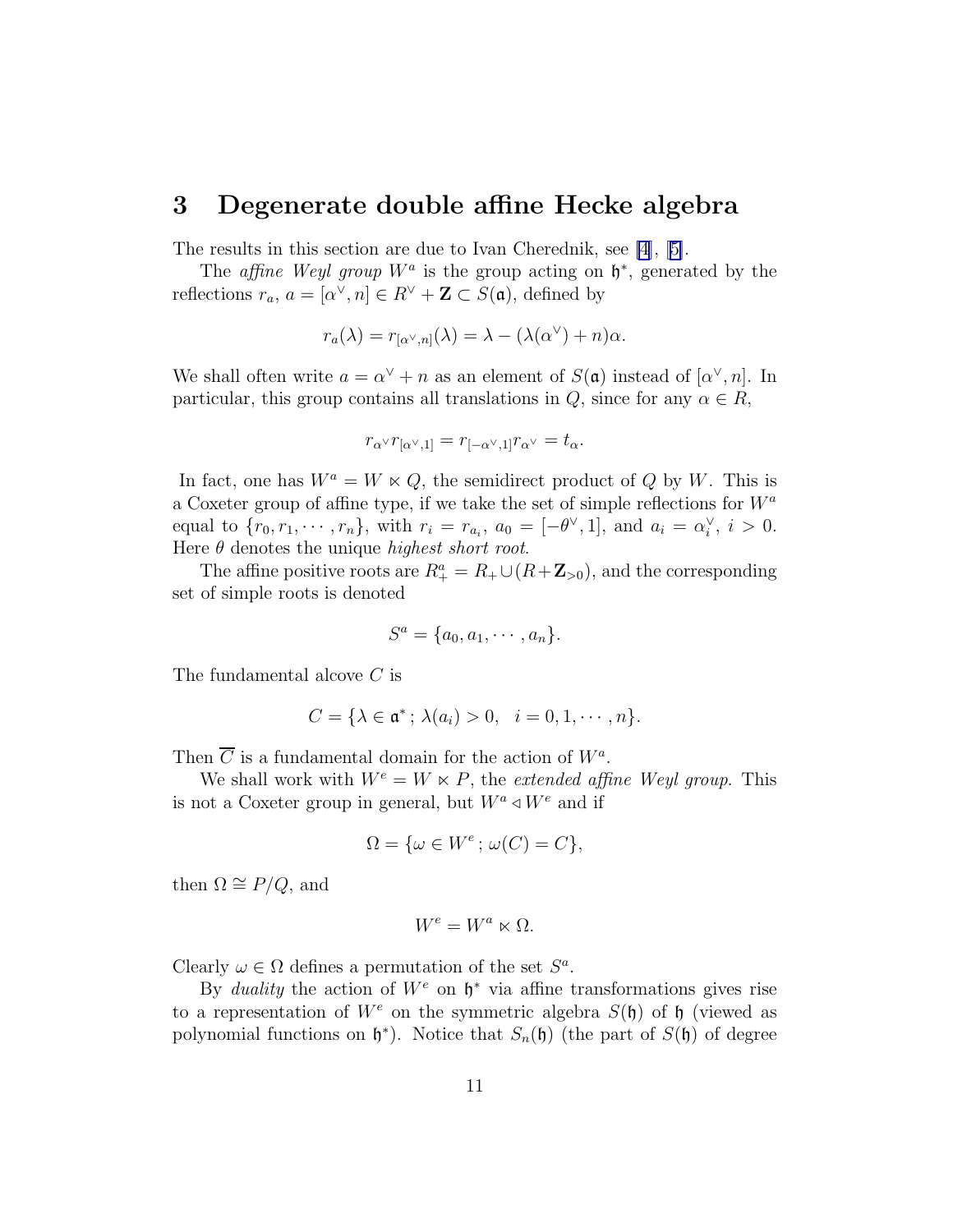# <span id="page-11-0"></span>3 Degenerate double affine Hecke algebra

The results in this section are due to Ivan Cherednik, see [\[4](#page-63-0)],[[5\]](#page-63-0).

The *affine Weyl group*  $W^a$  is the group acting on  $\mathfrak{h}^*$ , generated by the reflections  $r_a$ ,  $a = [\alpha^{\vee}, n] \in R^{\vee} + \mathbf{Z} \subset S(\mathfrak{a})$ , defined by

$$
r_a(\lambda) = r_{[\alpha^\vee, n]}(\lambda) = \lambda - (\lambda(\alpha^\vee) + n)\alpha.
$$

We shall often write  $a = \alpha^{\vee} + n$  as an element of  $S(\mathfrak{a})$  instead of  $[\alpha^{\vee}, n]$ . In particular, this group contains all translations in  $Q$ , since for any  $\alpha \in R$ ,

$$
r_{\alpha^\vee}r_{[\alpha^\vee,1]}=r_{[-\alpha^\vee,1]}r_{\alpha^\vee}=t_\alpha.
$$

In fact, one has  $W^a = W \ltimes Q$ , the semidirect product of Q by W. This is a Coxeter group of affine type, if we take the set of simple reflections for  $W^a$ equal to  $\{r_0, r_1, \dots, r_n\}$ , with  $r_i = r_{a_i}, a_0 = [-\theta^{\vee}, 1]$ , and  $a_i = \alpha_i^{\vee}, i > 0$ . Here  $\theta$  denotes the unique *highest short root*.

The affine positive roots are  $R_+^a = R_+ \cup (R + \mathbf{Z}_{>0})$ , and the corresponding set of simple roots is denoted

$$
S^a = \{a_0, a_1, \cdots, a_n\}.
$$

The fundamental alcove C is

$$
C = \{ \lambda \in \mathfrak{a}^* \, ; \, \lambda(a_i) > 0, \quad i = 0, 1, \cdots, n \}.
$$

Then  $\overline{C}$  is a fundamental domain for the action of  $W^a$ .

We shall work with  $W^e = W \ltimes P$ , the extended affine Weyl group. This is not a Coxeter group in general, but  $W^a \triangleleft W^e$  and if

$$
\Omega = \{\omega \in W^e \, ; \, \omega(C) = C\},
$$

then  $\Omega \cong P/Q$ , and

$$
W^e = W^a \ltimes \Omega.
$$

Clearly  $\omega \in \Omega$  defines a permutation of the set  $S^a$ .

By *duality* the action of  $W^e$  on  $\mathfrak{h}^*$  via affine transformations gives rise to a representation of  $W^e$  on the symmetric algebra  $S(\mathfrak{h})$  of  $\mathfrak{h}$  (viewed as polynomial functions on  $h^*$ ). Notice that  $S_n(h)$  (the part of  $S(h)$ ) of degree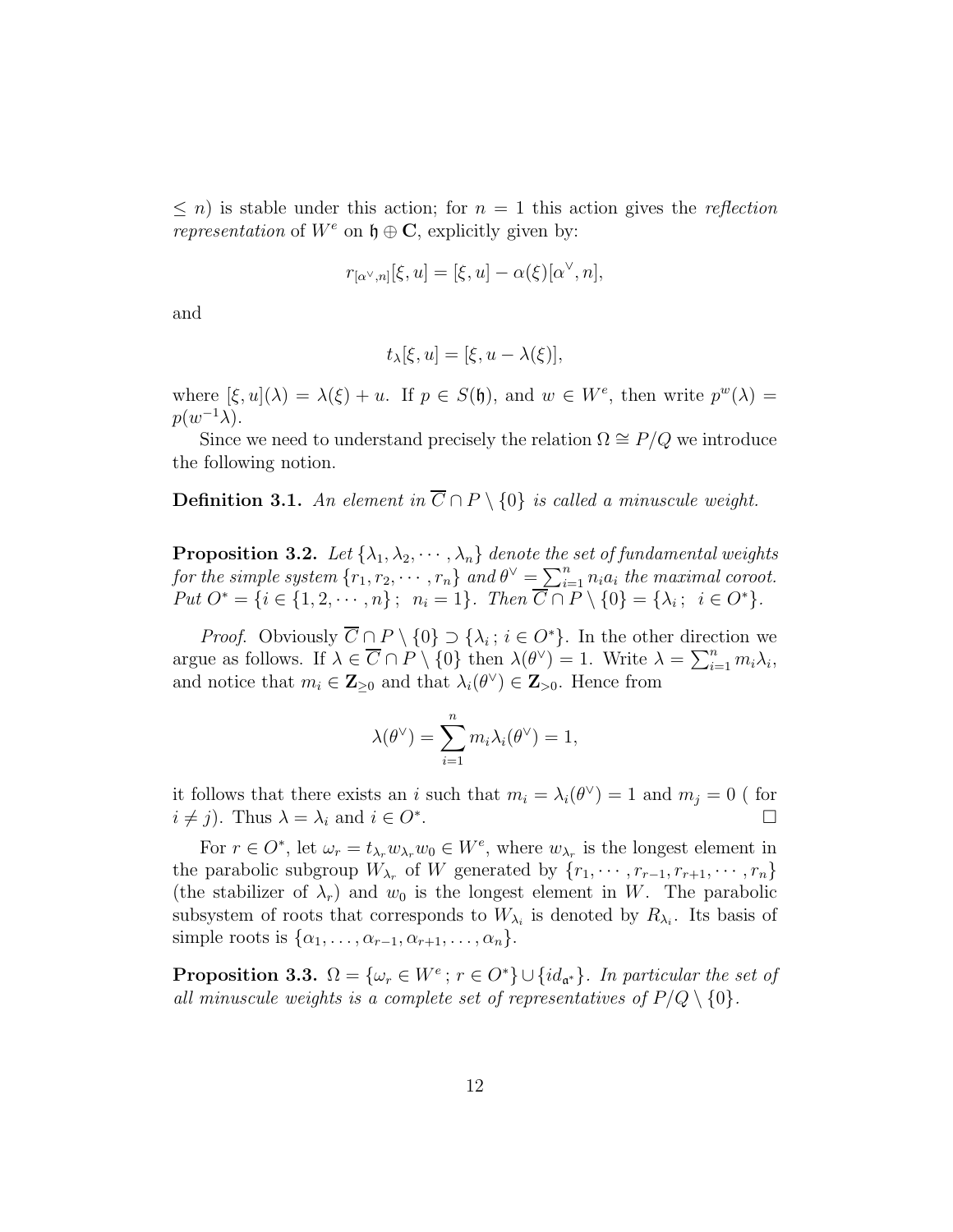$\leq n$ ) is stable under this action; for  $n = 1$  this action gives the *reflection representation* of  $W^e$  on  $\mathfrak{h} \oplus \mathbb{C}$ , explicitly given by:

$$
r_{[\alpha^\vee,n]}[\xi,u] = [\xi,u] - \alpha(\xi)[\alpha^\vee,n],
$$

and

$$
t_{\lambda}[\xi, u] = [\xi, u - \lambda(\xi)],
$$

where  $[\xi, u](\lambda) = \lambda(\xi) + u$ . If  $p \in S(\mathfrak{h})$ , and  $w \in W^e$ , then write  $p^w(\lambda) =$  $p(w^{-1}\lambda)$ .

Since we need to understand precisely the relation  $\Omega \cong P/Q$  we introduce the following notion.

**Definition 3.1.** An element in  $\overline{C} \cap P \setminus \{0\}$  is called a minuscule weight.

**Proposition 3.2.** Let  $\{\lambda_1, \lambda_2, \cdots, \lambda_n\}$  denote the set of fundamental weights for the simple system  $\{r_1, r_2, \cdots, r_n\}$  and  $\theta^{\vee} = \sum_{i=1}^n n_i a_i$  the maximal coroot.  $Put O^* = \{i \in \{1, 2, \dots, n\}; m_i = 1\}.$  Then  $C \cap P \setminus \{0\} = \{\lambda_i; i \in O^*\}.$ 

*Proof.* Obviously  $C \cap P \setminus \{0\} \supset \{\lambda_i : i \in O^*\}$ . In the other direction we argue as follows. If  $\lambda \in \overline{C} \cap P \setminus \{0\}$  then  $\lambda(\theta^{\vee}) = 1$ . Write  $\lambda = \sum_{i=1}^{n} m_i \lambda_i$ , and notice that  $m_i \in \mathbf{Z}_{\geq 0}$  and that  $\lambda_i(\theta^{\vee}) \in \mathbf{Z}_{> 0}$ . Hence from

$$
\lambda(\theta^{\vee}) = \sum_{i=1}^{n} m_i \lambda_i(\theta^{\vee}) = 1,
$$

it follows that there exists an i such that  $m_i = \lambda_i(\theta^{\vee}) = 1$  and  $m_j = 0$  (for  $i \neq j$ ). Thus  $\lambda = \lambda_i$  and  $i \in O^*$ . .

For  $r \in O^*$ , let  $\omega_r = t_{\lambda_r} w_{\lambda_r} w_0 \in W^e$ , where  $w_{\lambda_r}$  is the longest element in the parabolic subgroup  $W_{\lambda_r}$  of W generated by  $\{r_1, \dots, r_{r-1}, r_{r+1}, \dots, r_n\}$ (the stabilizer of  $\lambda_r$ ) and  $w_0$  is the longest element in W. The parabolic subsystem of roots that corresponds to  $W_{\lambda_i}$  is denoted by  $R_{\lambda_i}$ . Its basis of simple roots is  $\{\alpha_1, \ldots, \alpha_{r-1}, \alpha_{r+1}, \ldots, \alpha_n\}.$ 

**Proposition 3.3.**  $\Omega = {\omega_r \in W^e \, ; \, r \in O^*} \cup {\{id_{\mathfrak{a}^*}\}}$ . In particular the set of all minuscule weights is a complete set of representatives of  $P/Q \setminus \{0\}$ .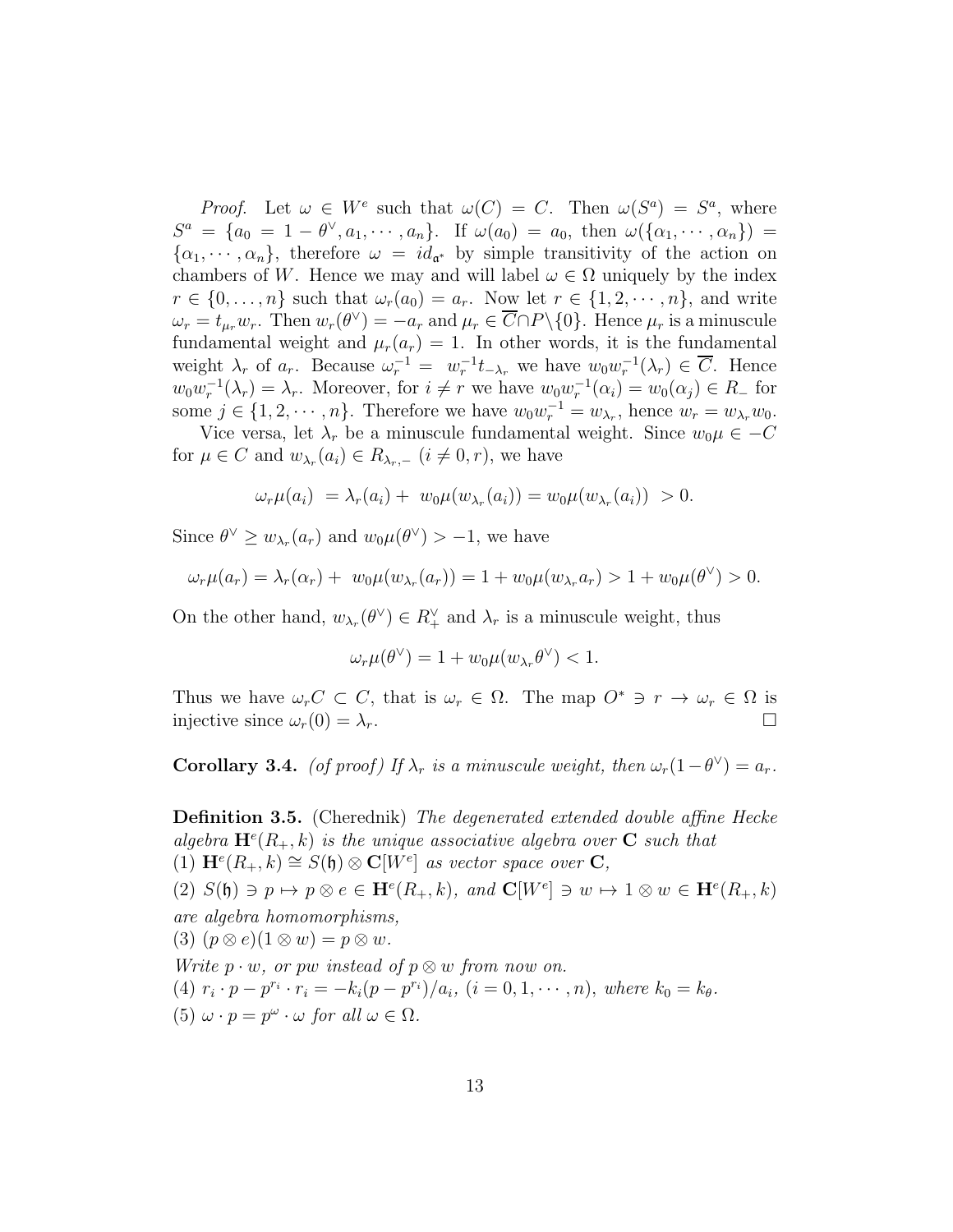<span id="page-13-0"></span>*Proof.* Let  $\omega \in W^e$  such that  $\omega(C) = C$ . Then  $\omega(S^a) = S^a$ , where  $S^a = \{a_0 = 1 - \theta^{\vee}, a_1, \cdots, a_n\}.$  If  $\omega(a_0) = a_0$ , then  $\omega(\{\alpha_1, \cdots, \alpha_n\}) =$  $\{\alpha_1, \dots, \alpha_n\}$ , therefore  $\omega = id_{\mathfrak{a}^*}$  by simple transitivity of the action on chambers of W. Hence we may and will label  $\omega \in \Omega$  uniquely by the index  $r \in \{0, \ldots, n\}$  such that  $\omega_r(a_0) = a_r$ . Now let  $r \in \{1, 2, \cdots, n\}$ , and write  $\omega_r = t_{\mu_r} w_r$ . Then  $w_r(\theta^{\vee}) = -a_r$  and  $\mu_r \in C \cap P \setminus \{0\}$ . Hence  $\mu_r$  is a minuscule fundamental weight and  $\mu_r(a_r) = 1$ . In other words, it is the fundamental weight  $\lambda_r$  of  $a_r$ . Because  $\omega_r^{-1} = w_r^{-1} t_{-\lambda_r}$  we have  $w_0 w_r^{-1} (\lambda_r) \in \overline{C}$ . Hence  $w_0w_r^{-1}(\lambda_r) = \lambda_r$ . Moreover, for  $i \neq r$  we have  $w_0w_r^{-1}(\alpha_i) = w_0(\alpha_j) \in R$  for some  $j \in \{1, 2, \dots, n\}$ . Therefore we have  $w_0 w_r^{-1} = w_{\lambda_r}$ , hence  $w_r = w_{\lambda_r} w_0$ .

Vice versa, let  $\lambda_r$  be a minuscule fundamental weight. Since  $w_0\mu \in -C$ for  $\mu \in C$  and  $w_{\lambda_r}(a_i) \in R_{\lambda_{r,-}}$   $(i \neq 0, r)$ , we have

$$
\omega_r \mu(a_i) = \lambda_r(a_i) + w_0 \mu(w_{\lambda_r}(a_i)) = w_0 \mu(w_{\lambda_r}(a_i)) > 0.
$$

Since  $\theta^{\vee} \geq w_{\lambda_r}(a_r)$  and  $w_0\mu(\theta^{\vee}) > -1$ , we have

$$
\omega_r \mu(a_r) = \lambda_r(\alpha_r) + w_0 \mu(w_{\lambda_r}(a_r)) = 1 + w_0 \mu(w_{\lambda_r} a_r) > 1 + w_0 \mu(\theta^{\vee}) > 0.
$$

On the other hand,  $w_{\lambda_r}(\theta^{\vee}) \in R_+^{\vee}$  and  $\lambda_r$  is a minuscule weight, thus

$$
\omega_r \mu(\theta^\vee) = 1 + w_0 \mu(w_{\lambda_r} \theta^\vee) < 1.
$$

Thus we have  $\omega_r C \subset C$ , that is  $\omega_r \in \Omega$ . The map  $O^* \ni r \to \omega_r \in \Omega$  is injective since  $\omega_r(0) = \lambda_r$ injective since  $\omega_r(0) = \lambda_r$ .

**Corollary 3.4.** (of proof) If  $\lambda_r$  is a minuscule weight, then  $\omega_r(1-\theta^{\vee}) = a_r$ .

Definition 3.5. (Cherednik) The degenerated extended double affine Hecke algebra  $\mathbf{H}^e(R_+,k)$  is the unique associative algebra over **C** such that (1)  $\mathbf{H}^e(R_+,k) \cong S(\mathfrak{h}) \otimes \mathbf{C}[W^e]$  as vector space over  $\mathbf{C}$ ,

(2)  $S(\mathfrak{h}) \ni p \mapsto p \otimes e \in \mathbf{H}^e(R_+, k)$ , and  $\mathbf{C}[W^e] \ni w \mapsto 1 \otimes w \in \mathbf{H}^e(R_+, k)$ are algebra homomorphisms,

(3)  $(p \otimes e)(1 \otimes w) = p \otimes w$ .

Write  $p \cdot w$ , or pw instead of  $p \otimes w$  from now on.

(4) 
$$
r_i \cdot p - p^{r_i} \cdot r_i = -k_i(p - p^{r_i})/a_i
$$
,  $(i = 0, 1, \dots, n)$ , where  $k_0 = k_\theta$ .

(5)  $\omega \cdot p = p^{\omega} \cdot \omega$  for all  $\omega \in \Omega$ .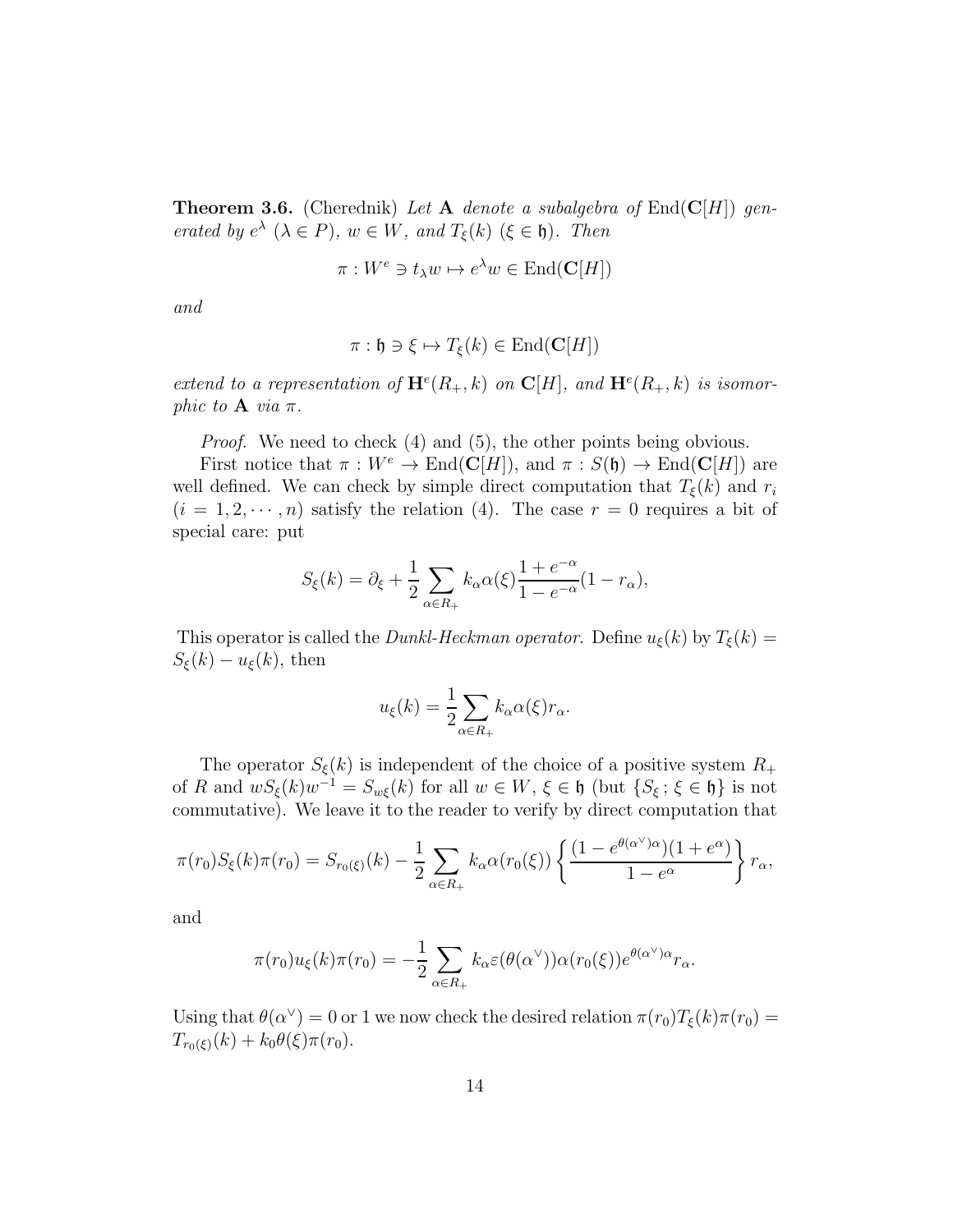**Theorem 3.6.** (Cherednik) Let A denote a subalgebra of  $\text{End}(\mathbf{C}[H])$  generated by  $e^{\lambda}$   $(\lambda \in P)$ ,  $w \in W$ , and  $T_{\xi}(k)$   $(\xi \in \mathfrak{h})$ . Then

$$
\pi: W^e \ni t_\lambda w \mapsto e^\lambda w \in \text{End}(\mathbf{C}[H])
$$

and

$$
\pi: \mathfrak{h} \ni \xi \mapsto T_{\xi}(k) \in \text{End}(\mathbf{C}[H])
$$

extend to a representation of  $\mathbf{H}^e(R_+,k)$  on  $\mathbf{C}[H]$ , and  $\mathbf{H}^e(R_+,k)$  is isomorphic to  $\bf{A}$  via  $\pi$ .

*Proof.* We need to check (4) and (5), the other points being obvious.

First notice that  $\pi : W^e \to \text{End}(\mathbf{C}[H])$ , and  $\pi : S(\mathfrak{h}) \to \text{End}(\mathbf{C}[H])$  are well defined. We can check by simple direct computation that  $T_{\xi}(k)$  and  $r_i$  $(i = 1, 2, \dots, n)$  satisfy the relation (4). The case  $r = 0$  requires a bit of special care: put

$$
S_{\xi}(k) = \partial_{\xi} + \frac{1}{2} \sum_{\alpha \in R_+} k_{\alpha} \alpha(\xi) \frac{1 + e^{-\alpha}}{1 - e^{-\alpha}} (1 - r_{\alpha}),
$$

This operator is called the *Dunkl-Heckman operator*. Define  $u_{\xi}(k)$  by  $T_{\xi}(k)$  =  $S_{\xi}(k) - u_{\xi}(k)$ , then

$$
u_{\xi}(k) = \frac{1}{2} \sum_{\alpha \in R_+} k_{\alpha} \alpha(\xi) r_{\alpha}.
$$

The operator  $S_{\xi}(k)$  is independent of the choice of a positive system  $R_{+}$ of R and  $wS_{\xi}(k)w^{-1} = S_{w\xi}(k)$  for all  $w \in W$ ,  $\xi \in \mathfrak{h}$  (but  $\{S_{\xi}; \xi \in \mathfrak{h}\}\)$  is not commutative). We leave it to the reader to verify by direct computation that

$$
\pi(r_0)S_{\xi}(k)\pi(r_0) = S_{r_0(\xi)}(k) - \frac{1}{2}\sum_{\alpha \in R_+} k_{\alpha}\alpha(r_0(\xi))\left\{\frac{(1 - e^{\theta(\alpha^{\vee})\alpha})(1 + e^{\alpha})}{1 - e^{\alpha}}\right\}r_{\alpha},
$$

and

$$
\pi(r_0)u_{\xi}(k)\pi(r_0)=-\frac{1}{2}\sum_{\alpha\in R_+}k_{\alpha}\varepsilon(\theta(\alpha^{\vee}))\alpha(r_0(\xi))e^{\theta(\alpha^{\vee})\alpha}r_{\alpha}.
$$

Using that  $\theta(\alpha^{\vee}) = 0$  or 1 we now check the desired relation  $\pi(r_0)T_{\xi}(k)\pi(r_0) =$  $T_{r_0(\xi)}(k) + k_0 \theta(\xi) \pi(r_0).$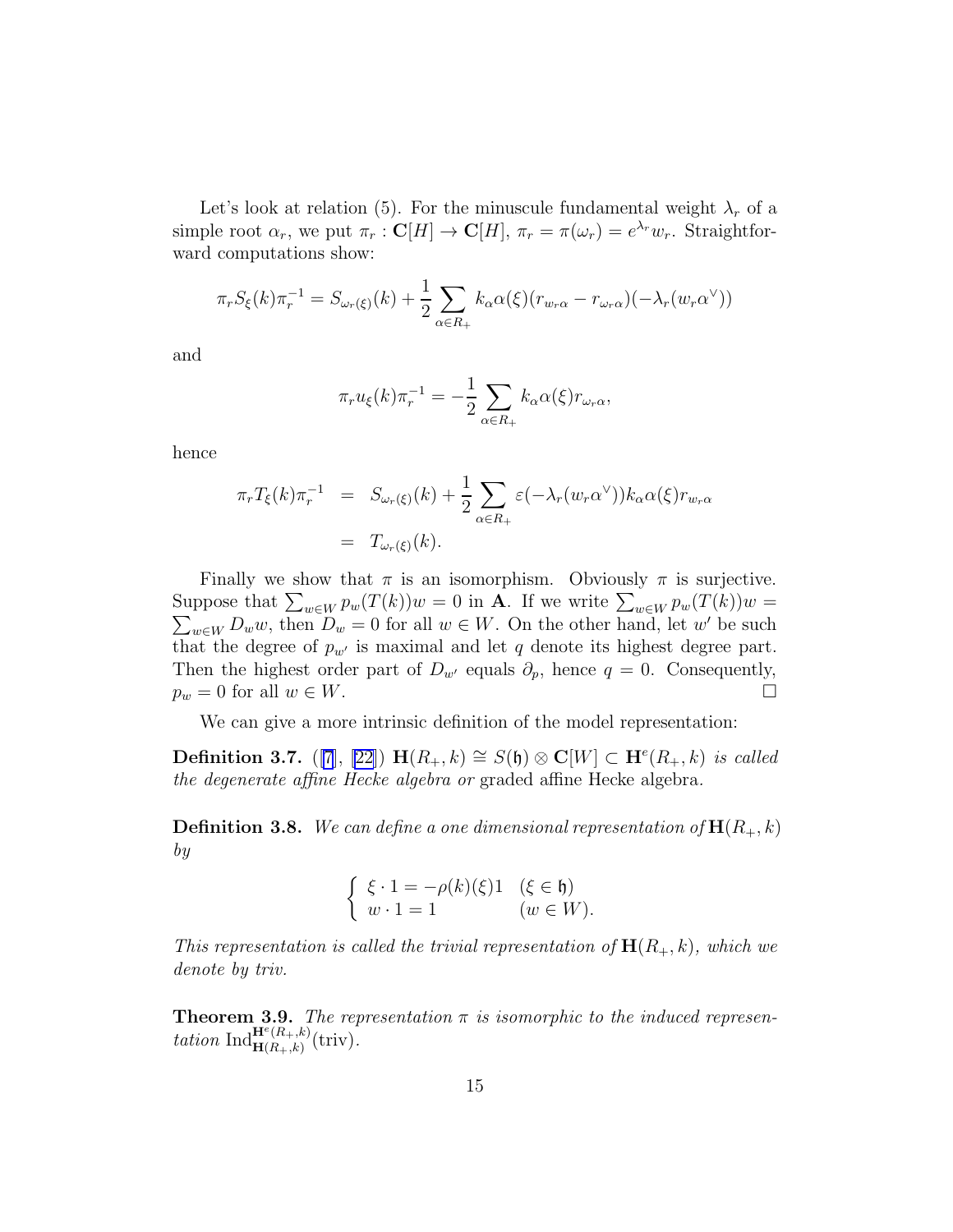Let's look at relation (5). For the minuscule fundamental weight  $\lambda_r$  of a simple root  $\alpha_r$ , we put  $\pi_r : \mathbf{C}[H] \to \mathbf{C}[H]$ ,  $\pi_r = \pi(\omega_r) = e^{\lambda_r} w_r$ . Straightforward computations show:

$$
\pi_r S_{\xi}(k) \pi_r^{-1} = S_{\omega_r(\xi)}(k) + \frac{1}{2} \sum_{\alpha \in R_+} k_{\alpha} \alpha(\xi) (r_{w_r \alpha} - r_{\omega_r \alpha})(-\lambda_r(w_r \alpha^{\vee}))
$$

and

$$
\pi_r u_{\xi}(k) \pi_r^{-1} = -\frac{1}{2} \sum_{\alpha \in R_+} k_{\alpha} \alpha(\xi) r_{\omega_r \alpha},
$$

hence

$$
\pi_r T_{\xi}(k) \pi_r^{-1} = S_{\omega_r(\xi)}(k) + \frac{1}{2} \sum_{\alpha \in R_+} \varepsilon (-\lambda_r(w_r \alpha^{\vee})) k_{\alpha} \alpha(\xi) r_{w_r \alpha}
$$

$$
= T_{\omega_r(\xi)}(k).
$$

Finally we show that  $\pi$  is an isomorphism. Obviously  $\pi$  is surjective. Suppose that  $\sum_{w \in W} p_w(T(k))w = 0$  in **A**. If we write  $\sum_{w \in W} p_w(T(k))w =$ <br> $\sum_{w \in W} D_w w$ , then  $D_w = 0$  for all  $w \in W$ . On the other hand, let w' be such  $w \in W$   $D_w w$ , then  $D_w = 0$  for all  $w \in W$ . On the other hand, let w' be such that the degree of  $p_{w'}$  is maximal and let q denote its highest degree part. Then the highest order part of  $D_{w'}$  equals  $\partial_p$ , hence  $q = 0$ . Consequently,  $p_w = 0$  for all  $w \in W$ .

We can give a more intrinsic definition of the model representation:

**Definition 3.7.** ([\[7](#page-63-0)], [\[22\]](#page-64-0)) **H**( $R_+$ ,  $k$ ) ≅  $S(\mathfrak{h}) \otimes \mathbf{C}[W] \subset \mathbf{H}^e(R_+, k)$  is called the degenerate affine Hecke algebra or graded affine Hecke algebra.

**Definition 3.8.** We can define a one dimensional representation of  $\mathbf{H}(R_+,k)$ by

$$
\begin{cases} \xi \cdot 1 = -\rho(k)(\xi)1 & (\xi \in \mathfrak{h}) \\ w \cdot 1 = 1 & (w \in W). \end{cases}
$$

This representation is called the trivial representation of  $\mathbf{H}(R_+,k)$ , which we denote by triv.

**Theorem 3.9.** The representation  $\pi$  is isomorphic to the induced representation  $\mathrm{Ind}_{\mathbf{H}(R_+,k)}^{\mathbf{H}^e(R_+,k)}$  ${\bf H}^{(n_+,k)}_{{\bf H}(R_+,k)}(\text{triv}).$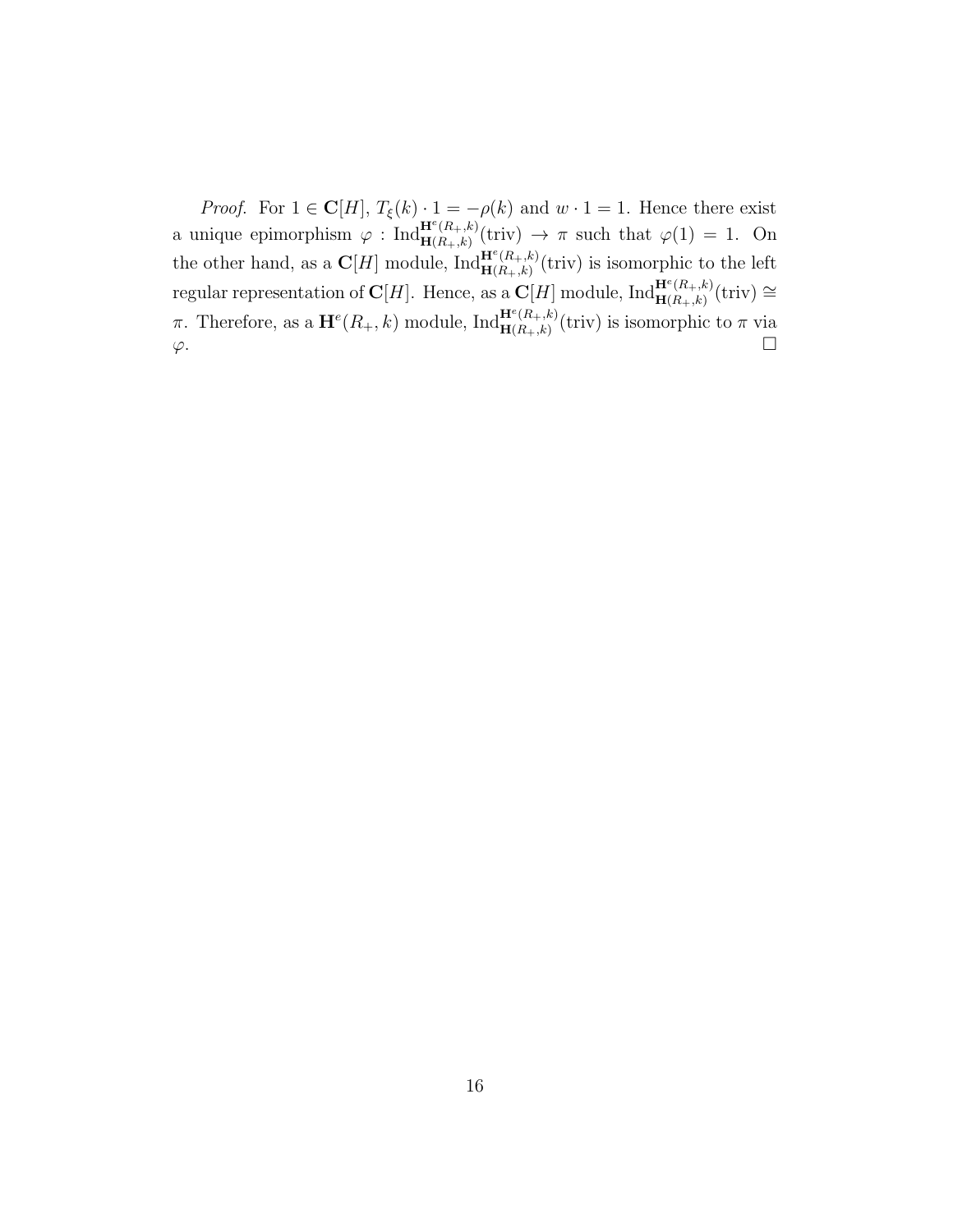*Proof.* For  $1 \in \mathbb{C}[H]$ ,  $T_{\xi}(k) \cdot 1 = -\rho(k)$  and  $w \cdot 1 = 1$ . Hence there exist a unique epimorphism  $\varphi : \operatorname{Ind}_{\mathbf{H}(R_+,k)}^{\mathbf{H}^e(R_+,k)}$  $H^{(R_+,k)}_{\mathbf{H}(R_+,k)}(\text{triv}) \to \pi$  such that  $\varphi(1) = 1$ . On the other hand, as a  $\mathbf{C}[H]$  module,  $\text{Ind}_{\mathbf{H}(R_+,k)}^{\mathbf{H}^e(R_+,k)}$  $\mathbf{H}_{(R_+,k)}^{(\mathbf{R}_+,k)}$  (triv) is isomorphic to the left regular representation of  $\mathbf{C}[H]$ . Hence, as a  $\mathbf{C}[H]$  module,  $\text{Ind}_{\mathbf{H}(R_+,k)}^{\mathbf{H}^e(R_+,k)}$  ${\bf H}^{(n_+,k)}_{\mathbf{H}(R_+,k)}(\text{triv}) \cong$ π. Therefore, as a  $\mathbf{H}^{e}(R_{+},k)$  module,  $\mathrm{Ind}_{\mathbf{H}(R_{+},k)}^{\mathbf{H}^{e}(R_{+},k)}$  $\mathbf{H}_{(R_+,k)}^{(\Lambda_+,k)}(\text{triv})$  is isomorphic to  $\pi$  via  $\varphi$ .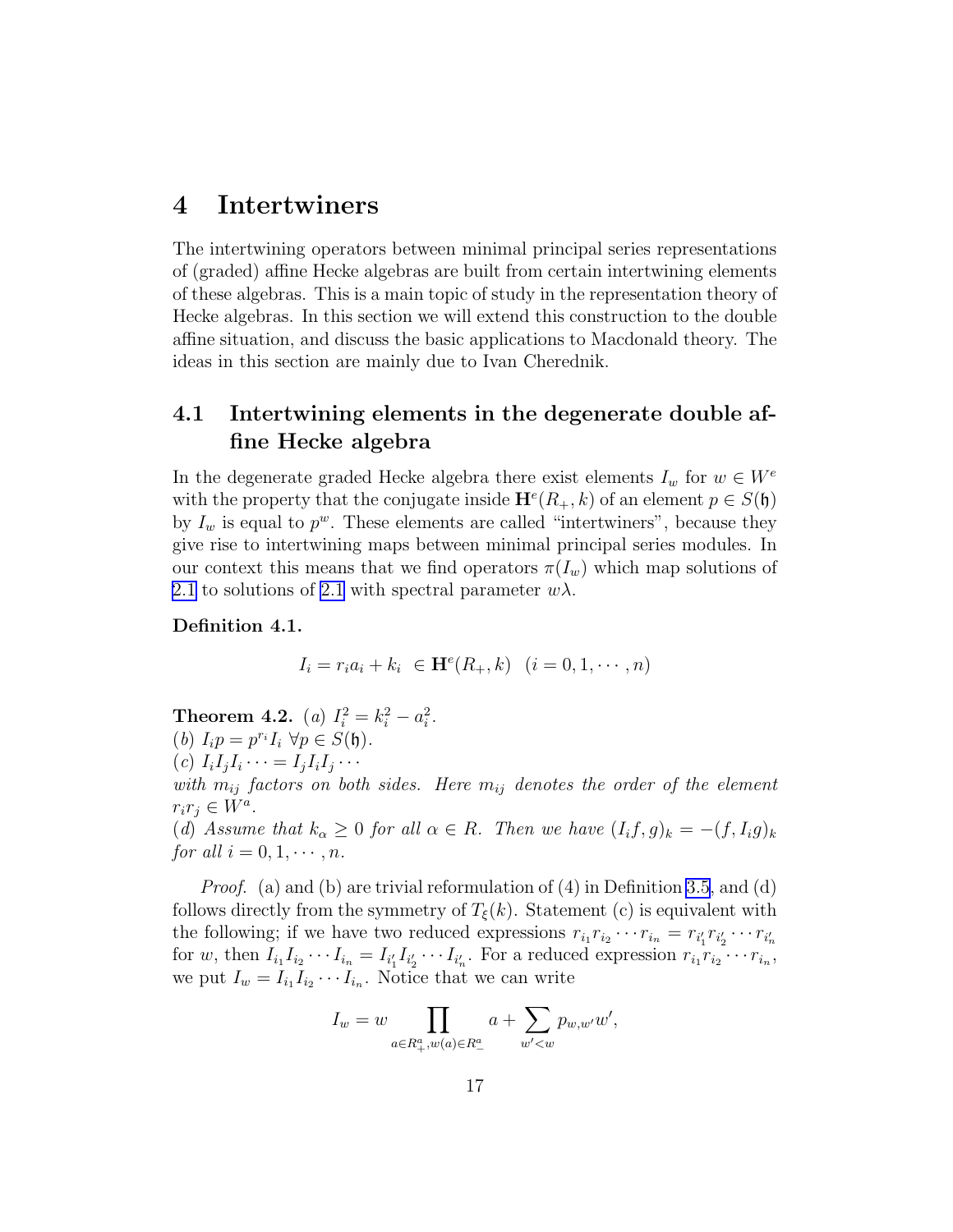# <span id="page-17-0"></span>4 Intertwiners

The intertwining operators between minimal principal series representations of (graded) affine Hecke algebras are built from certain intertwining elements of these algebras. This is a main topic of study in the representation theory of Hecke algebras. In this section we will extend this construction to the double affine situation, and discuss the basic applications to Macdonald theory. The ideas in this section are mainly due to Ivan Cherednik.

# 4.1 Intertwining elements in the degenerate double affine Hecke algebra

In the degenerate graded Hecke algebra there exist elements  $I_w$  for  $w \in W^e$ with the property that the conjugate inside  $\mathbf{H}^e(R_+,k)$  of an element  $p \in S(\mathfrak{h})$ by  $I_w$  is equal to  $p^w$ . These elements are called "intertwiners", because they give rise to intertwining maps between minimal principal series modules. In our context this means that we find operators  $\pi(I_w)$  which map solutions of [2.1](#page-9-0) to solutions of [2.1](#page-9-0) with spectral parameter  $w\lambda$ .

#### Definition 4.1.

$$
I_i = r_i a_i + k_i \in \mathbf{H}^e(R_+, k) \ (i = 0, 1, \dots, n)
$$

**Theorem 4.2.** (a)  $I_i^2 = k_i^2 - a_i^2$ . (b)  $I_i p = p^{r_i} I_i \; \forall p \in S(\mathfrak{h}).$ (c)  $I_i I_j I_i \cdots = I_j I_i I_j \cdots$ with  $m_{ij}$  factors on both sides. Here  $m_{ij}$  denotes the order of the element  $r_ir_j\in W^a.$ (d) Assume that  $k_{\alpha} \geq 0$  for all  $\alpha \in R$ . Then we have  $(I_i, g)_k = -(f, I_i g)_k$ for all  $i = 0, 1, \cdots, n$ .

*Proof.* (a) and (b) are trivial reformulation of  $(4)$  in Definition [3.5](#page-13-0), and  $(d)$ follows directly from the symmetry of  $T_{\xi}(k)$ . Statement (c) is equivalent with the following; if we have two reduced expressions  $r_{i_1}r_{i_2}\cdots r_{i_n} = r_{i'_1}r_{i'_2}\cdots r_{i'_n}$ for w, then  $I_{i_1}I_{i_2}\cdots I_{i_n}=I_{i'_1}I_{i'_2}\cdots I_{i'_n}$ . For a reduced expression  $r_{i_1}r_{i_2}\cdots r_{i_n}$ , we put  $I_w = I_{i_1} I_{i_2} \cdots I_{i_n}$ . Notice that we can write

$$
I_w = w \prod_{a \in R^a_+, w(a) \in R^a_-} a + \sum_{w' < w} p_{w,w'} w',
$$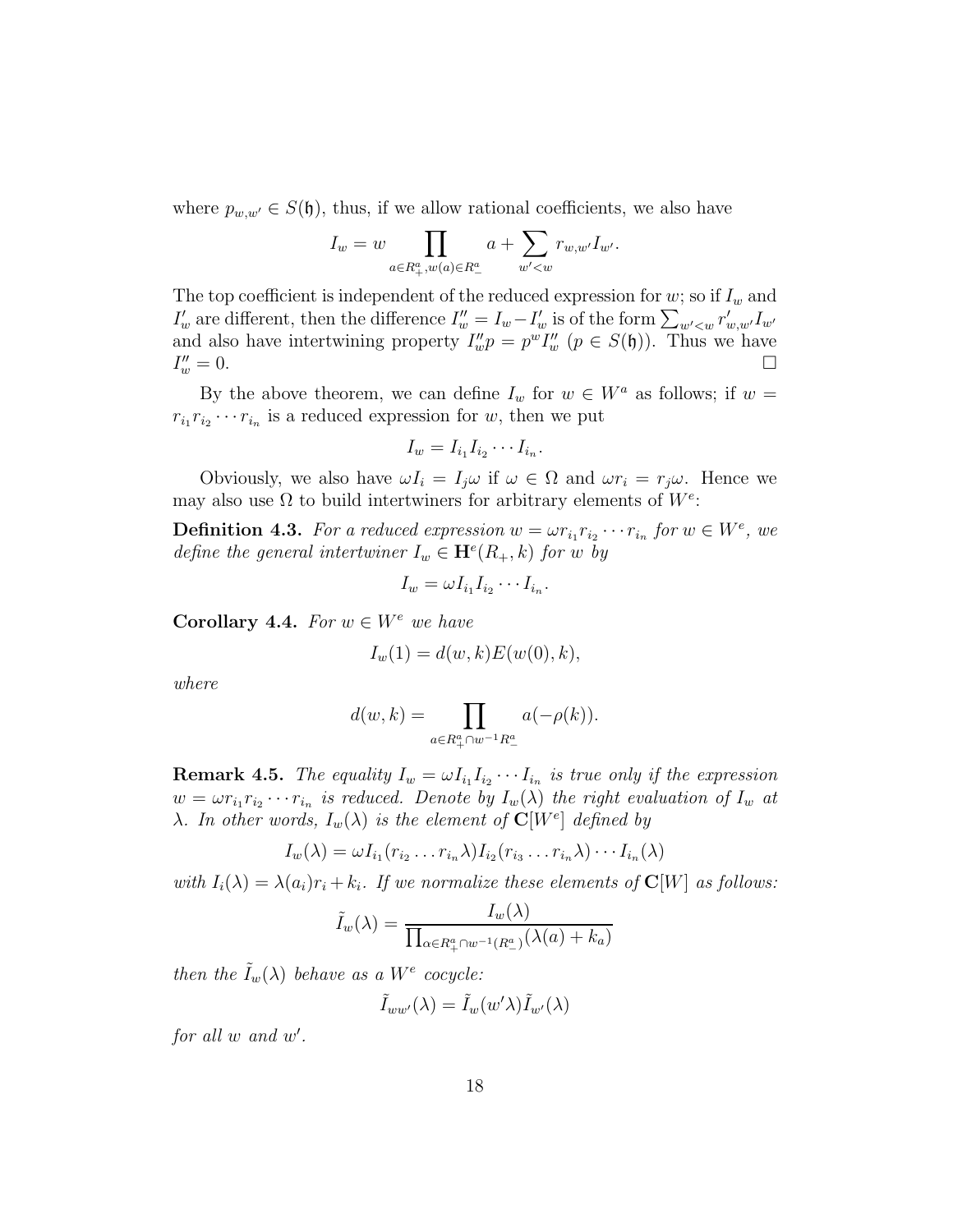<span id="page-18-0"></span>where  $p_{w,w'} \in S(\mathfrak{h})$ , thus, if we allow rational coefficients, we also have

$$
I_w = w \prod_{a \in R^a_+, w(a) \in R^a_-} a + \sum_{w' < w} r_{w,w'} I_{w'}.
$$

The top coefficient is independent of the reduced expression for  $w$ ; so if  $I_w$  and  $I'_w$  are different, then the difference  $I''_w = I_w - I'_w$  is of the form  $\sum_{w' < w} r'_{w,w'} I_{w'}$ and also have intertwining property  $I_w^{\prime\prime} p = p^w I_w^{\prime\prime}$   $(p \in S(\mathfrak{h}))$ . Thus we have  $I''_w$  $w''_w = 0.$ 

By the above theorem, we can define  $I_w$  for  $w \in W^a$  as follows; if  $w =$  $r_{i_1}r_{i_2}\cdots r_{i_n}$  is a reduced expression for w, then we put

$$
I_w = I_{i_1} I_{i_2} \cdots I_{i_n}.
$$

Obviously, we also have  $\omega I_i = I_i \omega$  if  $\omega \in \Omega$  and  $\omega r_i = r_i \omega$ . Hence we may also use  $\Omega$  to build intertwiners for arbitrary elements of  $W^e$ :

**Definition 4.3.** For a reduced expression  $w = \omega r_{i_1} r_{i_2} \cdots r_{i_n}$  for  $w \in W^e$ , we define the general intertwiner  $I_w \in \mathbf{H}^e(R_+,k)$  for w by

$$
I_w = \omega I_{i_1} I_{i_2} \cdots I_{i_n}.
$$

Corollary 4.4. For  $w \in W^e$  we have

$$
I_w(1) = d(w,k)E(w(0),k),
$$

where

$$
d(w,k) = \prod_{a \in R_+^a \cap w^{-1}R_-^a} a(-\rho(k)).
$$

**Remark 4.5.** The equality  $I_w = \omega I_{i_1} I_{i_2} \cdots I_{i_n}$  is true only if the expression  $w = \omega r_{i_1} r_{i_2} \cdots r_{i_n}$  is reduced. Denote by  $I_w(\lambda)$  the right evaluation of  $I_w$  at  $\lambda$ . In other words,  $I_w(\lambda)$  is the element of  $\mathbb{C}[W^e]$  defined by

$$
I_w(\lambda) = \omega I_{i_1}(r_{i_2}\dots r_{i_n}\lambda)I_{i_2}(r_{i_3}\dots r_{i_n}\lambda)\cdots I_{i_n}(\lambda)
$$

with  $I_i(\lambda) = \lambda(a_i)r_i + k_i$ . If we normalize these elements of  $\mathbf{C}[W]$  as follows:

$$
\tilde{I}_{w}(\lambda) = \frac{I_{w}(\lambda)}{\prod_{\alpha \in R_{+}^{a} \cap w^{-1}(R_{-}^{a})}(\lambda(a) + k_{a})}
$$

then the  $\tilde{I}_w(\lambda)$  behave as a  $W^e$  cocycle:

$$
\tilde{I}_{ww'}(\lambda) = \tilde{I}_w(w'\lambda)\tilde{I}_{w'}(\lambda)
$$

for all  $w$  and  $w'$ .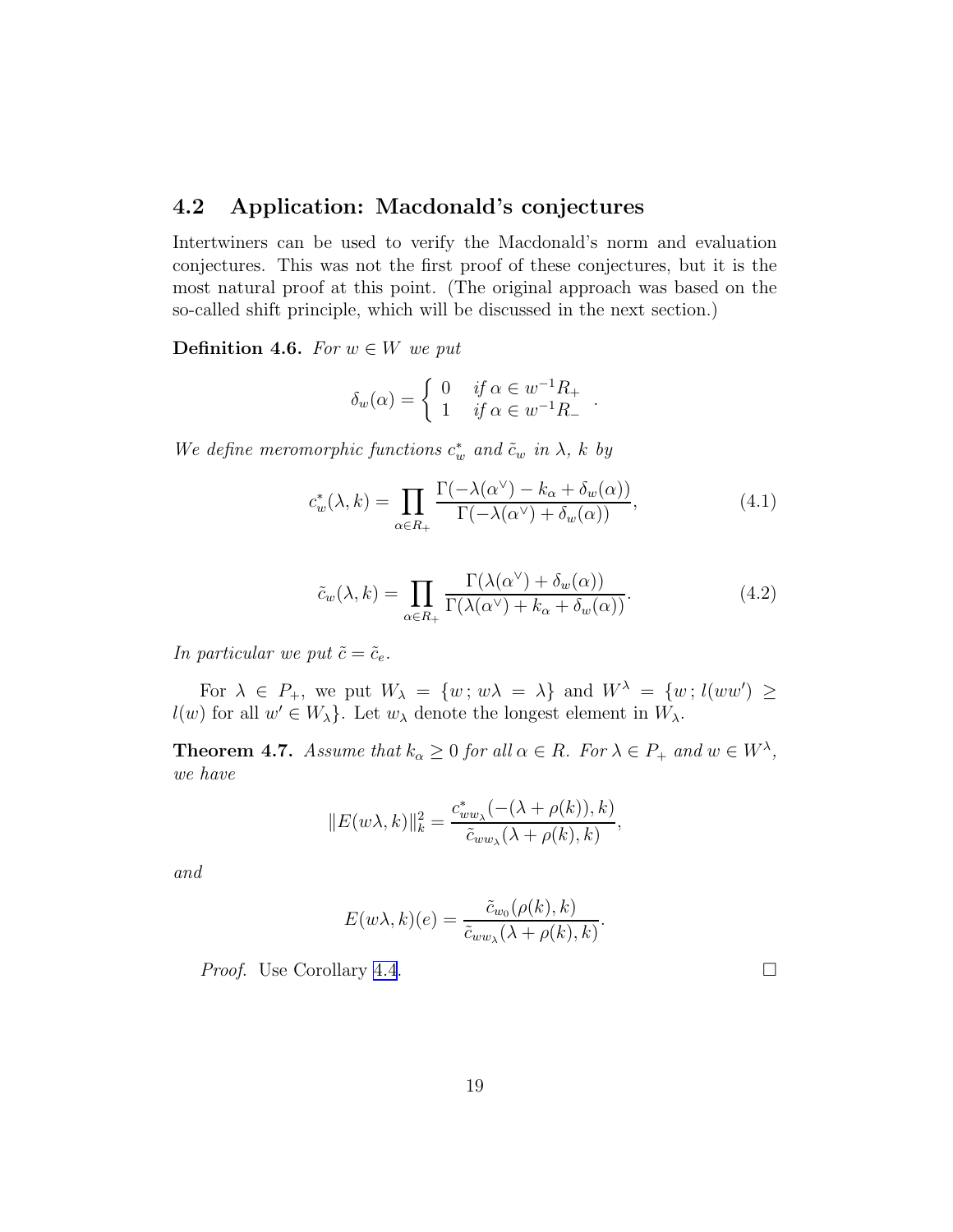### <span id="page-19-0"></span>4.2 Application: Macdonald's conjectures

Intertwiners can be used to verify the Macdonald's norm and evaluation conjectures. This was not the first proof of these conjectures, but it is the most natural proof at this point. (The original approach was based on the so-called shift principle, which will be discussed in the next section.)

**Definition 4.6.** For  $w \in W$  we put

$$
\delta_w(\alpha) = \begin{cases} 0 & \text{if } \alpha \in w^{-1}R_+ \\ 1 & \text{if } \alpha \in w^{-1}R_- \end{cases} .
$$

We define meromorphic functions  $c_w^*$  and  $\tilde{c}_w$  in  $\lambda$ , k by

$$
c_w^*(\lambda, k) = \prod_{\alpha \in R_+} \frac{\Gamma(-\lambda(\alpha^\vee) - k_\alpha + \delta_w(\alpha))}{\Gamma(-\lambda(\alpha^\vee) + \delta_w(\alpha))},\tag{4.1}
$$

$$
\tilde{c}_w(\lambda, k) = \prod_{\alpha \in R_+} \frac{\Gamma(\lambda(\alpha^{\vee}) + \delta_w(\alpha))}{\Gamma(\lambda(\alpha^{\vee}) + k_\alpha + \delta_w(\alpha))}.
$$
\n(4.2)

In particular we put  $\tilde{c} = \tilde{c}_e$ .

For  $\lambda \in P_+$ , we put  $W_\lambda = \{w : w\lambda = \lambda\}$  and  $W^\lambda = \{w : l(ww') \geq$  $l(w)$  for all  $w' \in W_\lambda$ . Let  $w_\lambda$  denote the longest element in  $W_\lambda$ .

**Theorem 4.7.** Assume that  $k_{\alpha} \geq 0$  for all  $\alpha \in R$ . For  $\lambda \in P_+$  and  $w \in W^{\lambda}$ , we have

$$
||E(w\lambda,k)||_{k}^{2} = \frac{c_{ww_{\lambda}}^{*}(-(\lambda + \rho(k)),k)}{\tilde{c}_{ww_{\lambda}}(\lambda + \rho(k),k)},
$$

and

$$
E(w\lambda,k)(e) = \frac{\tilde{c}_{w_0}(\rho(k),k)}{\tilde{c}_{ww_{\lambda}}(\lambda+\rho(k),k)}.
$$

Proof. Use Corollary [4.4](#page-18-0).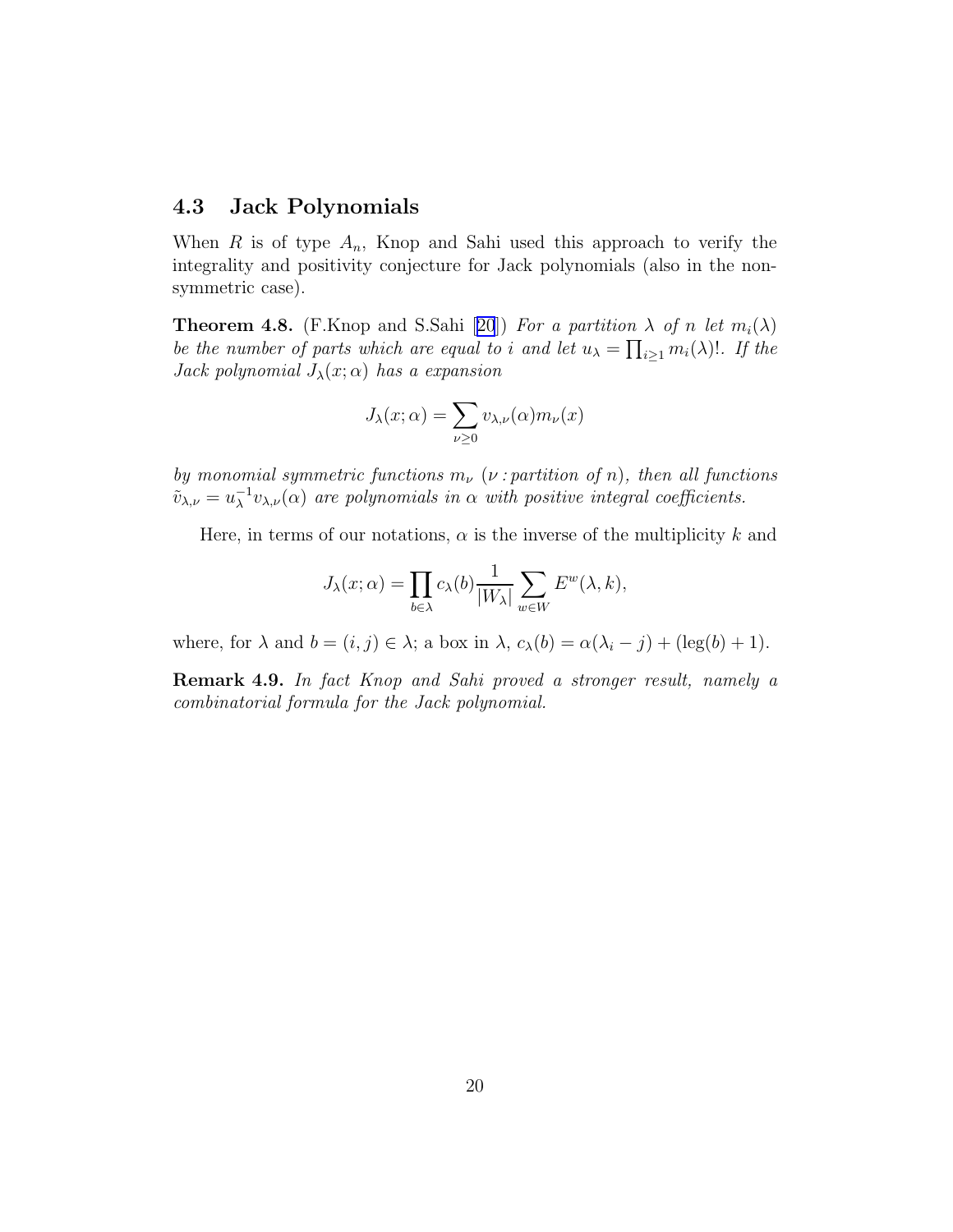#### <span id="page-20-0"></span>4.3 Jack Polynomials

When R is of type  $A_n$ , Knop and Sahi used this approach to verify the integrality and positivity conjecture for Jack polynomials (also in the nonsymmetric case).

**Theorem4.8.** (F.Knop and S.Sahi [[20](#page-64-0)]) For a partition  $\lambda$  of n let  $m_i(\lambda)$ be the number of parts which are equal to i and let  $u_{\lambda} = \prod_{i \geq 1} m_i(\lambda)!$ . If the Jack polynomial  $J_{\lambda}(x; \alpha)$  has a expansion

$$
J_{\lambda}(x;\alpha) = \sum_{\nu \ge 0} v_{\lambda,\nu}(\alpha) m_{\nu}(x)
$$

by monomial symmetric functions  $m_{\nu}$  ( $\nu$ : partition of n), then all functions  $\tilde{v}_{\lambda,\nu} = u_{\lambda}^{-1} v_{\lambda,\nu}(\alpha)$  are polynomials in  $\alpha$  with positive integral coefficients.

Here, in terms of our notations,  $\alpha$  is the inverse of the multiplicity k and

$$
J_{\lambda}(x;\alpha) = \prod_{b \in \lambda} c_{\lambda}(b) \frac{1}{|W_{\lambda}|} \sum_{w \in W} E^{w}(\lambda, k),
$$

where, for  $\lambda$  and  $b = (i, j) \in \lambda$ ; a box in  $\lambda$ ,  $c_{\lambda}(b) = \alpha(\lambda_i - j) + (\log(b) + 1)$ .

Remark 4.9. In fact Knop and Sahi proved a stronger result, namely a combinatorial formula for the Jack polynomial.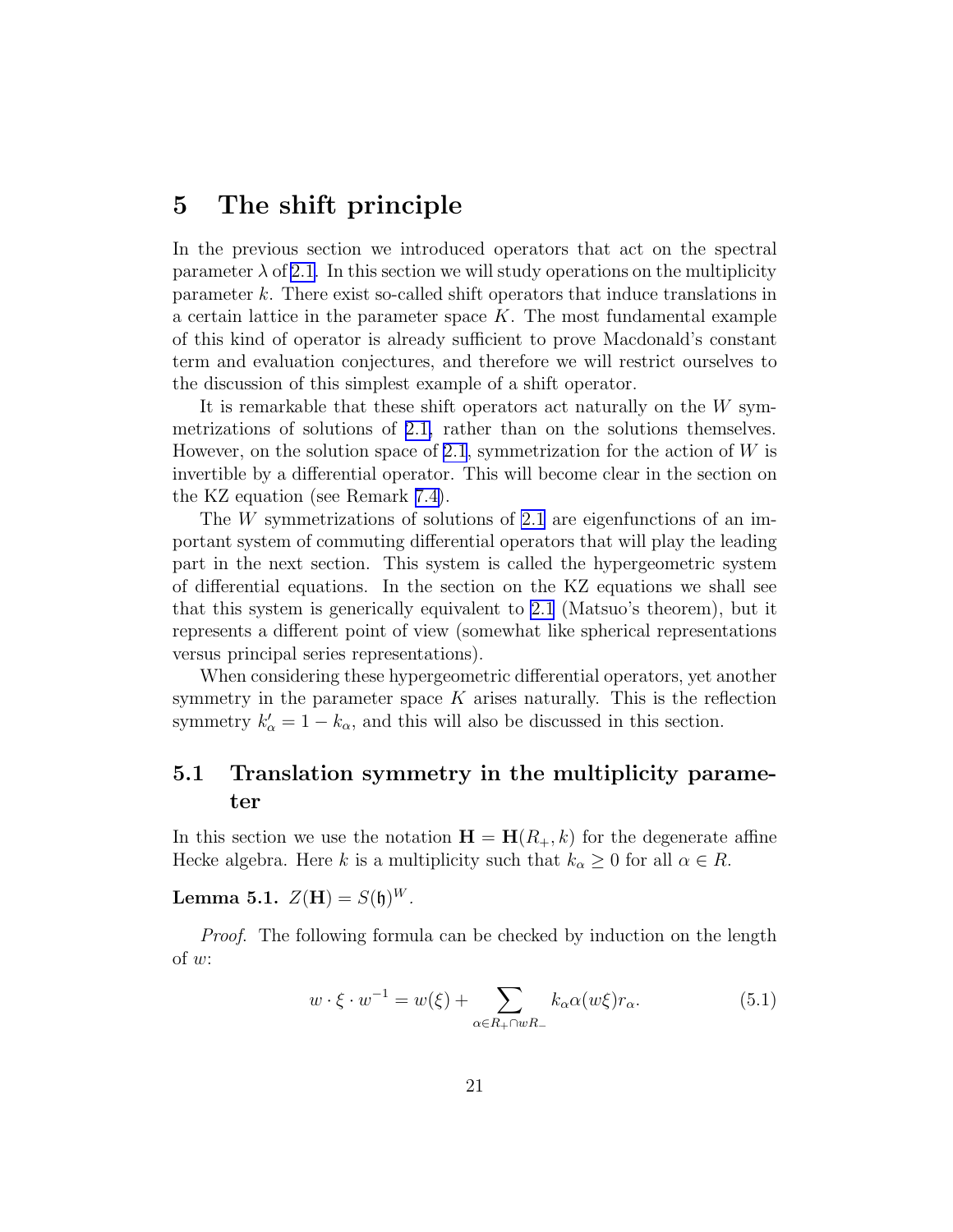# <span id="page-21-0"></span>5 The shift principle

In the previous section we introduced operators that act on the spectral parameter  $\lambda$  of [2.1](#page-9-0). In this section we will study operations on the multiplicity parameter k. There exist so-called shift operators that induce translations in a certain lattice in the parameter space  $K$ . The most fundamental example of this kind of operator is already sufficient to prove Macdonald's constant term and evaluation conjectures, and therefore we will restrict ourselves to the discussion of this simplest example of a shift operator.

It is remarkable that these shift operators act naturally on the W symmetrizations of solutions of [2.1,](#page-9-0) rather than on the solutions themselves. However, on the solution space of [2.1](#page-9-0), symmetrization for the action of  $W$  is invertible by a differential operator. This will become clear in the section on the KZ equation (see Remark [7.4\)](#page-42-0).

The W symmetrizations of solutions of [2.1](#page-9-0) are eigenfunctions of an important system of commuting differential operators that will play the leading part in the next section. This system is called the hypergeometric system of differential equations. In the section on the KZ equations we shall see that this system is generically equivalent to [2.1](#page-9-0) (Matsuo's theorem), but it represents a different point of view (somewhat like spherical representations versus principal series representations).

When considering these hypergeometric differential operators, yet another symmetry in the parameter space  $K$  arises naturally. This is the reflection symmetry  $k'_\n\alpha = 1 - k_\alpha$ , and this will also be discussed in this section.

# 5.1 Translation symmetry in the multiplicity parameter

In this section we use the notation  $\mathbf{H} = \mathbf{H}(R_+, k)$  for the degenerate affine Hecke algebra. Here k is a multiplicity such that  $k_{\alpha} \geq 0$  for all  $\alpha \in R$ .

**Lemma 5.1.**  $Z(H) = S(\mathfrak{h})^W$ .

Proof. The following formula can be checked by induction on the length of  $w$ :

$$
w \cdot \xi \cdot w^{-1} = w(\xi) + \sum_{\alpha \in R_+ \cap wR_-} k_\alpha \alpha(w\xi) r_\alpha.
$$
 (5.1)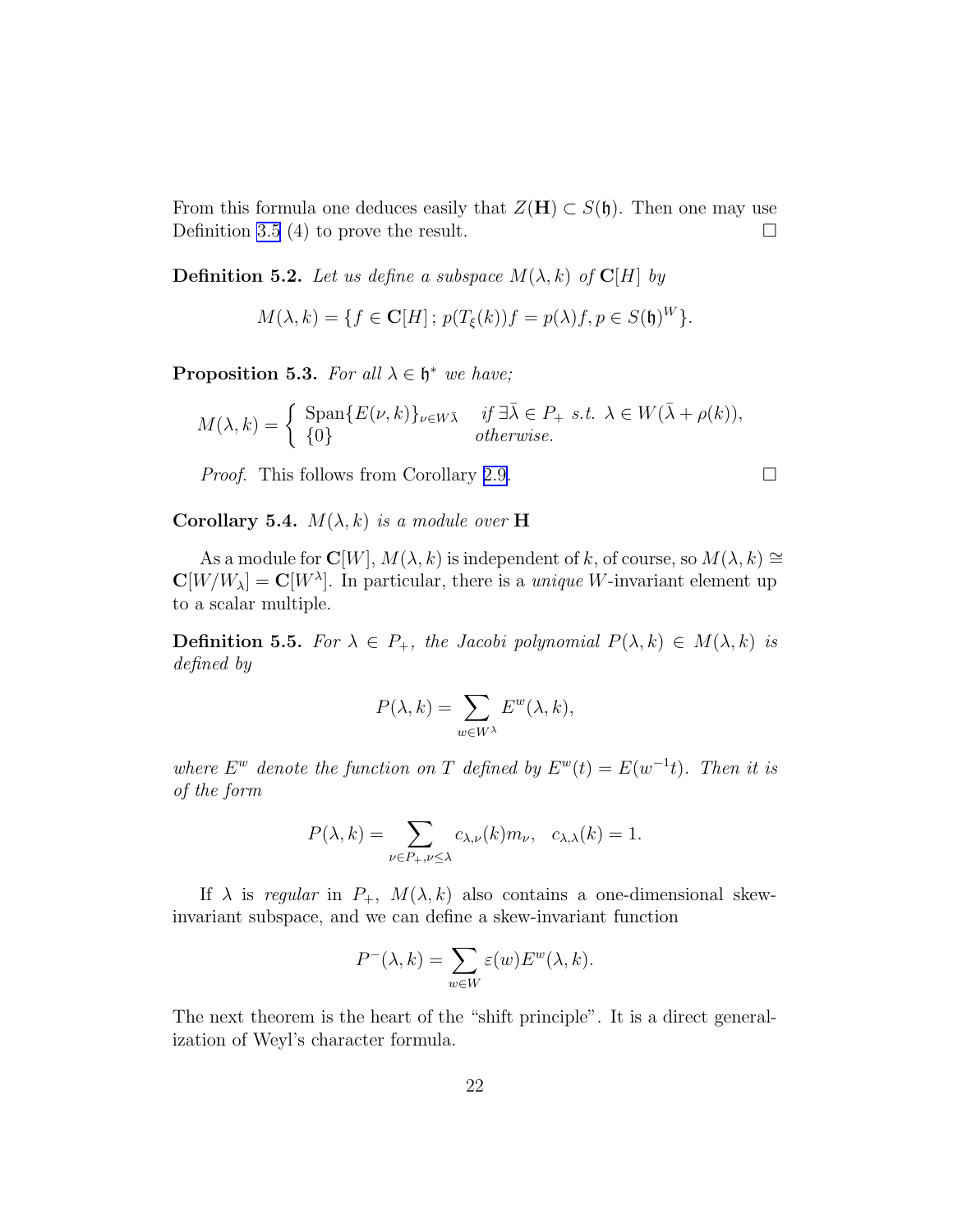From this formula one deduces easily that  $Z(\mathbf{H}) \subset S(\mathfrak{h})$ . Then one may use Definition 3.5 (4) to prove the result. Definition [3.5](#page-13-0) (4) to prove the result.

**Definition 5.2.** Let us define a subspace  $M(\lambda, k)$  of  $\mathbb{C}[H]$  by

$$
M(\lambda, k) = \{ f \in \mathbf{C}[H] \, ; \, p(T_{\xi}(k))f = p(\lambda)f, p \in S(\mathfrak{h})^W \}.
$$

**Proposition 5.3.** For all  $\lambda \in \mathfrak{h}^*$  we have;

$$
M(\lambda, k) = \begin{cases} \text{Span}\{E(\nu, k)\}_{\nu \in W\bar{\lambda}} & \text{if } \exists \bar{\lambda} \in P_+ \text{ s.t. } \lambda \in W(\bar{\lambda} + \rho(k)), \\ \{0\} & \text{otherwise.} \end{cases}
$$

Proof. This follows from Corollary [2.9.](#page-9-0)

$$
\Box
$$

Corollary 5.4.  $M(\lambda, k)$  is a module over H

As a module for  $\mathbb{C}[W], M(\lambda, k)$  is independent of k, of course, so  $M(\lambda, k) \cong$  $\mathbf{C}[W/W_{\lambda}] = \mathbf{C}[W^{\lambda}]$ . In particular, there is a *unique W*-invariant element up to a scalar multiple.

**Definition 5.5.** For  $\lambda \in P_+$ , the Jacobi polynomial  $P(\lambda, k) \in M(\lambda, k)$  is defined by

$$
P(\lambda, k) = \sum_{w \in W^{\lambda}} E^{w}(\lambda, k),
$$

where  $E^w$  denote the function on T defined by  $E^w(t) = E(w^{-1}t)$ . Then it is of the form

$$
P(\lambda, k) = \sum_{\nu \in P_+, \nu \le \lambda} c_{\lambda, \nu}(k) m_{\nu}, \quad c_{\lambda, \lambda}(k) = 1.
$$

If  $\lambda$  is regular in  $P_+$ ,  $M(\lambda, k)$  also contains a one-dimensional skewinvariant subspace, and we can define a skew-invariant function

$$
P^{-}(\lambda, k) = \sum_{w \in W} \varepsilon(w) E^{w}(\lambda, k).
$$

The next theorem is the heart of the "shift principle". It is a direct generalization of Weyl's character formula.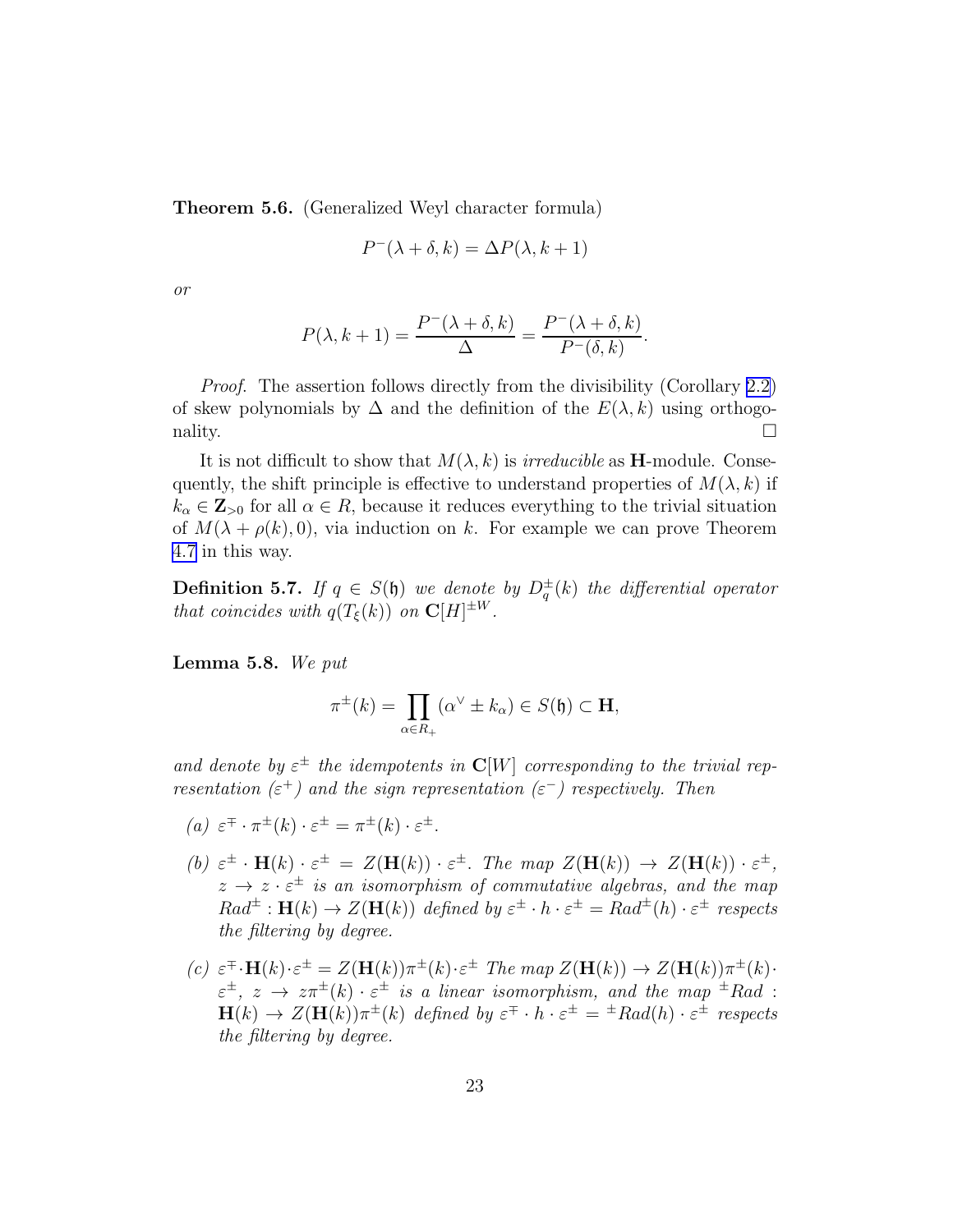<span id="page-23-0"></span>Theorem 5.6. (Generalized Weyl character formula)

$$
P^{-}(\lambda + \delta, k) = \Delta P(\lambda, k + 1)
$$

or

$$
P(\lambda, k+1) = \frac{P^-(\lambda + \delta, k)}{\Delta} = \frac{P^-(\lambda + \delta, k)}{P^-(\delta, k)}.
$$

Proof. The assertion follows directly from the divisibility (Corollary [2.2\)](#page-6-0) of skew polynomials by  $\Delta$  and the definition of the  $E(\lambda, k)$  using orthogonality.  $\Box$ 

It is not difficult to show that  $M(\lambda, k)$  is *irreducible* as **H**-module. Consequently, the shift principle is effective to understand properties of  $M(\lambda, k)$  if  $k_{\alpha} \in \mathbb{Z}_{>0}$  for all  $\alpha \in R$ , because it reduces everything to the trivial situation of  $M(\lambda + \rho(k), 0)$ , via induction on k. For example we can prove Theorem [4.7](#page-19-0) in this way.

**Definition 5.7.** If  $q \in S(\mathfrak{h})$  we denote by  $D_q^{\pm}(k)$  the differential operator that coincides with  $q(T_{\xi}(k))$  on  $\mathbf{C}[H]^{\pm W}$ .

Lemma 5.8. We put

$$
\pi^{\pm}(k) = \prod_{\alpha \in R_{+}} (\alpha^{\vee} \pm k_{\alpha}) \in S(\mathfrak{h}) \subset \mathbf{H},
$$

and denote by  $\varepsilon^{\pm}$  the idempotents in  $\mathbf{C}[W]$  corresponding to the trivial representation ( $\varepsilon^+$ ) and the sign representation ( $\varepsilon^-$ ) respectively. Then

- (a)  $\varepsilon^{\mp} \cdot \pi^{\pm}(k) \cdot \varepsilon^{\pm} = \pi^{\pm}(k) \cdot \varepsilon^{\pm}.$
- (b)  $\varepsilon^{\pm} \cdot \mathbf{H}(k) \cdot \varepsilon^{\pm} = Z(\mathbf{H}(k)) \cdot \varepsilon^{\pm}$ . The map  $Z(\mathbf{H}(k)) \to Z(\mathbf{H}(k)) \cdot \varepsilon^{\pm}$ ,  $z \rightarrow z \cdot \varepsilon^{\pm}$  is an isomorphism of commutative algebras, and the map  $Rad^{\pm}: \mathbf{H}(k) \to Z(\mathbf{H}(k))$  defined by  $\varepsilon^{\pm} \cdot h \cdot \varepsilon^{\pm} = Rad^{\pm}(h) \cdot \varepsilon^{\pm}$  respects the filtering by degree.
- (c)  $\varepsilon^+ \cdot \mathbf{H}(k) \cdot \varepsilon^+ = Z(\mathbf{H}(k)) \pi^{\pm}(k) \cdot \varepsilon^{\pm}$  The map  $Z(\mathbf{H}(k)) \to Z(\mathbf{H}(k)) \pi^{\pm}(k) \cdot \varepsilon^{\pm}$  $\varepsilon^{\pm}$ ,  $z \to z\pi^{\pm}(k) \cdot \varepsilon^{\pm}$  is a linear isomorphism, and the map  $^{\pm}$ Rad :  $\mathbf{H}(k) \to Z(\mathbf{H}(k))\pi^{\pm}(k)$  defined by  $\varepsilon^{\mp} \cdot h \cdot \varepsilon^{\pm} = {}^{\pm}Rad(h) \cdot \varepsilon^{\pm}$  respects the filtering by degree.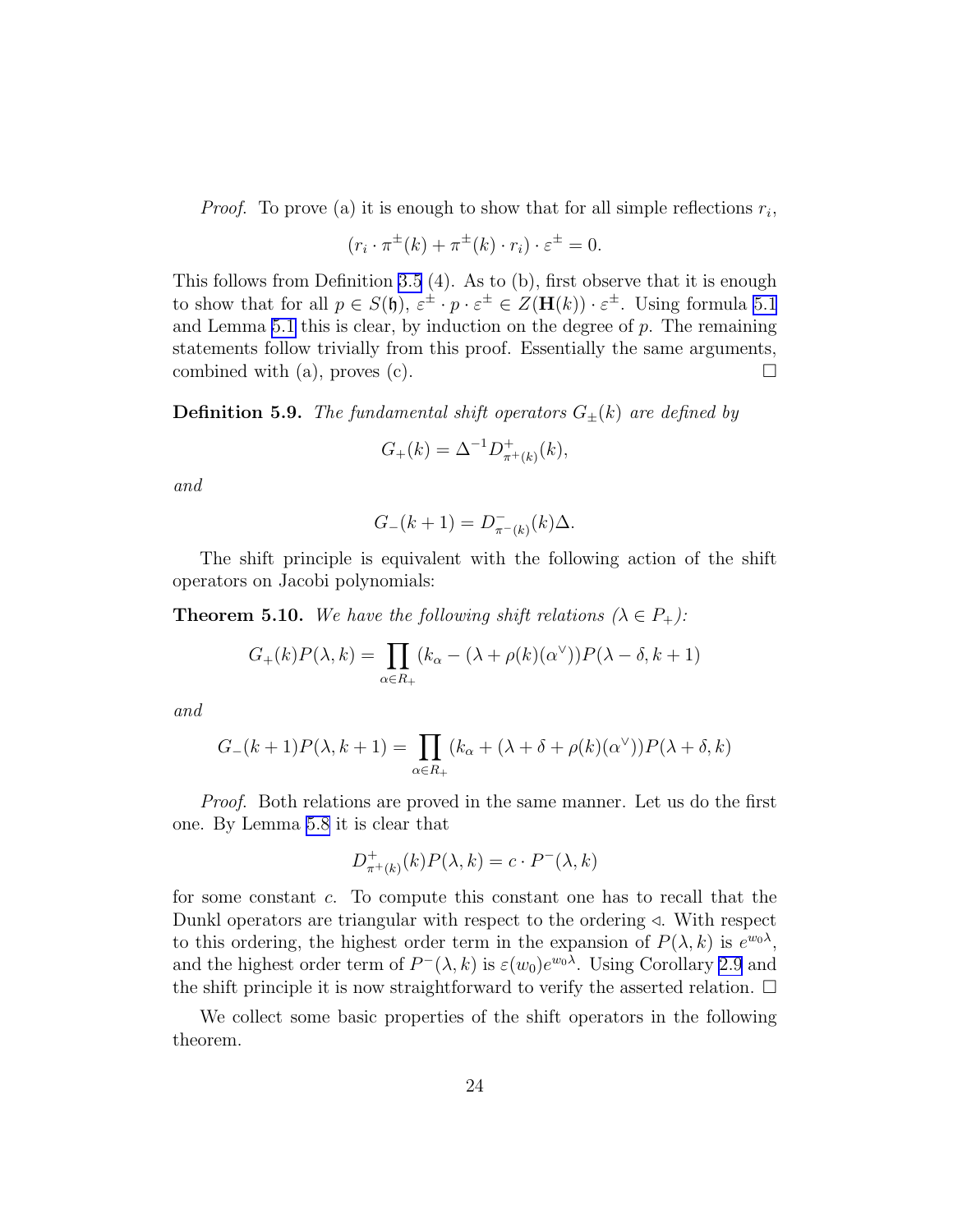<span id="page-24-0"></span>*Proof.* To prove (a) it is enough to show that for all simple reflections  $r_i$ ,

$$
(r_i \cdot \pi^{\pm}(k) + \pi^{\pm}(k) \cdot r_i) \cdot \varepsilon^{\pm} = 0.
$$

This follows from Definition [3.5](#page-13-0) (4). As to (b), first observe that it is enough to show that for all  $p \in S(\mathfrak{h})$ ,  $\varepsilon^{\pm} \cdot p \cdot \varepsilon^{\pm} \in Z(\mathbf{H}(k)) \cdot \varepsilon^{\pm}$ . Using formula [5.1](#page-21-0) and Lemma [5.1](#page-21-0) this is clear, by induction on the degree of  $p$ . The remaining statements follow trivially from this proof. Essentially the same arguments, combined with (a), proves (c).  $\square$ 

**Definition 5.9.** The fundamental shift operators  $G_{\pm}(k)$  are defined by

$$
G_{+}(k) = \Delta^{-1} D_{\pi^{+}(k)}^{+}(k),
$$

and

$$
G_{-}(k+1) = D_{\pi^{-}(k)}^{-}(k)\Delta.
$$

The shift principle is equivalent with the following action of the shift operators on Jacobi polynomials:

**Theorem 5.10.** We have the following shift relations  $(\lambda \in P_+)$ :

$$
G_{+}(k)P(\lambda,k) = \prod_{\alpha \in R_{+}} (k_{\alpha} - (\lambda + \rho(k)(\alpha^{\vee}))P(\lambda - \delta, k + 1)
$$

and

$$
G_{-}(k+1)P(\lambda, k+1) = \prod_{\alpha \in R_{+}} (k_{\alpha} + (\lambda + \delta + \rho(k)(\alpha^{\vee}))P(\lambda + \delta, k)
$$

Proof. Both relations are proved in the same manner. Let us do the first one. By Lemma [5.8](#page-23-0) it is clear that

$$
D_{\pi^+(k)}^+(k)P(\lambda,k) = c \cdot P^-(\lambda,k)
$$

for some constant c. To compute this constant one has to recall that the Dunkl operators are triangular with respect to the ordering ⊲. With respect to this ordering, the highest order term in the expansion of  $P(\lambda, k)$  is  $e^{w_0\lambda}$ , and the highest order term of  $P^-(\lambda, k)$  is  $\varepsilon(w_0)e^{w_0\lambda}$ . Using Corollary [2.9](#page-9-0) and the shift principle it is now straightforward to verify the asserted relation.  $\Box$ 

We collect some basic properties of the shift operators in the following theorem.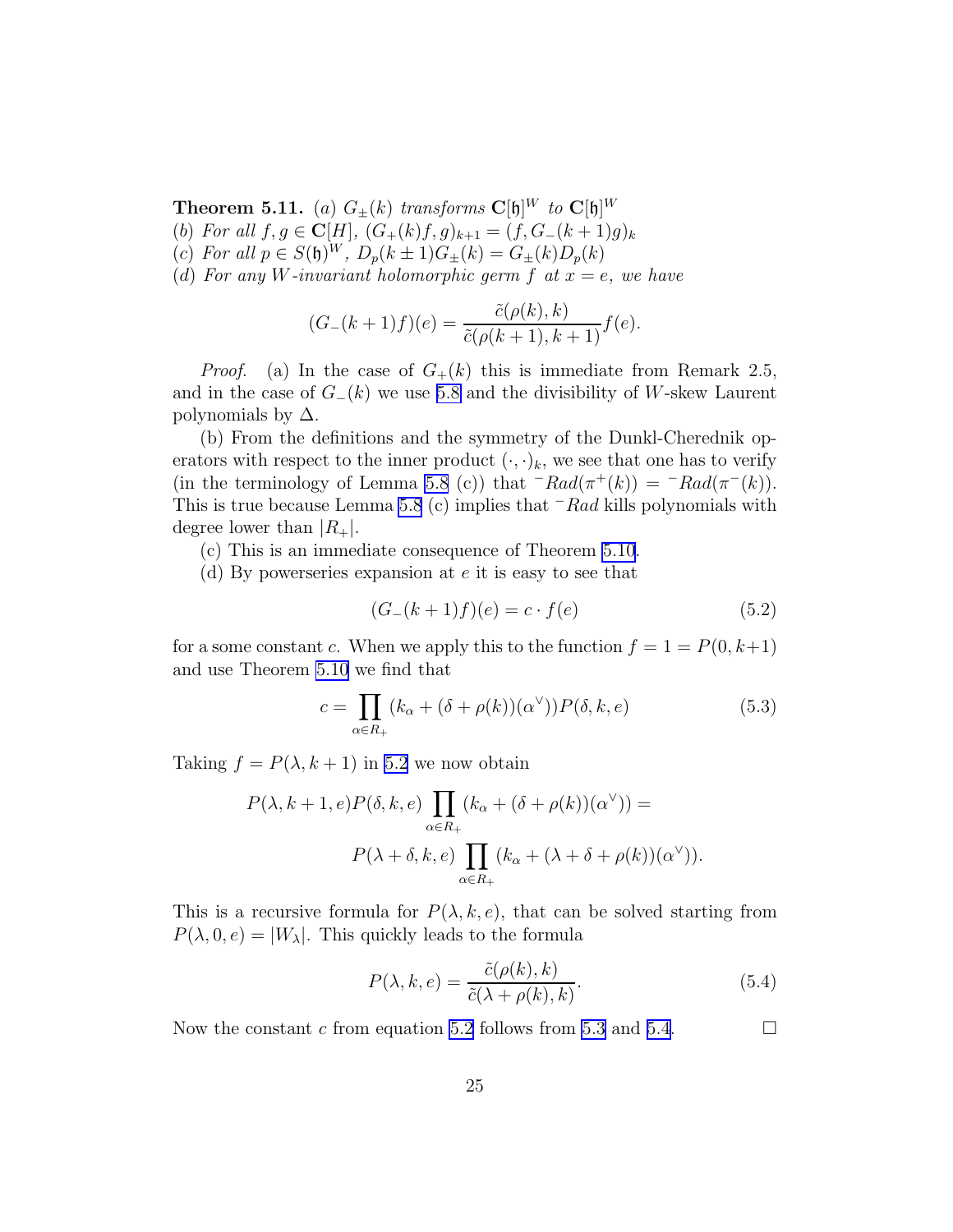<span id="page-25-0"></span>**Theorem 5.11.** (a)  $G_{\pm}(k)$  transforms  $\mathbf{C}[\mathfrak{h}]^W$  to  $\mathbf{C}[\mathfrak{h}]^W$ (b) For all  $f, g \in \mathbf{C}[H]$ ,  $(G_+(k)f, g)_{k+1} = (f, G_-(k+1)g)_k$ (c) For all  $p \in S(\mathfrak{h})^W$ ,  $D_p(k \pm 1)G_{\pm}(k) = G_{\pm}(k)D_p(k)$ 

(d) For any W-invariant holomorphic germ  $f$  at  $x = e$ , we have

$$
(G_{-}(k+1)f)(e) = \frac{\tilde{c}(\rho(k),k)}{\tilde{c}(\rho(k+1),k+1)}f(e).
$$

*Proof.* (a) In the case of  $G_+(k)$  this is immediate from Remark 2.5, and in the case of  $G_-(k)$  we use [5.8](#page-23-0) and the divisibility of W-skew Laurent polynomials by  $\Delta$ .

(b) From the definitions and the symmetry of the Dunkl-Cherednik operators with respect to the inner product  $(\cdot, \cdot)_k$ , we see that one has to verify (in the terminology of Lemma [5.8](#page-23-0) (c)) that  $\neg Rad(\pi^+(k)) = \neg Rad(\pi^-(k)).$ This is true because Lemma [5.8](#page-23-0) (c) implies that  $\neg Rad$  kills polynomials with degree lower than  $|R_+|$ .

(c) This is an immediate consequence of Theorem [5.10](#page-24-0).

(d) By powerseries expansion at e it is easy to see that

$$
(G_{-}(k+1)f)(e) = c \cdot f(e)
$$
\n(5.2)

for a some constant c. When we apply this to the function  $f = 1 = P(0, k+1)$ and use Theorem [5.10](#page-24-0) we find that

$$
c = \prod_{\alpha \in R_+} (k_\alpha + (\delta + \rho(k))(\alpha^\vee)) P(\delta, k, e)
$$
 (5.3)

Taking  $f = P(\lambda, k+1)$  in 5.2 we now obtain

$$
P(\lambda, k+1, e)P(\delta, k, e) \prod_{\alpha \in R_+} (k_\alpha + (\delta + \rho(k))(\alpha^\vee)) =
$$
  

$$
P(\lambda + \delta, k, e) \prod_{\alpha \in R_+} (k_\alpha + (\lambda + \delta + \rho(k))(\alpha^\vee)).
$$

This is a recursive formula for  $P(\lambda, k, e)$ , that can be solved starting from  $P(\lambda, 0, e) = |W_{\lambda}|$ . This quickly leads to the formula

$$
P(\lambda, k, e) = \frac{\tilde{c}(\rho(k), k)}{\tilde{c}(\lambda + \rho(k), k)}.
$$
\n(5.4)

Now the constant c from equation 5.2 follows from 5.3 and 5.4.  $\Box$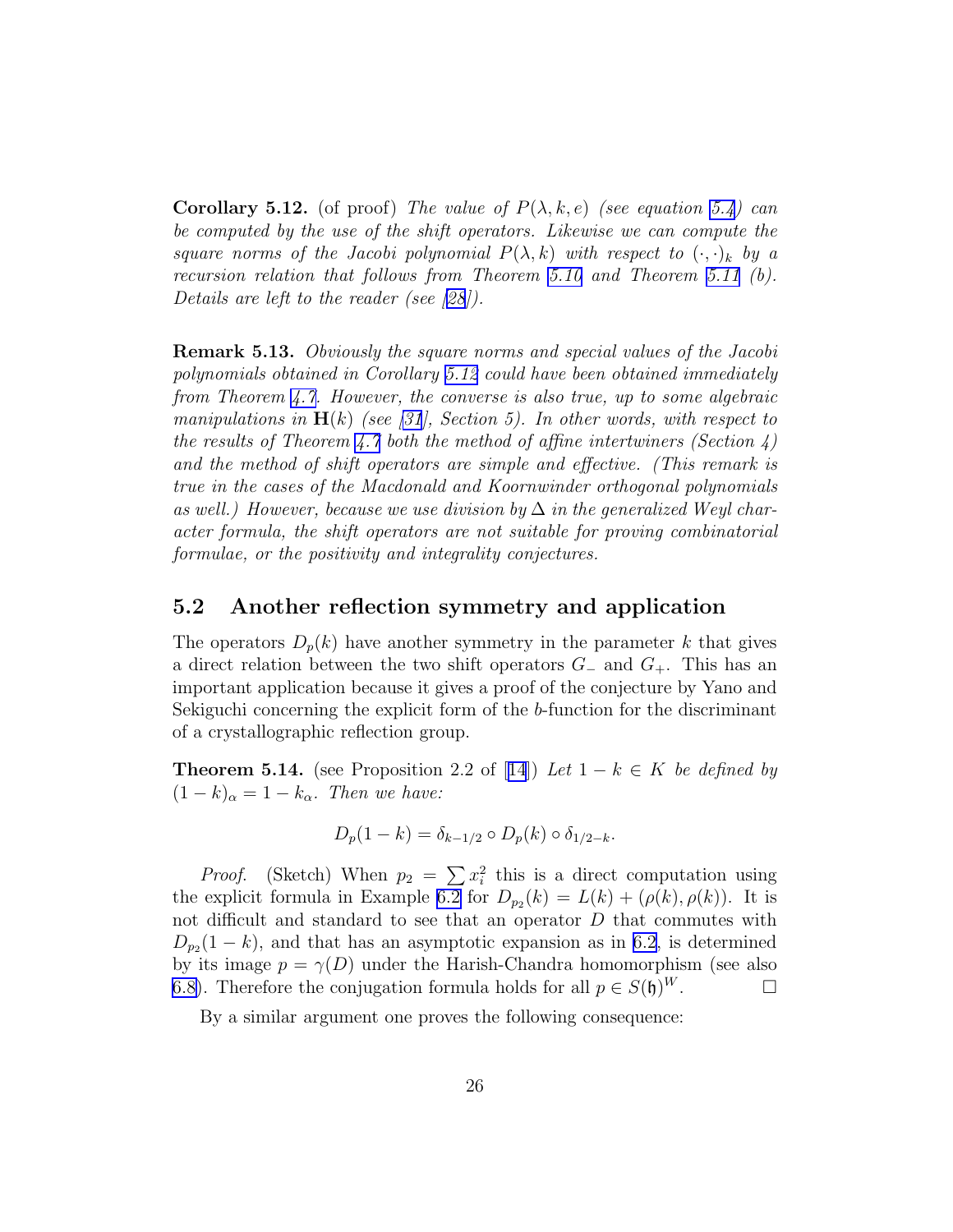<span id="page-26-0"></span>**Corollary 5.12.** (of proof) The value of  $P(\lambda, k, e)$  (see equation [5.4](#page-25-0)) can be computed by the use of the shift operators. Likewise we can compute the square norms of the Jacobi polynomial  $P(\lambda, k)$  with respect to  $(\cdot, \cdot)_k$  by a recursion relation that follows from Theorem [5.10](#page-24-0) and Theorem [5.11](#page-24-0)  $(b)$ . Details are left to the reader (see[[28\]](#page-65-0)).

Remark 5.13. Obviously the square norms and special values of the Jacobi polynomials obtained in Corollary [5.12](#page-25-0) could have been obtained immediately from Theorem [4.7.](#page-19-0) However, the converse is also true, up to some algebraic manipulations in  $H(k)$  (see [\[31](#page-65-0)], Section 5). In other words, with respect to the results of Theorem [4.7](#page-19-0) both the method of affine intertwiners (Section 4) and the method of shift operators are simple and effective. (This remark is true in the cases of the Macdonald and Koornwinder orthogonal polynomials as well.) However, because we use division by  $\Delta$  in the generalized Weyl character formula, the shift operators are not suitable for proving combinatorial formulae, or the positivity and integrality conjectures.

#### 5.2 Another reflection symmetry and application

The operators  $D_p(k)$  have another symmetry in the parameter k that gives a direct relation between the two shift operators  $G_-\$  and  $G_+$ . This has an important application because it gives a proof of the conjecture by Yano and Sekiguchi concerning the explicit form of the b-function for the discriminant of a crystallographic reflection group.

**Theorem5.[14](#page-64-0).** (see Proposition 2.2 of [14]) Let  $1 - k \in K$  be defined by  $(1-k)_{\alpha}=1-k_{\alpha}$ . Then we have:

$$
D_p(1-k) = \delta_{k-1/2} \circ D_p(k) \circ \delta_{1/2-k}.
$$

*Proof.* (Sketch) When  $p_2 = \sum x_i^2$  this is a direct computation using the explicit formula in Example [6.2](#page-29-0) for  $D_{p_2}(k) = L(k) + (\rho(k), \rho(k))$ . It is not difficult and standard to see that an operator D that commutes with  $D_{p_2}(1-k)$ , and that has an asymptotic expansion as in [6.2,](#page-30-0) is determined by its image  $p = \gamma(D)$  under the Harish-Chandra homomorphism (see also [6.8\)](#page-32-0). Therefore the conjugation formula holds for all  $p \in S(\mathfrak{h})^W$ .

By a similar argument one proves the following consequence: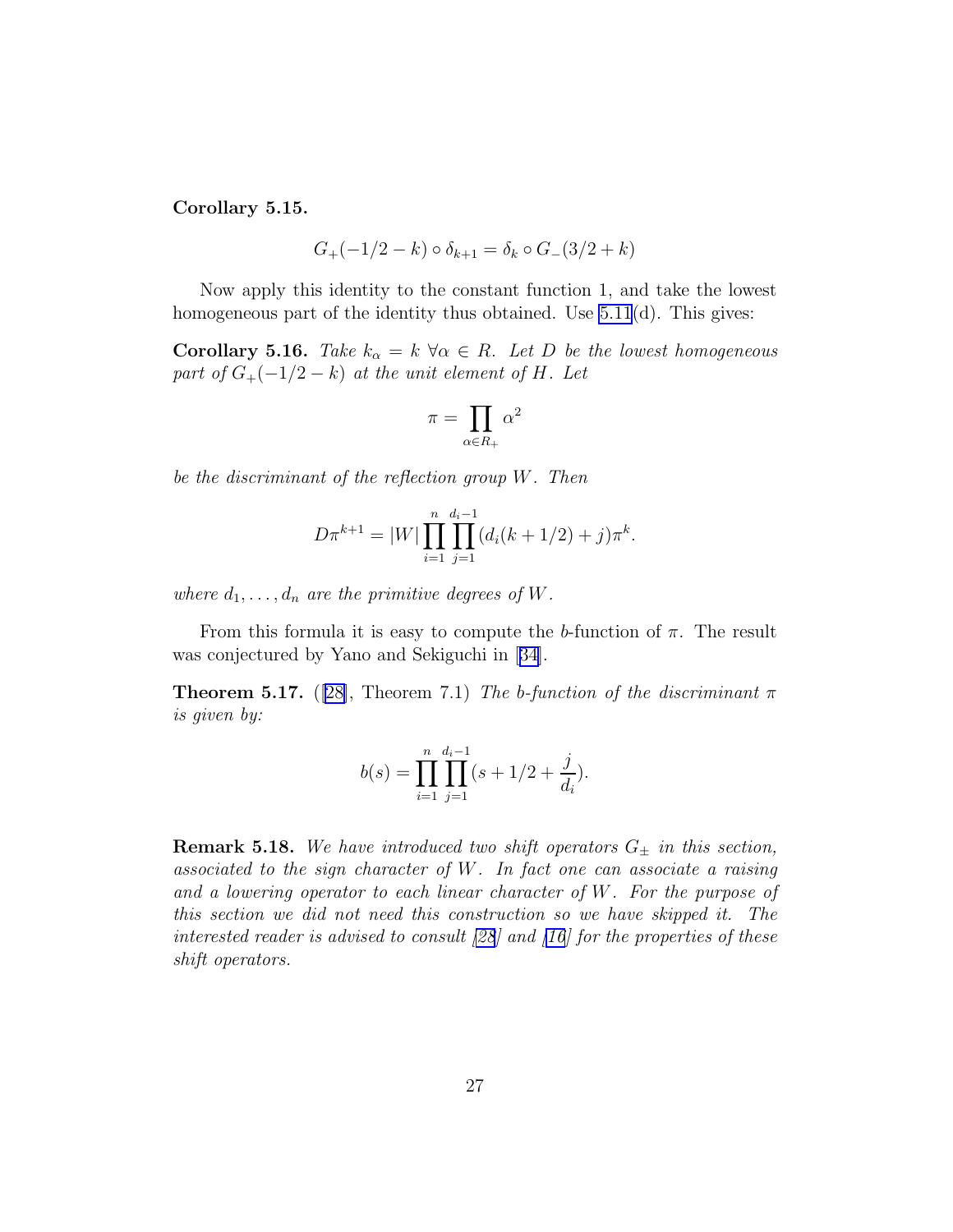Corollary 5.15.

$$
G_{+}(-1/2 - k) \circ \delta_{k+1} = \delta_k \circ G_{-}(3/2 + k)
$$

Now apply this identity to the constant function 1, and take the lowest homogeneous part of the identity thus obtained. Use [5.11](#page-24-0)(d). This gives:

**Corollary 5.16.** Take  $k_{\alpha} = k \ \forall \alpha \in R$ . Let D be the lowest homogeneous part of  $G_{+}(-1/2 - k)$  at the unit element of H. Let

$$
\pi = \prod_{\alpha \in R_+} \alpha^2
$$

be the discriminant of the reflection group W. Then

$$
D\pi^{k+1} = |W| \prod_{i=1}^{n} \prod_{j=1}^{d_i-1} (d_i(k+1/2) + j)\pi^k.
$$

where  $d_1, \ldots, d_n$  are the primitive degrees of W.

From this formula it is easy to compute the b-function of  $\pi$ . The result was conjectured by Yano and Sekiguchi in[[34\]](#page-65-0).

**Theorem 5.17.** ([\[28\]](#page-65-0), Theorem 7.1) The b-function of the discriminant  $\pi$ is given by:

$$
b(s) = \prod_{i=1}^{n} \prod_{j=1}^{d_i - 1} (s + 1/2 + \frac{j}{d_i}).
$$

**Remark 5.18.** We have introduced two shift operators  $G_{\pm}$  in this section, associated to the sign character of W. In fact one can associate a raising and a lowering operator to each linear character of  $W$ . For the purpose of this section we did not need this construction so we have skipped it. The interested reader is advised to consult [\[28](#page-65-0)] and [\[16](#page-64-0)] for the properties of these shift operators.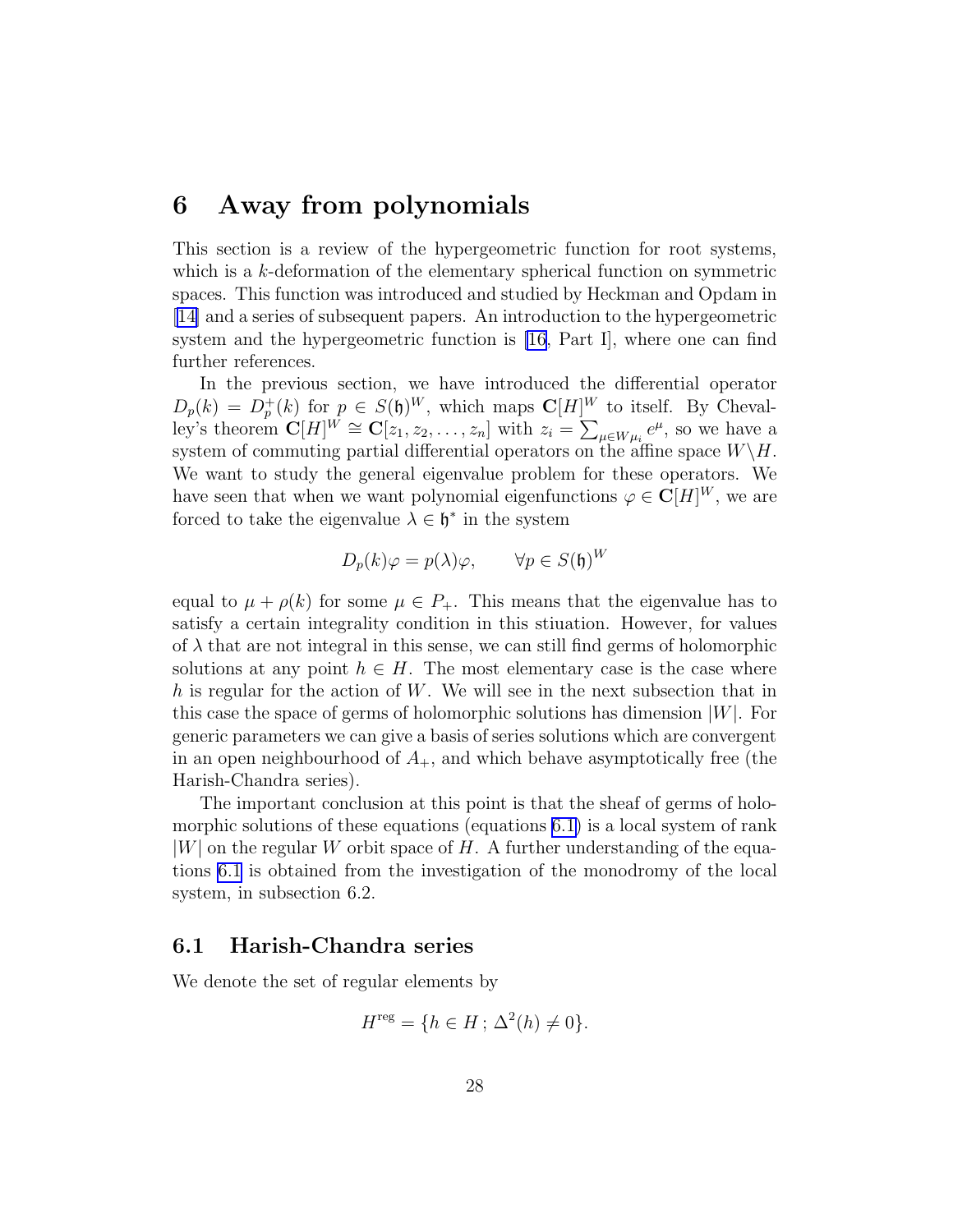# <span id="page-28-0"></span>6 Away from polynomials

This section is a review of the hypergeometric function for root systems, which is a k-deformation of the elementary spherical function on symmetric spaces. This function was introduced and studied by Heckman and Opdam in [\[14\]](#page-64-0) and a series of subsequent papers. An introduction to the hypergeometric system and the hypergeometric function is [\[16](#page-64-0), Part I], where one can find further references.

In the previous section, we have introduced the differential operator  $D_p(k) = D_p^+(k)$  for  $p \in S(\mathfrak{h})^W$ , which maps  $\mathbb{C}[H]^W$  to itself. By Chevalley's theorem  $\mathbf{C}[H]^W \cong \mathbf{C}[z_1, z_2, \dots, z_n]$  with  $z_i = \sum_{\mu \in W \mu_i} e^{\mu}$ , so we have a system of commuting partial differential operators on the affine space  $W\backslash H$ . We want to study the general eigenvalue problem for these operators. We have seen that when we want polynomial eigenfunctions  $\varphi \in \mathbf{C}[H]^W$ , we are forced to take the eigenvalue  $\lambda \in \mathfrak{h}^*$  in the system

$$
D_p(k)\varphi = p(\lambda)\varphi, \qquad \forall p \in S(\mathfrak{h})^W
$$

equal to  $\mu + \rho(k)$  for some  $\mu \in P_+$ . This means that the eigenvalue has to satisfy a certain integrality condition in this stiuation. However, for values of  $\lambda$  that are not integral in this sense, we can still find germs of holomorphic solutions at any point  $h \in H$ . The most elementary case is the case where h is regular for the action of  $W$ . We will see in the next subsection that in this case the space of germs of holomorphic solutions has dimension  $|W|$ . For generic parameters we can give a basis of series solutions which are convergent in an open neighbourhood of  $A_{+}$ , and which behave asymptotically free (the Harish-Chandra series).

The important conclusion at this point is that the sheaf of germs of holomorphic solutions of these equations (equations [6.1\)](#page-29-0) is a local system of rank  $|W|$  on the regular W orbit space of H. A further understanding of the equations [6.1](#page-29-0) is obtained from the investigation of the monodromy of the local system, in subsection 6.2.

#### 6.1 Harish-Chandra series

We denote the set of regular elements by

$$
Hreg = \{ h \in H : \Delta^2(h) \neq 0 \}.
$$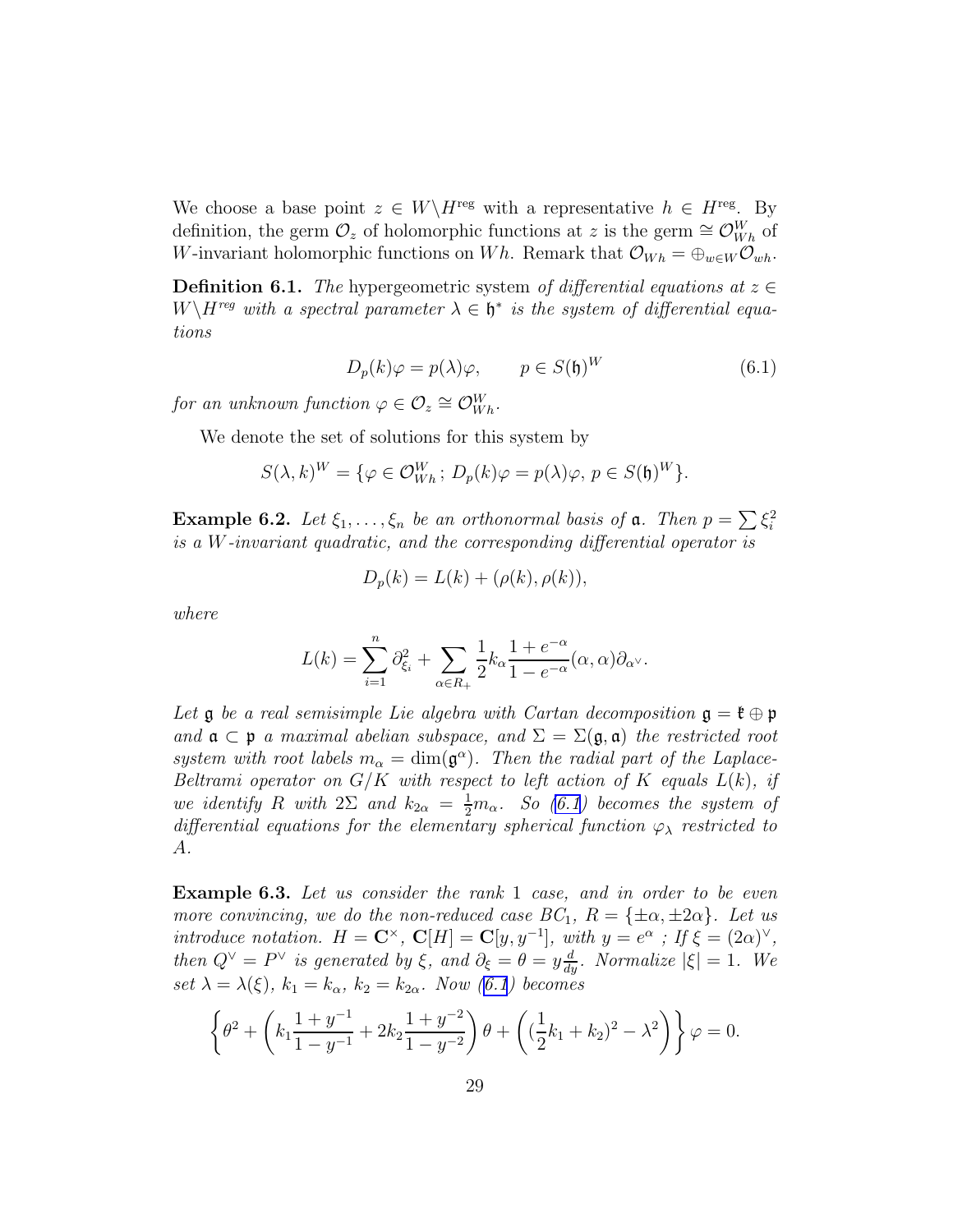<span id="page-29-0"></span>We choose a base point  $z \in W\backslash H^{\text{reg}}$  with a representative  $h \in H^{\text{reg}}$ . By definition, the germ  $\mathcal{O}_z$  of holomorphic functions at z is the germ  $\cong \mathcal{O}_{Wh}^W$  of W-invariant holomorphic functions on Wh. Remark that  $\mathcal{O}_{Wh} = \bigoplus_{w \in W} \mathcal{O}_{wh}$ .

**Definition 6.1.** The hypergeometric system of differential equations at  $z \in \mathbb{R}$  $W\backslash H^{reg}$  with a spectral parameter  $\lambda \in \mathfrak{h}^*$  is the system of differential equations

$$
D_p(k)\varphi = p(\lambda)\varphi, \qquad p \in S(\mathfrak{h})^W \tag{6.1}
$$

for an unknown function  $\varphi \in \mathcal{O}_z \cong \mathcal{O}_{Wh}^W$ .

We denote the set of solutions for this system by

$$
S(\lambda, k)^W = \{ \varphi \in \mathcal{O}_{Wh}^W; D_p(k)\varphi = p(\lambda)\varphi, p \in S(\mathfrak{h})^W \}.
$$

**Example 6.2.** Let  $\xi_1, \ldots, \xi_n$  be an orthonormal basis of **a**. Then  $p = \sum \xi_i^2$ is a W-invariant quadratic, and the corresponding differential operator is

$$
D_p(k) = L(k) + (\rho(k), \rho(k)),
$$

where

$$
L(k) = \sum_{i=1}^{n} \partial_{\xi_i}^2 + \sum_{\alpha \in R_+} \frac{1}{2} k_{\alpha} \frac{1 + e^{-\alpha}}{1 - e^{-\alpha}} (\alpha, \alpha) \partial_{\alpha} \varphi.
$$

Let  $\mathfrak g$  be a real semisimple Lie algebra with Cartan decomposition  $\mathfrak g = \mathfrak k \oplus \mathfrak p$ and  $\mathfrak{a} \subset \mathfrak{p}$  a maximal abelian subspace, and  $\Sigma = \Sigma(\mathfrak{g}, \mathfrak{a})$  the restricted root system with root labels  $m_{\alpha} = \dim(\mathfrak{g}^{\alpha})$ . Then the radial part of the Laplace-Beltrami operator on  $G/K$  with respect to left action of K equals  $L(k)$ , if we identify R with  $2\Sigma$  and  $k_{2\alpha} = \frac{1}{2}m_{\alpha}$ . So (6.1) becomes the system of differential equations for the elementary spherical function  $\varphi_{\lambda}$  restricted to A.

**Example 6.3.** Let us consider the rank 1 case, and in order to be even more convincing, we do the non-reduced case  $BC_1$ ,  $R = {\pm \alpha, \pm 2\alpha}$ . Let us introduce notation.  $H = \mathbf{C}^{\times}$ ,  $\mathbf{C}[H] = \mathbf{C}[y, y^{-1}]$ , with  $y = e^{\alpha}$ ; If  $\xi = (2\alpha)^{\vee}$ , then  $Q^{\vee} = P^{\vee}$  is generated by  $\xi$ , and  $\partial_{\xi} = \theta = y \frac{d}{dy}$ . Normalize  $|\xi| = 1$ . We set  $\lambda = \lambda(\xi)$ ,  $k_1 = k_\alpha$ ,  $k_2 = k_{2\alpha}$ . Now (6.1) becomes

$$
\left\{\theta^2 + \left(k_1\frac{1+y^{-1}}{1-y^{-1}} + 2k_2\frac{1+y^{-2}}{1-y^{-2}}\right)\theta + \left((\frac{1}{2}k_1 + k_2)^2 - \lambda^2\right)\right\}\varphi = 0.
$$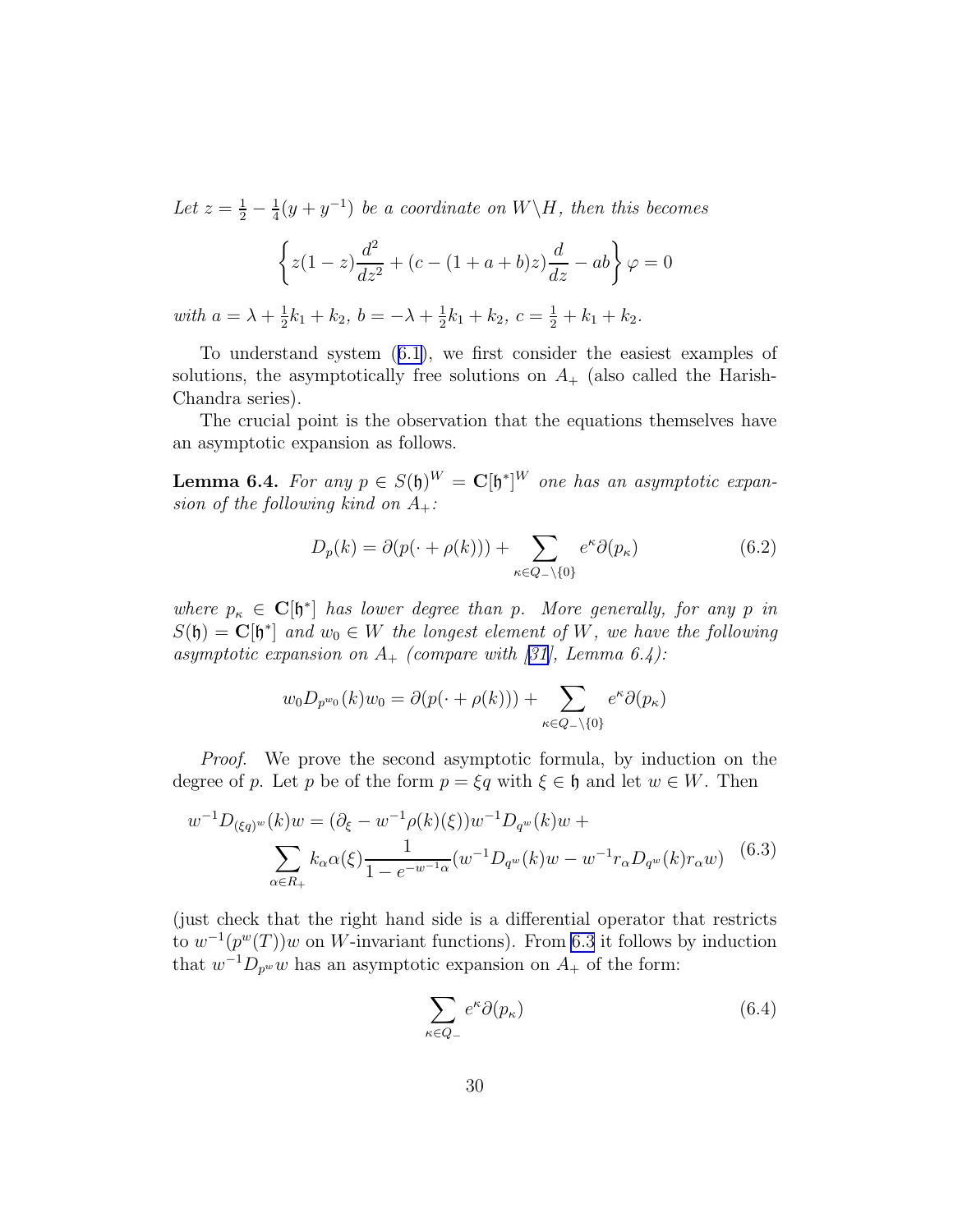<span id="page-30-0"></span>Let  $z = \frac{1}{2} - \frac{1}{4}$  $\frac{1}{4}(y+y^{-1})$  be a coordinate on  $W\backslash H$ , then this becomes

$$
\left\{ z(1-z)\frac{d^{2}}{dz^{2}} + (c - (1+a+b)z)\frac{d}{dz} - ab \right\} \varphi = 0
$$

with  $a = \lambda + \frac{1}{2}$  $\frac{1}{2}k_1 + k_2, b = -\lambda + \frac{1}{2}$  $\frac{1}{2}k_1 + k_2, \ c = \frac{1}{2} + k_1 + k_2.$ 

To understand system([6.1\)](#page-29-0), we first consider the easiest examples of solutions, the asymptotically free solutions on  $A_{+}$  (also called the Harish-Chandra series).

The crucial point is the observation that the equations themselves have an asymptotic expansion as follows.

**Lemma 6.4.** For any  $p \in S(\mathfrak{h})^W = \mathbf{C}[\mathfrak{h}^*]^W$  one has an asymptotic expansion of the following kind on  $A_+$ :

$$
D_p(k) = \partial(p(\cdot + \rho(k))) + \sum_{\kappa \in Q_{-}\setminus\{0\}} e^{\kappa} \partial(p_{\kappa})
$$
(6.2)

where  $p_{\kappa} \in \mathbb{C}[\mathfrak{h}^*]$  has lower degree than p. More generally, for any p in  $S(\mathfrak{h}) = \mathbf{C}[\mathfrak{h}^*]$  and  $w_0 \in W$  the longest element of W, we have the following asymptoticexpansion on  $A_+$  (compare with [[31\]](#page-65-0), Lemma 6.4):

$$
w_0 D_{p^{w_0}}(k) w_0 = \partial(p(\cdot + \rho(k))) + \sum_{\kappa \in Q_{-}\setminus\{0\}} e^{\kappa} \partial(p_{\kappa})
$$

Proof. We prove the second asymptotic formula, by induction on the degree of p. Let p be of the form  $p = \xi q$  with  $\xi \in \mathfrak{h}$  and let  $w \in W$ . Then

$$
w^{-1}D_{(\xi q)^w}(k)w = (\partial_{\xi} - w^{-1}\rho(k)(\xi))w^{-1}D_{q^w}(k)w + \sum_{\alpha \in R_+} k_{\alpha}\alpha(\xi)\frac{1}{1 - e^{-w^{-1}\alpha}}(w^{-1}D_{q^w}(k)w - w^{-1}r_{\alpha}D_{q^w}(k)r_{\alpha}w)
$$
(6.3)

(just check that the right hand side is a differential operator that restricts to  $w^{-1}(p^w(T))w$  on W-invariant functions). From 6.3 it follows by induction that  $w^{-1}D_{p^w}w$  has an asymptotic expansion on  $A_+$  of the form:

$$
\sum_{\kappa \in Q_{-}} e^{\kappa} \partial(p_{\kappa}) \tag{6.4}
$$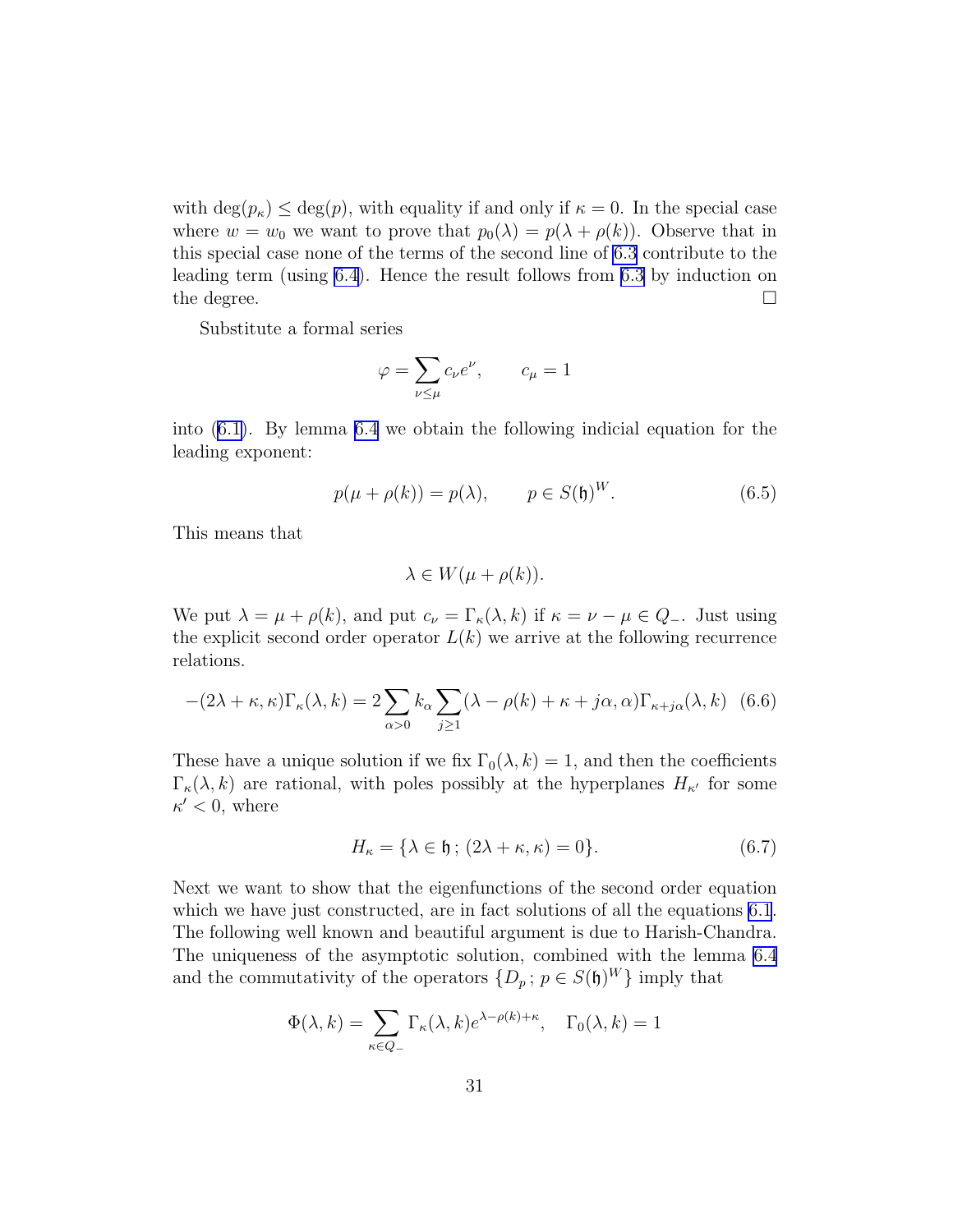<span id="page-31-0"></span>with  $\deg(p_{\kappa}) \leq \deg(p)$ , with equality if and only if  $\kappa = 0$ . In the special case where  $w = w_0$  we want to prove that  $p_0(\lambda) = p(\lambda + \rho(k))$ . Observe that in this special case none of the terms of the second line of [6.3](#page-30-0) contribute to the leading term (using [6.4](#page-30-0)). Hence the result follows from [6.3](#page-30-0) by induction on the degree.  $\Box$ 

Substitute a formal series

$$
\varphi = \sum_{\nu \le \mu} c_{\nu} e^{\nu}, \qquad c_{\mu} = 1
$$

into([6.1\)](#page-29-0). By lemma [6.4](#page-30-0) we obtain the following indicial equation for the leading exponent:

$$
p(\mu + \rho(k)) = p(\lambda), \qquad p \in S(\mathfrak{h})^W. \tag{6.5}
$$

This means that

$$
\lambda \in W(\mu + \rho(k)).
$$

We put  $\lambda = \mu + \rho(k)$ , and put  $c_{\nu} = \Gamma_{\kappa}(\lambda, k)$  if  $\kappa = \nu - \mu \in Q_{-}$ . Just using the explicit second order operator  $L(k)$  we arrive at the following recurrence relations.

$$
-(2\lambda + \kappa, \kappa)\Gamma_{\kappa}(\lambda, k) = 2\sum_{\alpha > 0} k_{\alpha} \sum_{j \ge 1} (\lambda - \rho(k) + \kappa + j\alpha, \alpha)\Gamma_{\kappa + j\alpha}(\lambda, k) \tag{6.6}
$$

These have a unique solution if we fix  $\Gamma_0(\lambda, k) = 1$ , and then the coefficients  $\Gamma_{\kappa}(\lambda, k)$  are rational, with poles possibly at the hyperplanes  $H_{\kappa'}$  for some  $\kappa' < 0$ , where

$$
H_{\kappa} = \{ \lambda \in \mathfrak{h} \, ; \, (2\lambda + \kappa, \kappa) = 0 \}. \tag{6.7}
$$

Next we want to show that the eigenfunctions of the second order equation which we have just constructed, are in fact solutions of all the equations [6.1](#page-29-0). The following well known and beautiful argument is due to Harish-Chandra. The uniqueness of the asymptotic solution, combined with the lemma [6.4](#page-30-0) and the commutativity of the operators  $\{D_p: p \in S(\mathfrak{h})^W\}$  imply that

$$
\Phi(\lambda, k) = \sum_{\kappa \in Q_-} \Gamma_{\kappa}(\lambda, k) e^{\lambda - \rho(k) + \kappa}, \quad \Gamma_0(\lambda, k) = 1
$$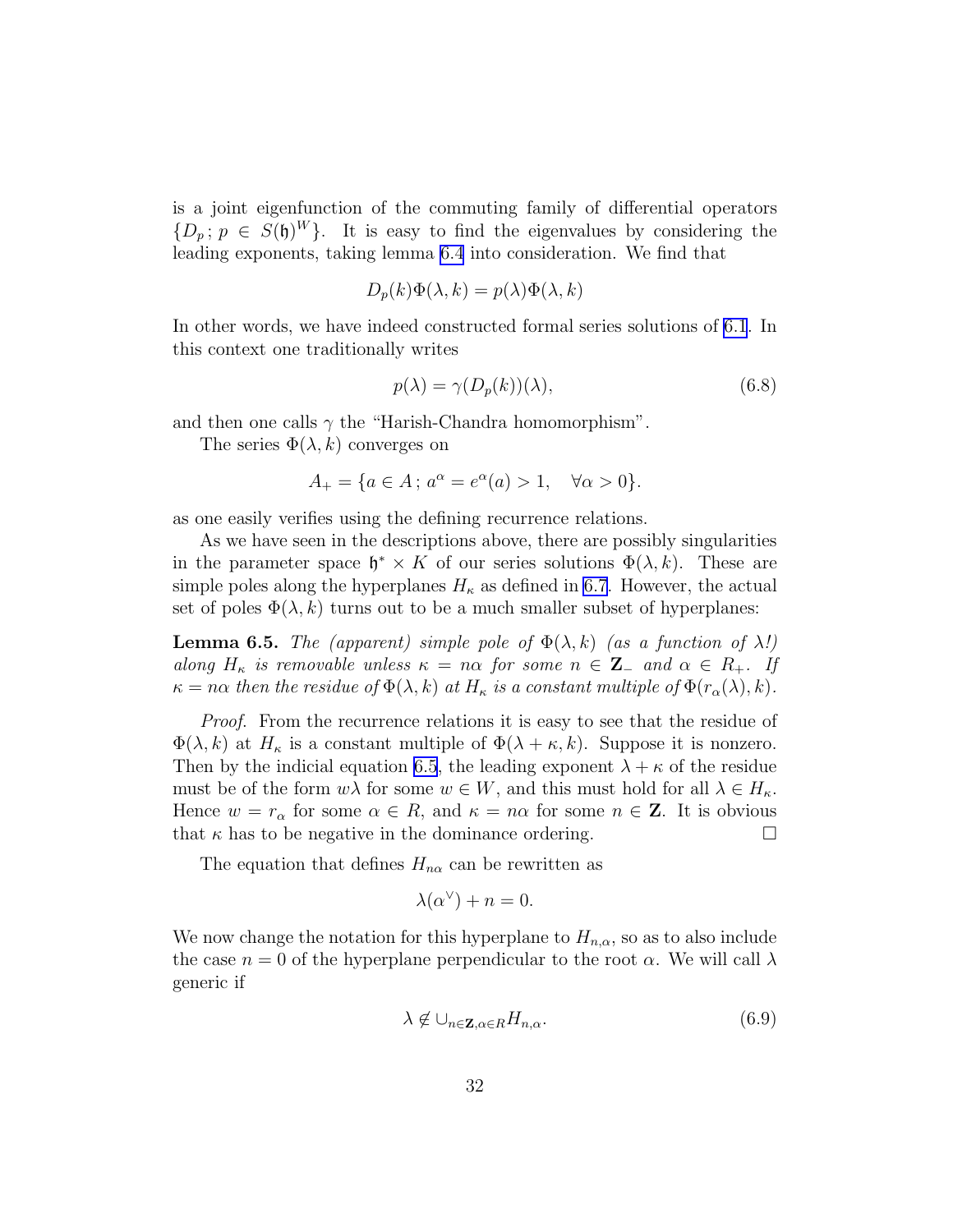<span id="page-32-0"></span>is a joint eigenfunction of the commuting family of differential operators  $\{D_p: p \in S(\mathfrak{h})^W\}$ . It is easy to find the eigenvalues by considering the leading exponents, taking lemma [6.4](#page-30-0) into consideration. We find that

$$
D_p(k)\Phi(\lambda, k) = p(\lambda)\Phi(\lambda, k)
$$

In other words, we have indeed constructed formal series solutions of [6.1](#page-29-0). In this context one traditionally writes

$$
p(\lambda) = \gamma(D_p(k))(\lambda),\tag{6.8}
$$

and then one calls  $\gamma$  the "Harish-Chandra homomorphism".

The series  $\Phi(\lambda, k)$  converges on

$$
A_{+} = \{a \in A : a^{\alpha} = e^{\alpha}(a) > 1, \quad \forall \alpha > 0\}.
$$

as one easily verifies using the defining recurrence relations.

As we have seen in the descriptions above, there are possibly singularities in the parameter space  $\mathfrak{h}^* \times K$  of our series solutions  $\Phi(\lambda, k)$ . These are simple poles along the hyperplanes  $H_{\kappa}$  as defined in [6.7](#page-31-0). However, the actual set of poles  $\Phi(\lambda, k)$  turns out to be a much smaller subset of hyperplanes:

**Lemma 6.5.** The (apparent) simple pole of  $\Phi(\lambda, k)$  (as a function of  $\lambda$ !) along  $H_{\kappa}$  is removable unless  $\kappa = n\alpha$  for some  $n \in \mathbb{Z}_-$  and  $\alpha \in R_+$ . If  $\kappa = n\alpha$  then the residue of  $\Phi(\lambda, k)$  at  $H_{\kappa}$  is a constant multiple of  $\Phi(r_{\alpha}(\lambda), k)$ .

Proof. From the recurrence relations it is easy to see that the residue of  $\Phi(\lambda, k)$  at  $H_{\kappa}$  is a constant multiple of  $\Phi(\lambda + \kappa, k)$ . Suppose it is nonzero. Then by the indicial equation [6.5](#page-31-0), the leading exponent  $\lambda + \kappa$  of the residue must be of the form  $w\lambda$  for some  $w \in W$ , and this must hold for all  $\lambda \in H_{\kappa}$ . Hence  $w = r_\alpha$  for some  $\alpha \in R$ , and  $\kappa = n\alpha$  for some  $n \in \mathbb{Z}$ . It is obvious that  $\kappa$  has to be negative in the dominance ordering.  $\Box$ 

The equation that defines  $H_{n\alpha}$  can be rewritten as

$$
\lambda(\alpha^{\vee}) + n = 0.
$$

We now change the notation for this hyperplane to  $H_{n,\alpha}$ , so as to also include the case  $n = 0$  of the hyperplane perpendicular to the root  $\alpha$ . We will call  $\lambda$ generic if

$$
\lambda \notin \cup_{n \in \mathbf{Z}, \alpha \in R} H_{n,\alpha}.\tag{6.9}
$$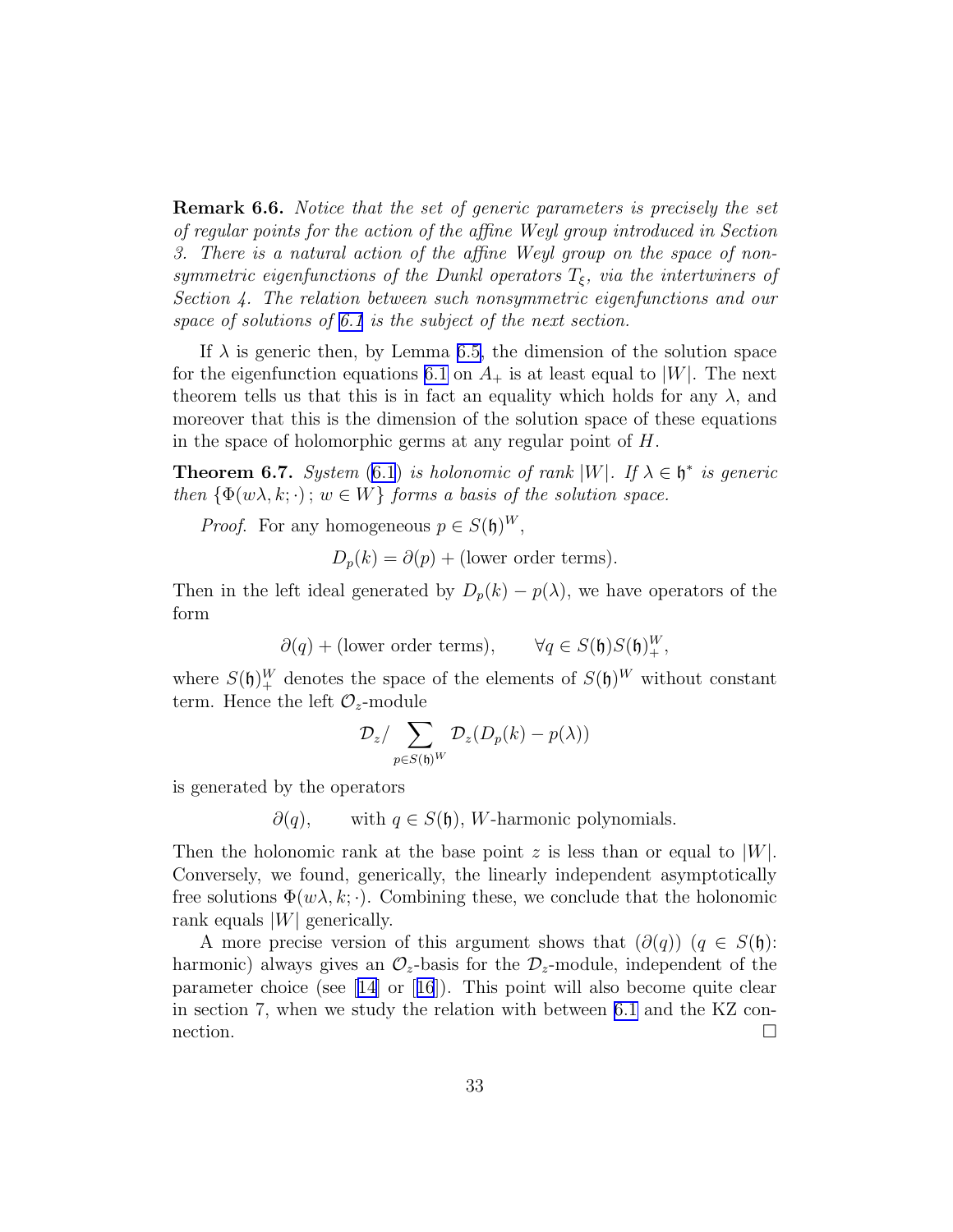<span id="page-33-0"></span>Remark 6.6. Notice that the set of generic parameters is precisely the set of regular points for the action of the affine Weyl group introduced in Section 3. There is a natural action of the affine Weyl group on the space of nonsymmetric eigenfunctions of the Dunkl operators  $T_{\xi}$ , via the intertwiners of Section 4. The relation between such nonsymmetric eigenfunctions and our space of solutions of [6.1](#page-29-0) is the subject of the next section.

If  $\lambda$  is generic then, by Lemma [6.5,](#page-32-0) the dimension of the solution space for the eigenfunction equations [6.1](#page-29-0) on  $A_+$  is at least equal to |W|. The next theorem tells us that this is in fact an equality which holds for any  $\lambda$ , and moreover that this is the dimension of the solution space of these equations in the space of holomorphic germs at any regular point of H.

**Theorem 6.7.** System [\(6.1](#page-29-0)) is holonomic of rank  $|W|$ . If  $\lambda \in \mathfrak{h}^*$  is generic then  $\{\Phi(w\lambda, k; \cdot)\,;\, w \in W\}$  forms a basis of the solution space.

*Proof.* For any homogeneous  $p \in S(\mathfrak{h})^W$ ,

 $D_p(k) = \partial(p) +$  (lower order terms).

Then in the left ideal generated by  $D_p(k) - p(\lambda)$ , we have operators of the form

> $\partial(q) + (\text{lower order terms}),$  $W_+^{\phantom{A^A}}$

where  $S(\mathfrak{h})^W_+$  denotes the space of the elements of  $S(\mathfrak{h})^W$  without constant term. Hence the left  $\mathcal{O}_z$ -module

$$
\mathcal{D}_z / \sum_{p \in S(\mathfrak{h})^W} \mathcal{D}_z (D_p(k) - p(\lambda))
$$

is generated by the operators

 $\partial(q)$ , with  $q \in S(\mathfrak{h})$ , W-harmonic polynomials.

Then the holonomic rank at the base point z is less than or equal to  $|W|$ . Conversely, we found, generically, the linearly independent asymptotically free solutions  $\Phi(w\lambda, k; \cdot)$ . Combining these, we conclude that the holonomic rank equals  $|W|$  generically.

A more precise version of this argument shows that  $(\partial(q))$   $(q \in S(\mathfrak{h}))$ : harmonic) always gives an  $\mathcal{O}_z$ -basis for the  $\mathcal{D}_z$ -module, independent of the parameter choice (see [\[14\]](#page-64-0) or[[16](#page-64-0)]). This point will also become quite clear in section 7, when we study the relation with between [6.1](#page-29-0) and the KZ connection.  $\Box$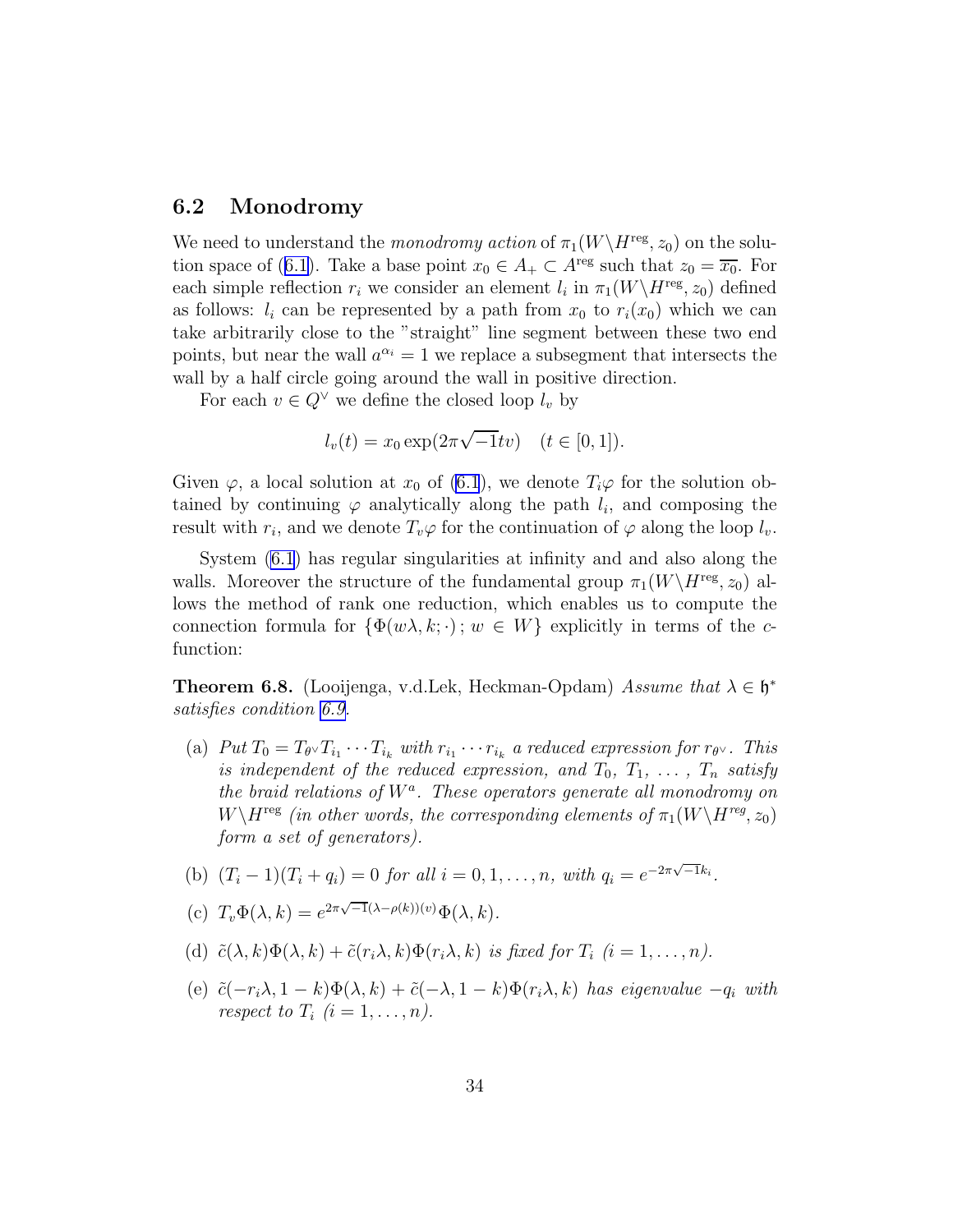#### <span id="page-34-0"></span>6.2 Monodromy

We need to understand the monodromy action of  $\pi_1(W\backslash H^{\text{reg}}, z_0)$  on the solu-tionspace of ([6.1\)](#page-29-0). Take a base point  $x_0 \in A_+ \subset A^{\text{reg}}$  such that  $z_0 = \overline{x_0}$ . For each simple reflection  $r_i$  we consider an element  $l_i$  in  $\pi_1(W\backslash H^{\text{reg}}, z_0)$  defined as follows:  $l_i$  can be represented by a path from  $x_0$  to  $r_i(x_0)$  which we can take arbitrarily close to the "straight" line segment between these two end points, but near the wall  $a^{\alpha_i} = 1$  we replace a subsegment that intersects the wall by a half circle going around the wall in positive direction.

For each  $v \in Q^{\vee}$  we define the closed loop  $l_v$  by

$$
l_v(t) = x_0 \exp(2\pi \sqrt{-1}tv) \quad (t \in [0, 1]).
$$

Given  $\varphi$ , a local solution at  $x_0$  of [\(6.1](#page-29-0)), we denote  $T_i\varphi$  for the solution obtained by continuing  $\varphi$  analytically along the path  $l_i$ , and composing the result with  $r_i$ , and we denote  $T_v\varphi$  for the continuation of  $\varphi$  along the loop  $l_v$ .

System [\(6.1](#page-29-0)) has regular singularities at infinity and and also along the walls. Moreover the structure of the fundamental group  $\pi_1(W\backslash H^{\text{reg}}, z_0)$  allows the method of rank one reduction, which enables us to compute the connection formula for  $\{\Phi(w\lambda, k; \cdot)\colon w \in W\}$  explicitly in terms of the cfunction:

**Theorem 6.8.** (Looijenga, v.d.Lek, Heckman-Opdam) Assume that  $\lambda \in \mathfrak{h}^*$ satisfies condition [6.9.](#page-32-0)

- (a)  $Put T_0 = T_{\theta} \vee T_{i_1} \cdots T_{i_k} \text{ with } r_{i_1} \cdots r_{i_k} \text{ a reduced expression for } r_{\theta} \vee \ldots \text{ This}$ is independent of the reduced expression, and  $T_0, T_1, \ldots, T_n$  satisfy the braid relations of  $W^a$ . These operators generate all monodromy on  $W\backslash H^{\text{reg}}$  (in other words, the corresponding elements of  $\pi_1(W\backslash H^{\text{reg}}, z_0)$ ) form a set of generators).
- (b)  $(T_i 1)(T_i + q_i) = 0$  for all  $i = 0, 1, ..., n$ , with  $q_i = e^{-2\pi\sqrt{-1}k_i}$ .
- (c)  $T_v \Phi(\lambda, k) = e^{2\pi \sqrt{-1}(\lambda \rho(k))(v)} \Phi(\lambda, k).$
- (d)  $\tilde{c}(\lambda, k)\Phi(\lambda, k) + \tilde{c}(r_i\lambda, k)\Phi(r_i\lambda, k)$  is fixed for  $T_i$   $(i = 1, \ldots, n)$ .
- (e)  $\tilde{c}(-r_i\lambda, 1-k)\Phi(\lambda, k) + \tilde{c}(-\lambda, 1-k)\Phi(r_i\lambda, k)$  has eigenvalue  $-q_i$  with respect to  $T_i$   $(i = 1, \ldots, n)$ .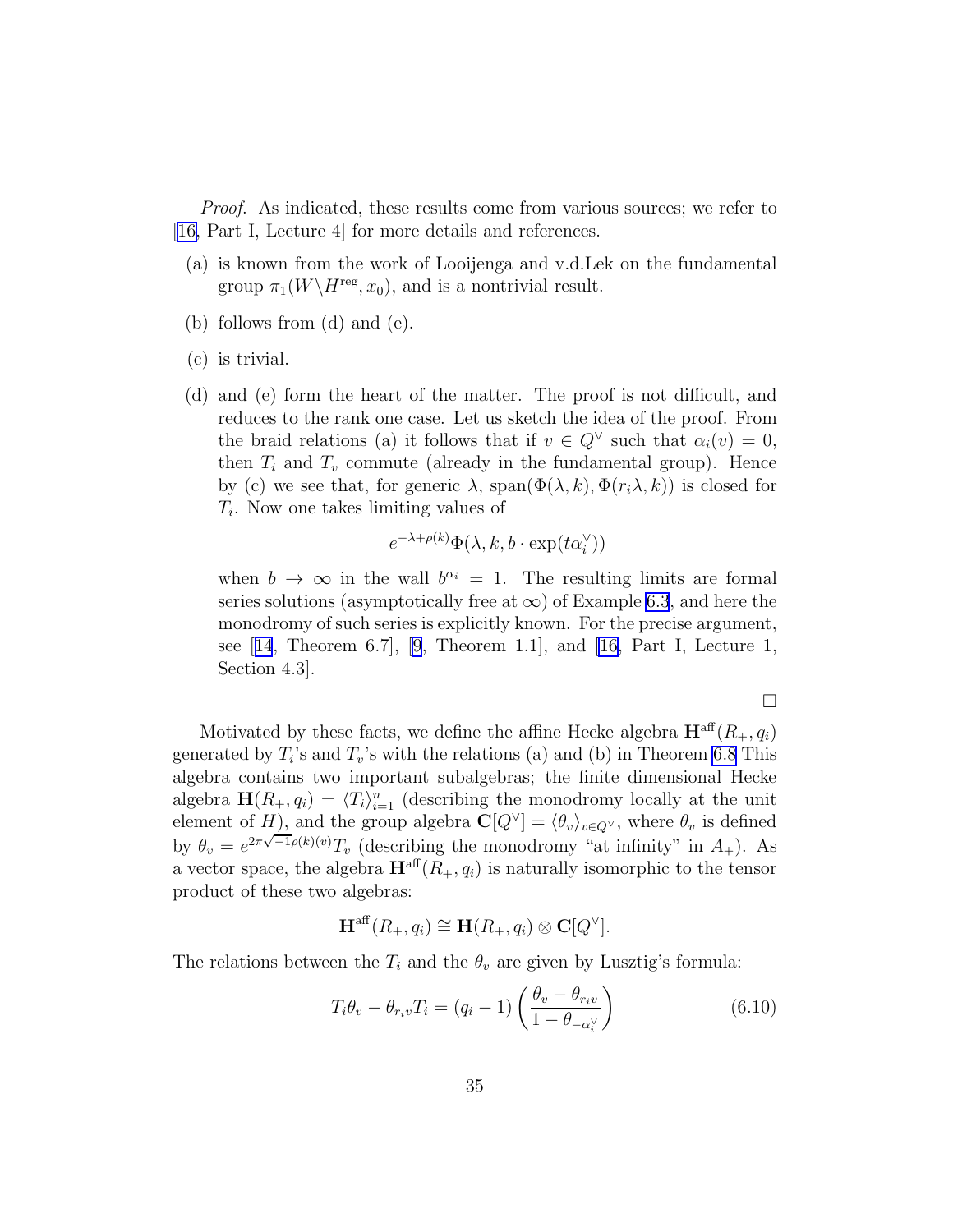<span id="page-35-0"></span>Proof. As indicated, these results come from various sources; we refer to [\[16,](#page-64-0) Part I, Lecture 4] for more details and references.

- (a) is known from the work of Looijenga and v.d.Lek on the fundamental group  $\pi_1(W\backslash H^{\text{reg}}, x_0)$ , and is a nontrivial result.
- (b) follows from (d) and (e).
- (c) is trivial.
- (d) and (e) form the heart of the matter. The proof is not difficult, and reduces to the rank one case. Let us sketch the idea of the proof. From the braid relations (a) it follows that if  $v \in Q^{\vee}$  such that  $\alpha_i(v) = 0$ , then  $T_i$  and  $T_v$  commute (already in the fundamental group). Hence by (c) we see that, for generic  $\lambda$ , span $(\Phi(\lambda, k), \Phi(r_i \lambda, k))$  is closed for  $T_i$ . Now one takes limiting values of

$$
e^{-\lambda+\rho(k)}\Phi(\lambda,k,b\cdot\exp(t\alpha_i^{\vee}))
$$

when  $b \to \infty$  in the wall  $b^{\alpha_i} = 1$ . The resulting limits are formal series solutions (asymptotically free at  $\infty$ ) of Example [6.3](#page-29-0), and here the monodromy of such series is explicitly known. For the precise argument, see $[14,$  $[14,$  $[14,$  Theorem 6.7,  $[9,$  Theorem 1.1, and  $[16,$  Part I, Lecture 1, Section 4.3].

 $\Box$ 

Motivated by these facts, we define the affine Hecke algebra  $\mathbf{H}^{\text{aff}}(R_{+}, q_{i})$ generated by  $T_i$ 's and  $T_v$ 's with the relations (a) and (b) in Theorem [6.8](#page-34-0) This algebra contains two important subalgebras; the finite dimensional Hecke algebra  $\mathbf{H}(R_+, q_i) = \langle T_i \rangle_{i=1}^n$  (describing the monodromy locally at the unit element of H), and the group algebra  $\mathbb{C}[Q^{\vee}] = \langle \theta_v \rangle_{v \in Q^{\vee}}$ , where  $\theta_v$  is defined by  $\theta_v = e^{2\pi\sqrt{-1}\rho(k)(v)}T_v$  (describing the monodromy "at infinity" in  $A_+$ ). As a vector space, the algebra  $\mathbf{H}^{\text{aff}}(R_{+}, q_{i})$  is naturally isomorphic to the tensor product of these two algebras:

$$
\mathbf{H}^{\text{aff}}(R_{+}, q_{i}) \cong \mathbf{H}(R_{+}, q_{i}) \otimes \mathbf{C}[Q^{\vee}].
$$

The relations between the  $T_i$  and the  $\theta_v$  are given by Lusztig's formula:

$$
T_i \theta_v - \theta_{r_i v} T_i = (q_i - 1) \left( \frac{\theta_v - \theta_{r_i v}}{1 - \theta_{-\alpha_i^{\vee}}} \right)
$$
 (6.10)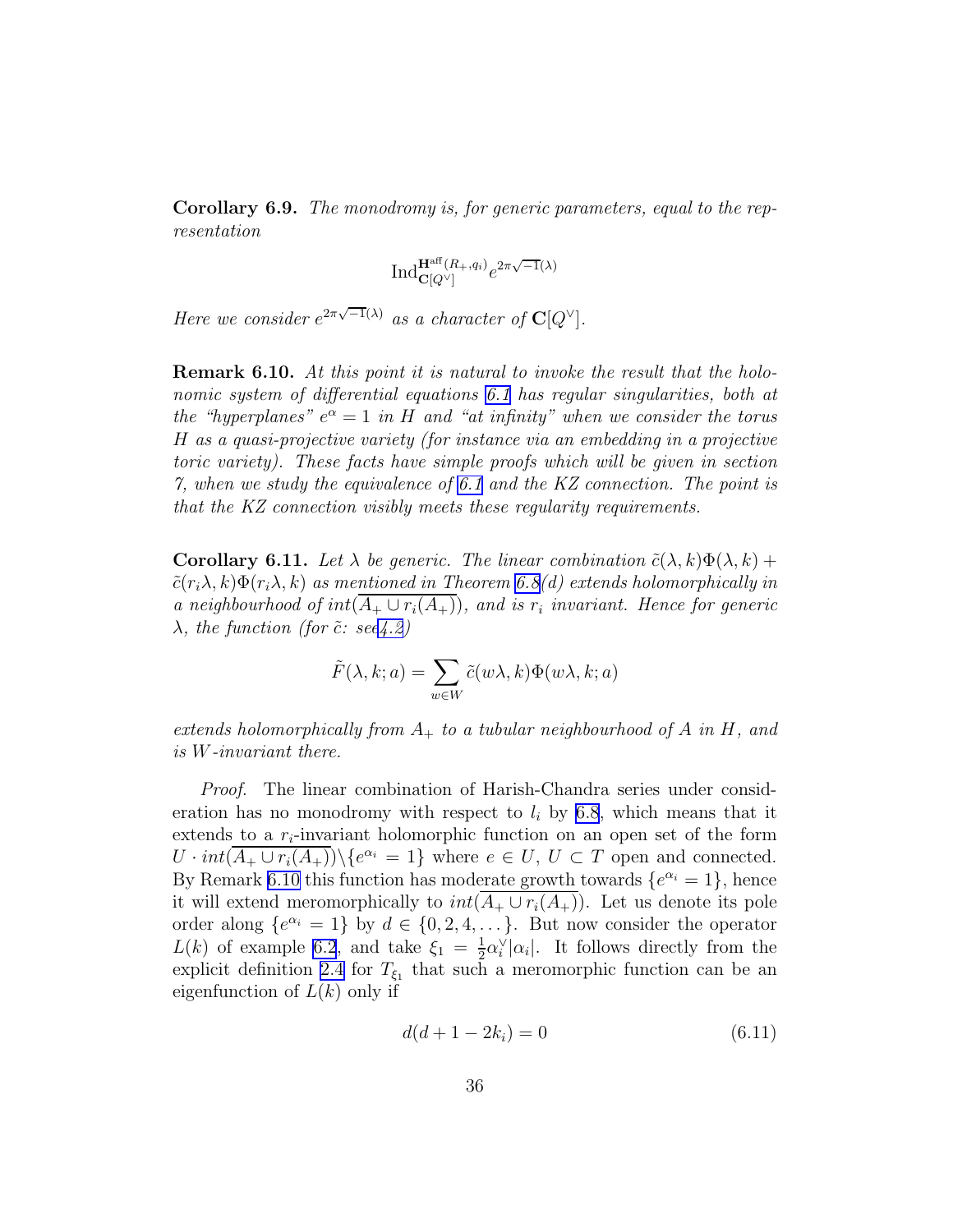<span id="page-36-0"></span>Corollary 6.9. The monodromy is, for generic parameters, equal to the representation

$$
\mathrm{Ind}_{\mathbf{C}[Q^{\vee}]}^{\mathbf{H}^{\mathrm{aff}}(R_+,q_i)}e^{2\pi\sqrt{-1}(\lambda)}
$$

Here we consider  $e^{2\pi\sqrt{-1}(\lambda)}$  as a character of  $\mathbf{C}[Q^{\vee}]$ .

**Remark 6.10.** At this point it is natural to invoke the result that the holonomic system of differential equations [6.1](#page-29-0) has regular singularities, both at the "hyperplanes"  $e^{\alpha} = 1$  in H and "at infinity" when we consider the torus H as a quasi-projective variety (for instance via an embedding in a projective toric variety). These facts have simple proofs which will be given in section 7, when we study the equivalence of [6.1](#page-29-0) and the KZ connection. The point is that the KZ connection visibly meets these regularity requirements.

**Corollary 6.11.** Let  $\lambda$  be generic. The linear combination  $\tilde{c}(\lambda, k)\Phi(\lambda, k)$  +  $\tilde{c}(r_i\lambda, k)\Phi(r_i\lambda, k)$  as mentioned in Theorem [6.8\(](#page-34-0)d) extends holomorphically in a neighbourhood of  $int(A_+ \cup r_i(A_+))$ , and is  $r_i$  invariant. Hence for generic  $\lambda$ , the function (for  $\tilde{c}$ : se[e4.2\)](#page-19-0)

$$
\tilde{F}(\lambda, k; a) = \sum_{w \in W} \tilde{c}(w\lambda, k) \Phi(w\lambda, k; a)
$$

extends holomorphically from  $A_+$  to a tubular neighbourhood of A in H, and is W-invariant there.

Proof. The linear combination of Harish-Chandra series under consideration has no monodromy with respect to  $l_i$  by [6.8](#page-34-0), which means that it extends to a  $r_i$ -invariant holomorphic function on an open set of the form  $U \cdot int(A_+ \cup r_i(A_+)) \setminus \{e^{\alpha_i} = 1\}$  where  $e \in U, U \subset T$  open and connected. By Remark 6.10 this function has moderate growth towards  $\{e^{\alpha_i} = 1\}$ , hence it will extend meromorphically to  $int(A_+ \cup r_i(A_+))$ . Let us denote its pole order along  $\{e^{\alpha_i} = 1\}$  by  $d \in \{0, 2, 4, \ldots\}$ . But now consider the operator  $L(k)$  of example [6.2](#page-29-0), and take  $\xi_1 = \frac{1}{2}$  $\frac{1}{2}\alpha_i^{\vee}|\alpha_i|$ . It follows directly from the explicit definition [2.4](#page-7-0) for  $T_{\xi_1}$  that such a meromorphic function can be an eigenfunction of  $L(k)$  only if

$$
d(d+1-2k_i) = 0 \t\t(6.11)
$$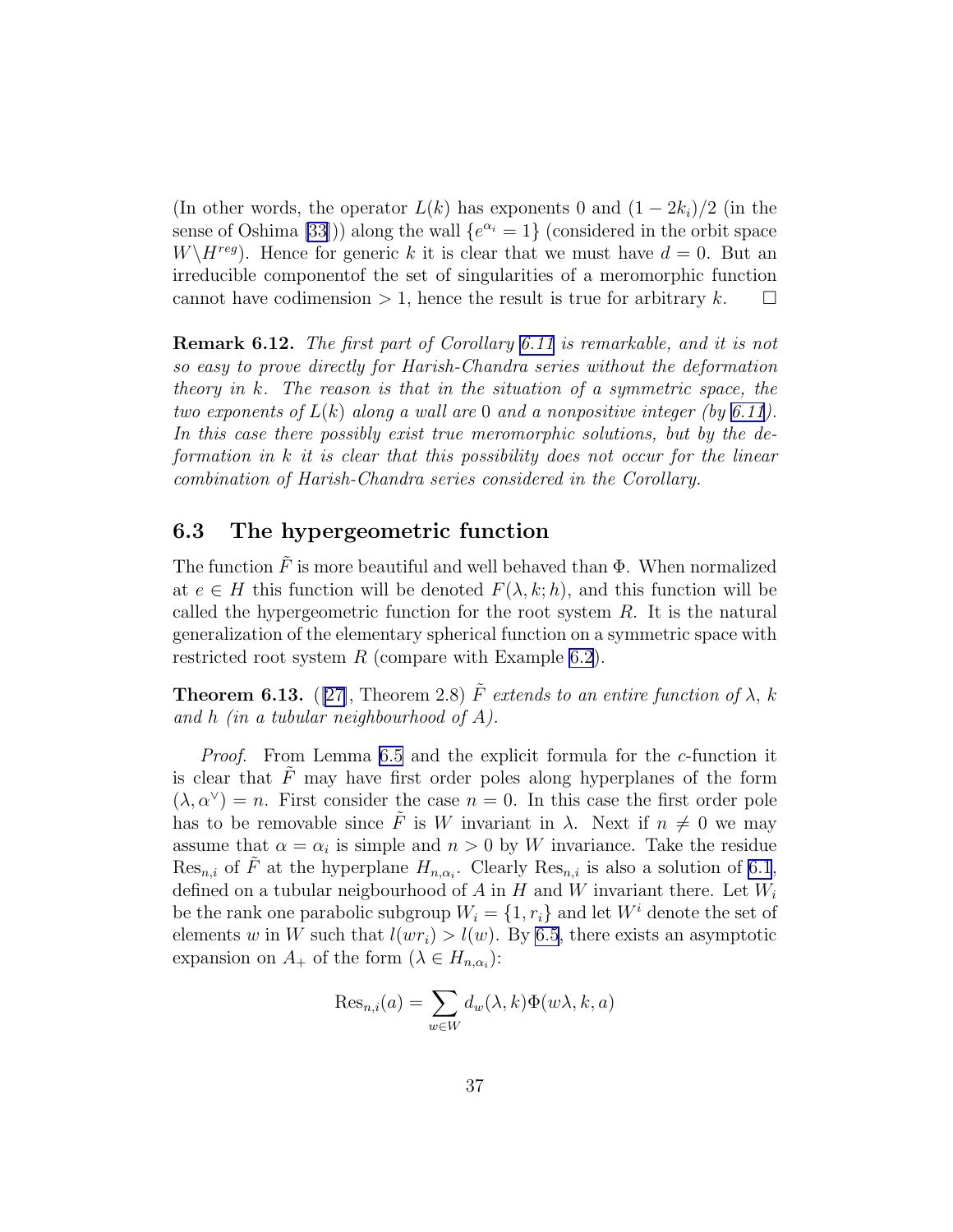<span id="page-37-0"></span>(In other words, the operator  $L(k)$  has exponents 0 and  $(1 - 2k_i)/2$  (in the sense of Oshima [\[33](#page-65-0)])) along the wall  $\{e^{\alpha_i} = 1\}$  (considered in the orbit space  $W\backslash H^{reg}$ . Hence for generic k it is clear that we must have  $d=0$ . But an irreducible componentof the set of singularities of a meromorphic function cannot have codimension  $> 1$ , hence the result is true for arbitrary k.  $\square$ 

Remark 6.12. The first part of Corollary [6.11](#page-36-0) is remarkable, and it is not so easy to prove directly for Harish-Chandra series without the deformation theory in k. The reason is that in the situation of a symmetric space, the two exponents of  $L(k)$  along a wall are 0 and a nonpositive integer (by [6.11](#page-36-0)). In this case there possibly exist true meromorphic solutions, but by the deformation in k it is clear that this possibility does not occur for the linear combination of Harish-Chandra series considered in the Corollary.

#### 6.3 The hypergeometric function

The function  $\tilde{F}$  is more beautiful and well behaved than  $\Phi$ . When normalized at  $e \in H$  this function will be denoted  $F(\lambda, k; h)$ , and this function will be called the hypergeometric function for the root system  $R$ . It is the natural generalization of the elementary spherical function on a symmetric space with restricted root system  $R$  (compare with Example [6.2](#page-29-0)).

**Theorem 6.13.** ([\[27\]](#page-65-0), Theorem 2.8)  $\tilde{F}$  extends to an entire function of  $\lambda$ , k and h (in a tubular neighbourhood of  $A$ ).

Proof. From Lemma [6.5](#page-32-0) and the explicit formula for the c-function it is clear that  $F$  may have first order poles along hyperplanes of the form  $(\lambda, \alpha^{\vee}) = n$ . First consider the case  $n = 0$ . In this case the first order pole has to be removable since F is W invariant in  $\lambda$ . Next if  $n \neq 0$  we may assume that  $\alpha = \alpha_i$  is simple and  $n > 0$  by W invariance. Take the residue  $Res_{n,i}$  of  $\tilde{F}$  at the hyperplane  $H_{n,\alpha_i}$ . Clearly  $Res_{n,i}$  is also a solution of [6.1](#page-29-0), defined on a tubular neigbourhood of A in H and W invariant there. Let  $W_i$ be the rank one parabolic subgroup  $W_i = \{1, r_i\}$  and let  $W^i$  denote the set of elements w in W such that  $l(wr_i) > l(w)$ . By [6.5](#page-32-0), there exists an asymptotic expansion on  $A_+$  of the form  $(\lambda \in H_{n,\alpha_i})$ :

$$
\operatorname{Res}_{n,i}(a) = \sum_{w \in W} d_w(\lambda, k) \Phi(w\lambda, k, a)
$$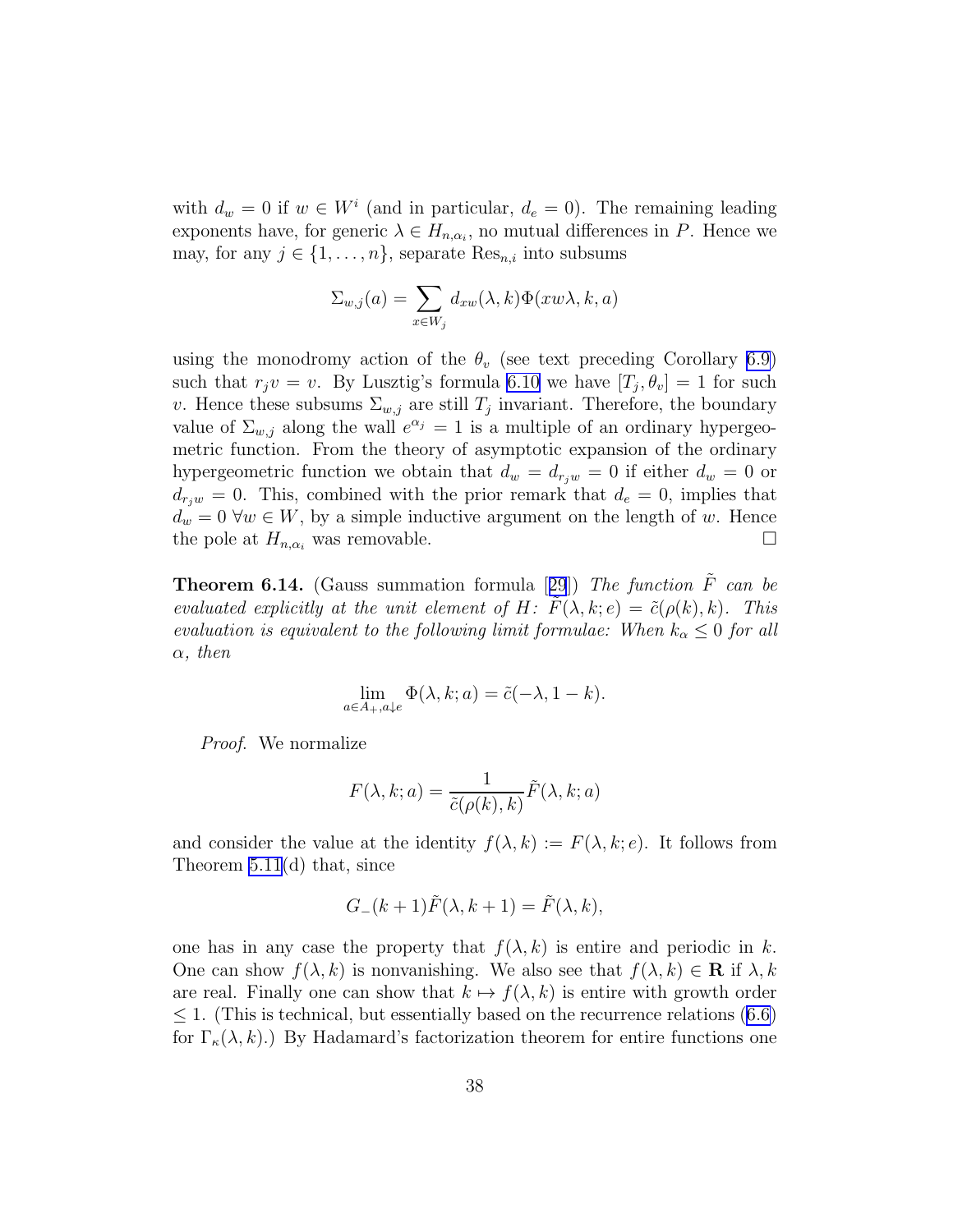<span id="page-38-0"></span>with  $d_w = 0$  if  $w \in W^i$  (and in particular,  $d_e = 0$ ). The remaining leading exponents have, for generic  $\lambda \in H_{n,\alpha_i}$ , no mutual differences in P. Hence we may, for any  $j \in \{1, \ldots, n\}$ , separate  $\text{Res}_{n,i}$  into subsums

$$
\Sigma_{w,j}(a) = \sum_{x \in W_j} d_{xw}(\lambda, k) \Phi(xw\lambda, k, a)
$$

using the monodromy action of the  $\theta_v$  (see text preceding Corollary [6.9\)](#page-35-0) such that  $r_j v = v$ . By Lusztig's formula [6.10](#page-35-0) we have  $[T_j, \theta_v] = 1$  for such v. Hence these subsums  $\Sigma_{w,j}$  are still  $T_j$  invariant. Therefore, the boundary value of  $\Sigma_{w,j}$  along the wall  $e^{\alpha_j} = 1$  is a multiple of an ordinary hypergeometric function. From the theory of asymptotic expansion of the ordinary hypergeometric function we obtain that  $d_w = d_{r_iw} = 0$  if either  $d_w = 0$  or  $d_{r_jw} = 0$ . This, combined with the prior remark that  $d_e = 0$ , implies that  $d_w = 0 \,\forall w \in W$ , by a simple inductive argument on the length of w. Hence the pole at  $H_{n,\alpha}$  was removable. the pole at  $H_{n,\alpha}$  was removable.

**Theorem6.14.** (Gauss summation formula [[29](#page-65-0)]) The function  $\ddot{F}$  can be evaluated explicitly at the unit element of H:  $F(\lambda, k; e) = \tilde{c}(\rho(k), k)$ . This evaluation is equivalent to the following limit formulae: When  $k_{\alpha} \leq 0$  for all  $\alpha$ , then

$$
\lim_{a \in A_+, a \downarrow e} \Phi(\lambda, k; a) = \tilde{c}(-\lambda, 1 - k).
$$

Proof. We normalize

$$
F(\lambda, k; a) = \frac{1}{\tilde{c}(\rho(k), k)} \tilde{F}(\lambda, k; a)
$$

and consider the value at the identity  $f(\lambda, k) := F(\lambda, k; e)$ . It follows from Theorem [5.11](#page-24-0)(d) that, since

$$
G_{-}(k+1)\tilde{F}(\lambda, k+1) = \tilde{F}(\lambda, k),
$$

one has in any case the property that  $f(\lambda, k)$  is entire and periodic in k. One can show  $f(\lambda, k)$  is nonvanishing. We also see that  $f(\lambda, k) \in \mathbf{R}$  if  $\lambda, k$ are real. Finally one can show that  $k \mapsto f(\lambda, k)$  is entire with growth order  $\leq$ 1. (This is technical, but essentially based on the recurrence relations ([6.6\)](#page-31-0) for  $\Gamma_{\kappa}(\lambda, k)$ .) By Hadamard's factorization theorem for entire functions one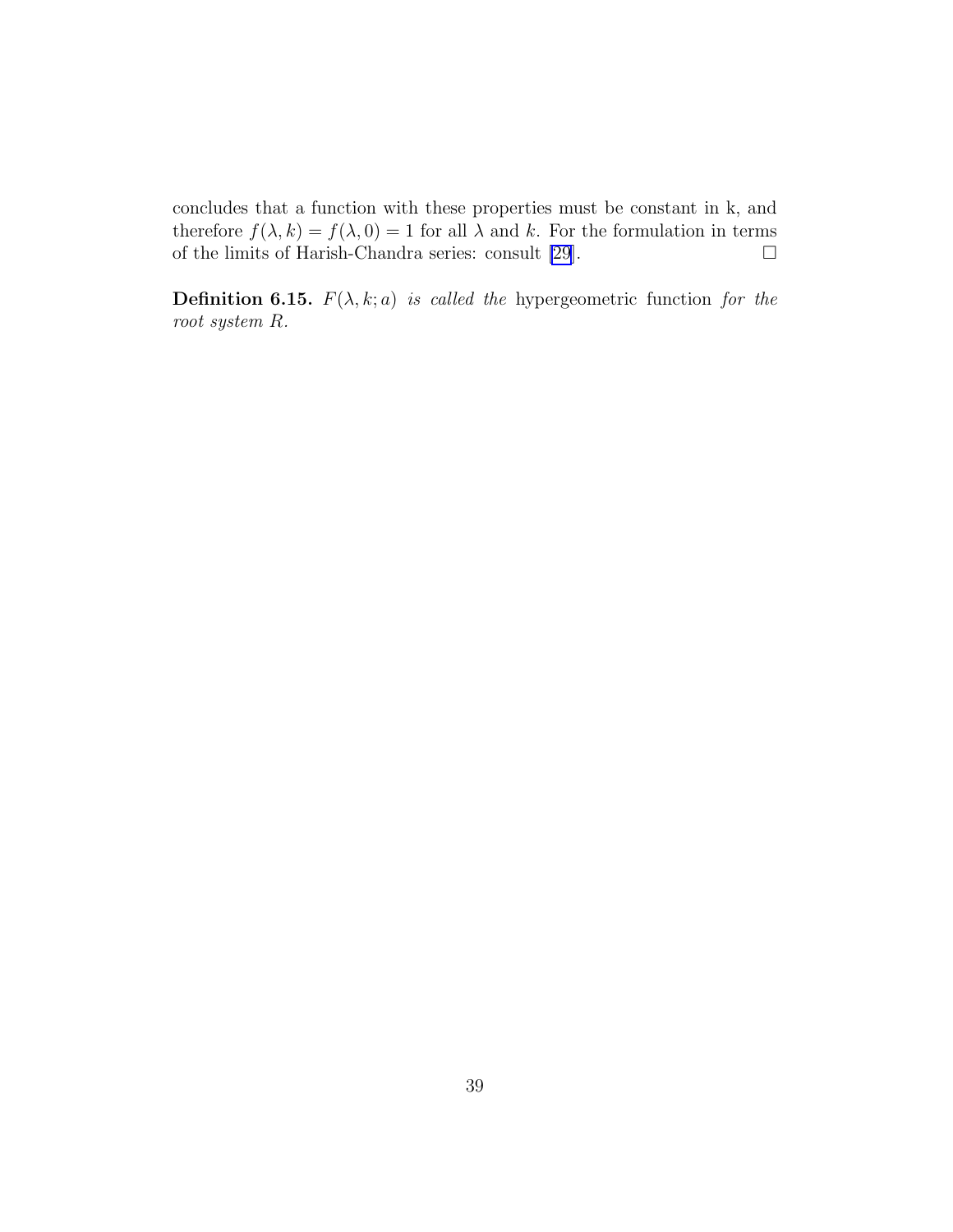concludes that a function with these properties must be constant in k, and therefore  $f(\lambda, k) = f(\lambda, 0) = 1$  for all  $\lambda$  and k. For the formulation in terms of the limits of Harish-Chandra series: consult [\[29](#page-65-0)].  $\Box$ 

**Definition 6.15.**  $F(\lambda, k; a)$  is called the hypergeometric function for the root system R.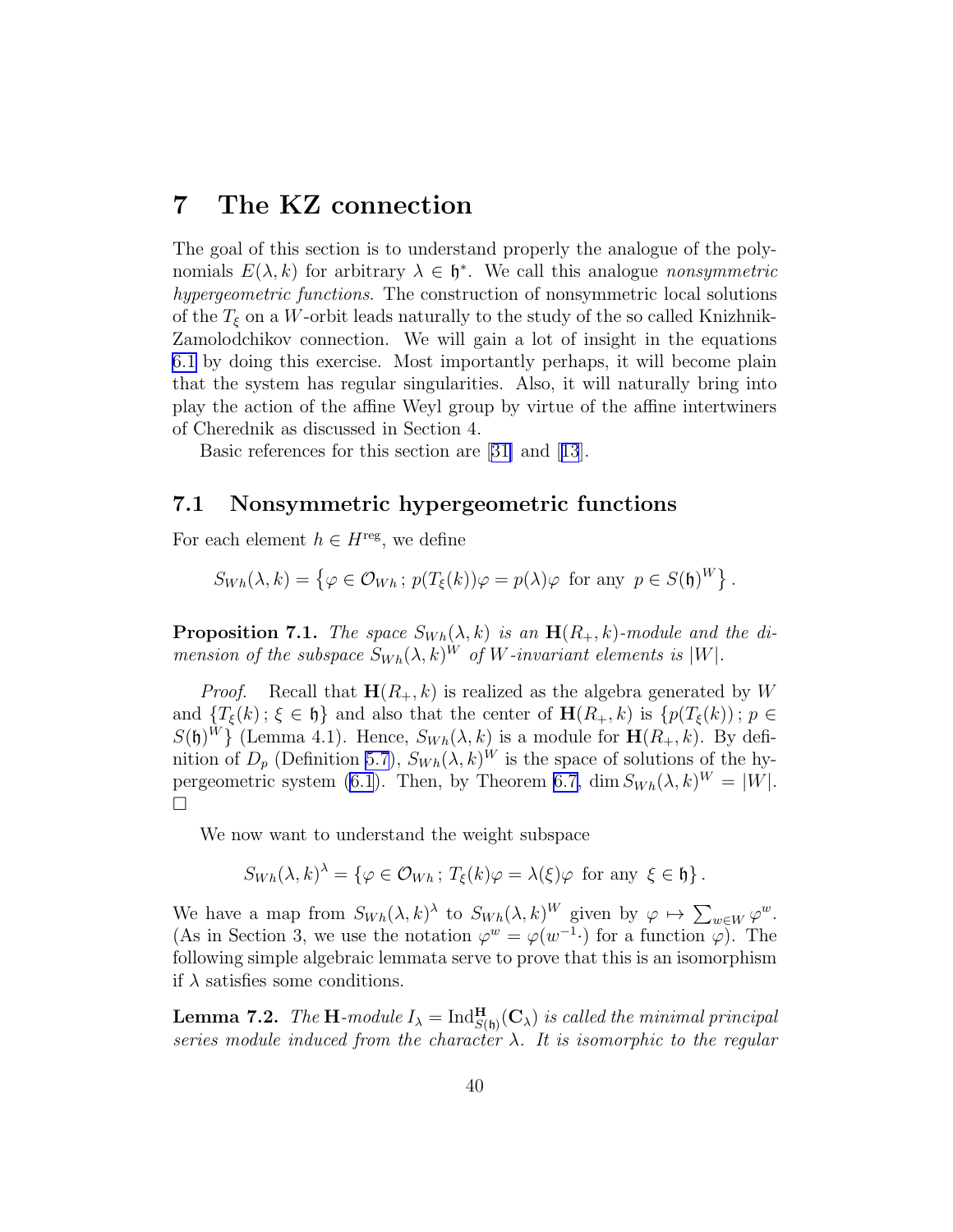# <span id="page-40-0"></span>7 The KZ connection

The goal of this section is to understand properly the analogue of the polynomials  $E(\lambda, k)$  for arbitrary  $\lambda \in \mathfrak{h}^*$ . We call this analogue nonsymmetric hypergeometric functions. The construction of nonsymmetric local solutions of the  $T_{\xi}$  on a W-orbit leads naturally to the study of the so called Knizhnik-Zamolodchikov connection. We will gain a lot of insight in the equations [6.1](#page-29-0) by doing this exercise. Most importantly perhaps, it will become plain that the system has regular singularities. Also, it will naturally bring into play the action of the affine Weyl group by virtue of the affine intertwiners of Cherednik as discussed in Section 4.

Basic references for this section are[[31\]](#page-65-0) and[[13](#page-64-0)].

#### 7.1 Nonsymmetric hypergeometric functions

For each element  $h \in H^{\text{reg}}$ , we define

$$
S_{Wh}(\lambda, k) = \left\{ \varphi \in \mathcal{O}_{Wh}; \, p(T_{\xi}(k))\varphi = p(\lambda)\varphi \, \text{ for any } \, p \in S(\mathfrak{h})^W \right\}.
$$

**Proposition 7.1.** The space  $S_{Wh}(\lambda, k)$  is an  $\mathbf{H}(R_+, k)$ -module and the dimension of the subspace  $S_{Wh}(\lambda, k)^W$  of W-invariant elements is  $|W|$ .

*Proof.* Recall that  $\mathbf{H}(R_+, k)$  is realized as the algebra generated by W and  $\{T_{\xi}(k); \xi \in \mathfrak{h}\}\$ and also that the center of  $\mathbf{H}(R_+,k)$  is  $\{p(T_{\xi}(k)); p \in$  $S(\mathfrak{h})^W$  (Lemma 4.1). Hence,  $S_{Wh}(\lambda, k)$  is a module for  $\mathbf{H}(R_+, k)$ . By definition of  $D_p$  (Definition [5.7](#page-23-0)),  $S_{Wh}(\lambda, k)^W$  is the space of solutions of the hy-pergeometric system [\(6.1](#page-29-0)). Then, by Theorem [6.7,](#page-33-0)  $\dim S_{Wh}(\lambda, k)^W = |W|$ .  $\Box$ 

We now want to understand the weight subspace

$$
S_{Wh}(\lambda,k)^{\lambda} = \{ \varphi \in \mathcal{O}_{Wh}; T_{\xi}(k)\varphi = \lambda(\xi)\varphi \text{ for any } \xi \in \mathfrak{h} \}.
$$

We have a map from  $S_{Wh}(\lambda, k)^{\lambda}$  to  $S_{Wh}(\lambda, k)^W$  given by  $\varphi \mapsto \sum_{w \in W} \varphi^w$ . (As in Section 3, we use the notation  $\varphi^w = \varphi(w^{-1})$  for a function  $\varphi$ ). The following simple algebraic lemmata serve to prove that this is an isomorphism if  $\lambda$  satisfies some conditions.

**Lemma 7.2.** The H-module  $I_{\lambda} = \text{Ind}_{S(\mathfrak{h})}^{\mathbf{H}}(\mathbf{C}_{\lambda})$  is called the minimal principal series module induced from the character  $\lambda$ . It is isomorphic to the regular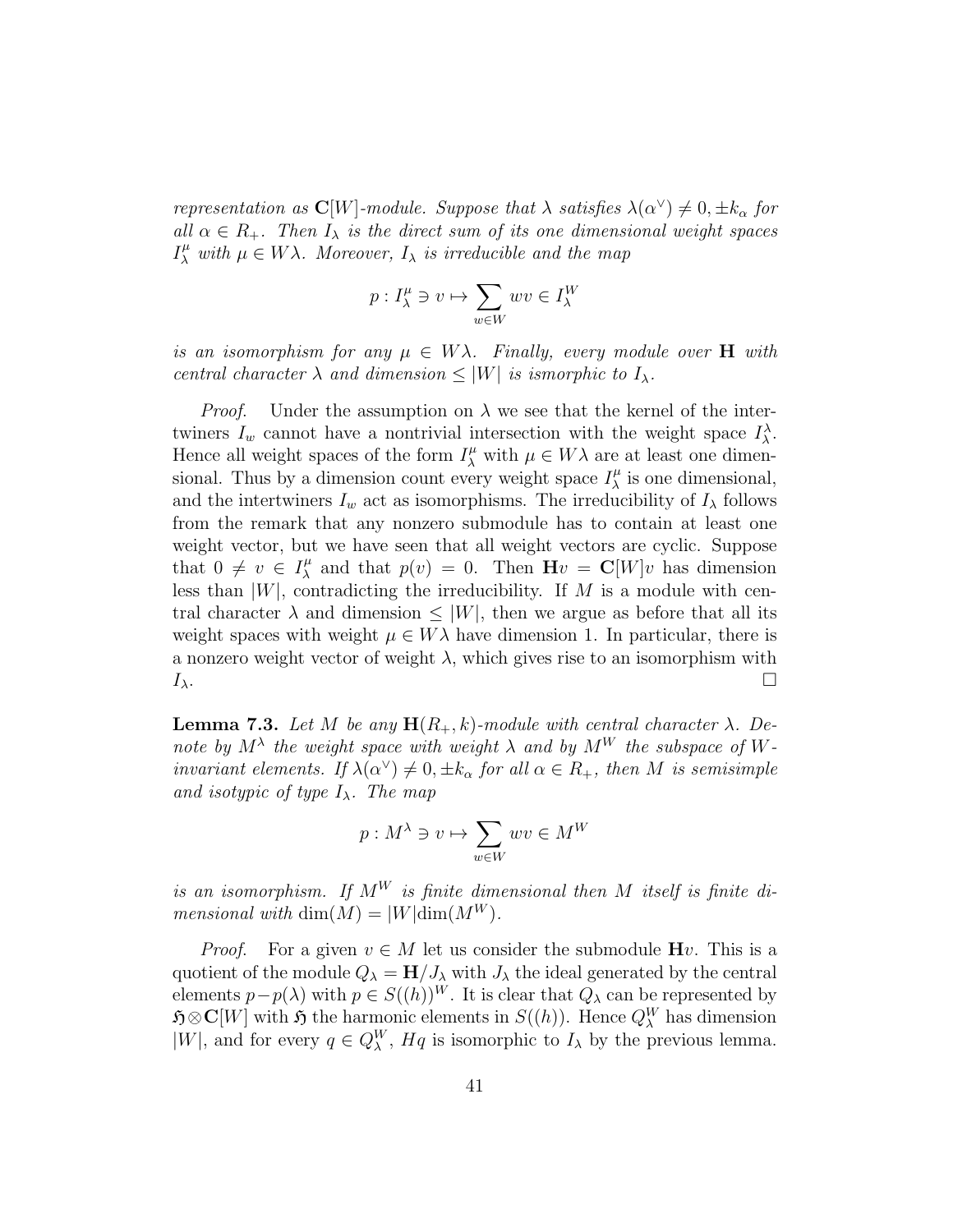<span id="page-41-0"></span>representation as  $\mathbb{C}[W]$ -module. Suppose that  $\lambda$  satisfies  $\lambda(\alpha^{\vee}) \neq 0, \pm k_{\alpha}$  for all  $\alpha \in R_+$ . Then  $I_{\lambda}$  is the direct sum of its one dimensional weight spaces  $I^{\mu}_{\lambda}$  with  $\mu \in W\lambda$ . Moreover,  $I_{\lambda}$  is irreducible and the map

$$
p:I^\mu_\lambda\ni v\mapsto \sum_{w\in W}wv\in I^W_\lambda
$$

is an isomorphism for any  $\mu \in W\lambda$ . Finally, every module over **H** with central character  $\lambda$  and dimension  $\leq |W|$  is ismorphic to  $I_{\lambda}$ .

*Proof.* Under the assumption on  $\lambda$  we see that the kernel of the intertwiners  $I_w$  cannot have a nontrivial intersection with the weight space  $I_\lambda^\lambda$ . Hence all weight spaces of the form  $I^{\mu}_{\lambda}$  with  $\mu \in W\lambda$  are at least one dimensional. Thus by a dimension count every weight space  $I^{\mu}_{\lambda}$  $\lambda^{\mu}$  is one dimensional, and the intertwiners  $I_w$  act as isomorphisms. The irreducibility of  $I_\lambda$  follows from the remark that any nonzero submodule has to contain at least one weight vector, but we have seen that all weight vectors are cyclic. Suppose that  $0 \neq v \in I^{\mu}_{\lambda}$  $\mu_{\lambda}^{\mu}$  and that  $p(v) = 0$ . Then  $\mathbf{H}v = \mathbf{C}[W]v$  has dimension less than  $|W|$ , contradicting the irreducibility. If M is a module with central character  $\lambda$  and dimension  $\leq |W|$ , then we argue as before that all its weight spaces with weight  $\mu \in W\lambda$  have dimension 1. In particular, there is a nonzero weight vector of weight  $\lambda$ , which gives rise to an isomorphism with  $I_{\lambda}$ .

**Lemma 7.3.** Let M be any  $\mathbf{H}(R_+,k)$ -module with central character  $\lambda$ . Denote by  $M^{\lambda}$  the weight space with weight  $\lambda$  and by  $M^{W}$  the subspace of Winvariant elements. If  $\lambda(\alpha^{\vee}) \neq 0, \pm k_{\alpha}$  for all  $\alpha \in R_+$ , then M is semisimple and isotypic of type  $I_{\lambda}$ . The map

$$
p: M^{\lambda} \ni v \mapsto \sum_{w \in W} wv \in M^W
$$

is an isomorphism. If  $M^W$  is finite dimensional then M itself is finite dimensional with  $\dim(M) = |W| \dim(M^W)$ .

*Proof.* For a given  $v \in M$  let us consider the submodule Hv. This is a quotient of the module  $Q_{\lambda} = \mathbf{H}/J_{\lambda}$  with  $J_{\lambda}$  the ideal generated by the central elements  $p-p(\lambda)$  with  $p \in S((h))^W$ . It is clear that  $Q_\lambda$  can be represented by  $\mathfrak{H} \otimes \mathbf{C}[W]$  with  $\mathfrak{H}$  the harmonic elements in  $S((h))$ . Hence  $Q_{\lambda}^{W}$  has dimension |W|, and for every  $q \in Q_{\lambda}^{W}$ ,  $Hq$  is isomorphic to  $I_{\lambda}$  by the previous lemma.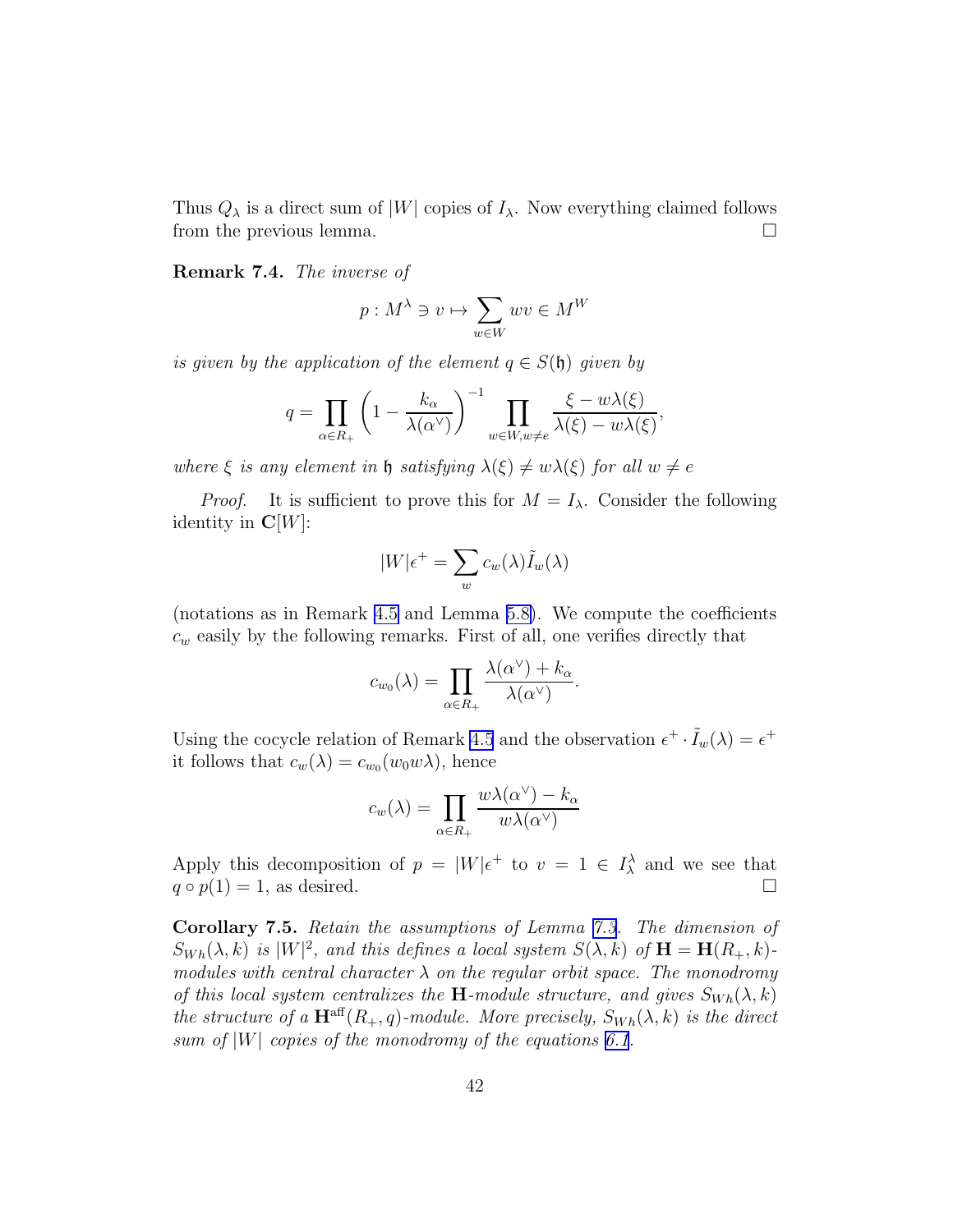<span id="page-42-0"></span>Thus  $Q_{\lambda}$  is a direct sum of  $|W|$  copies of  $I_{\lambda}$ . Now everything claimed follows from the previous lemma. from the previous lemma.

Remark 7.4. The inverse of

$$
p: M^{\lambda} \ni v \mapsto \sum_{w \in W} wv \in M^{W}
$$

is given by the application of the element  $q \in S(\mathfrak{h})$  given by

$$
q = \prod_{\alpha \in R_+} \left(1 - \frac{k_{\alpha}}{\lambda(\alpha^{\vee})}\right)^{-1} \prod_{w \in W, w \neq e} \frac{\xi - w\lambda(\xi)}{\lambda(\xi) - w\lambda(\xi)},
$$

where  $\xi$  is any element in  $\mathfrak h$  satisfying  $\lambda(\xi) \neq w\lambda(\xi)$  for all  $w \neq e$ 

*Proof.* It is sufficient to prove this for  $M = I_{\lambda}$ . Consider the following identity in  $\mathbf{C}[W]$ :

$$
|W|\epsilon^+ = \sum_w c_w(\lambda) \tilde{I}_w(\lambda)
$$

(notations as in Remark [4.5](#page-18-0) and Lemma [5.8\)](#page-23-0). We compute the coefficients  $c_w$  easily by the following remarks. First of all, one verifies directly that

$$
c_{w_0}(\lambda) = \prod_{\alpha \in R_+} \frac{\lambda(\alpha^{\vee}) + k_{\alpha}}{\lambda(\alpha^{\vee})}.
$$

Using the cocycle relation of Remark [4.5](#page-18-0) and the observation  $\epsilon^+ \cdot \tilde{I}_w(\lambda) = \epsilon^+$ it follows that  $c_w(\lambda) = c_{w_0}(w_0 w \lambda)$ , hence

$$
c_w(\lambda) = \prod_{\alpha \in R_+} \frac{w\lambda(\alpha^{\vee}) - k_{\alpha}}{w\lambda(\alpha^{\vee})}
$$

Apply this decomposition of  $p = |W| \epsilon^+$  to  $v = 1 \in I_\lambda^\lambda$  and we see that  $q \circ p(1) = 1$ , as desired.

Corollary 7.5. Retain the assumptions of Lemma [7.3](#page-41-0). The dimension of  $S_{Wh}(\lambda, k)$  is  $|W|^2$ , and this defines a local system  $S(\lambda, k)$  of  $\mathbf{H} = \mathbf{H}(R_+, k)$ . modules with central character  $\lambda$  on the regular orbit space. The monodromy of this local system centralizes the **H**-module structure, and gives  $S_{Wh}(\lambda, k)$ the structure of a  $\mathbf{H}^{\text{aff}}(R_{+}, q)$ -module. More precisely,  $S_{Wh}(\lambda, k)$  is the direct sum of  $|W|$  copies of the monodromy of the equations [6.1](#page-29-0).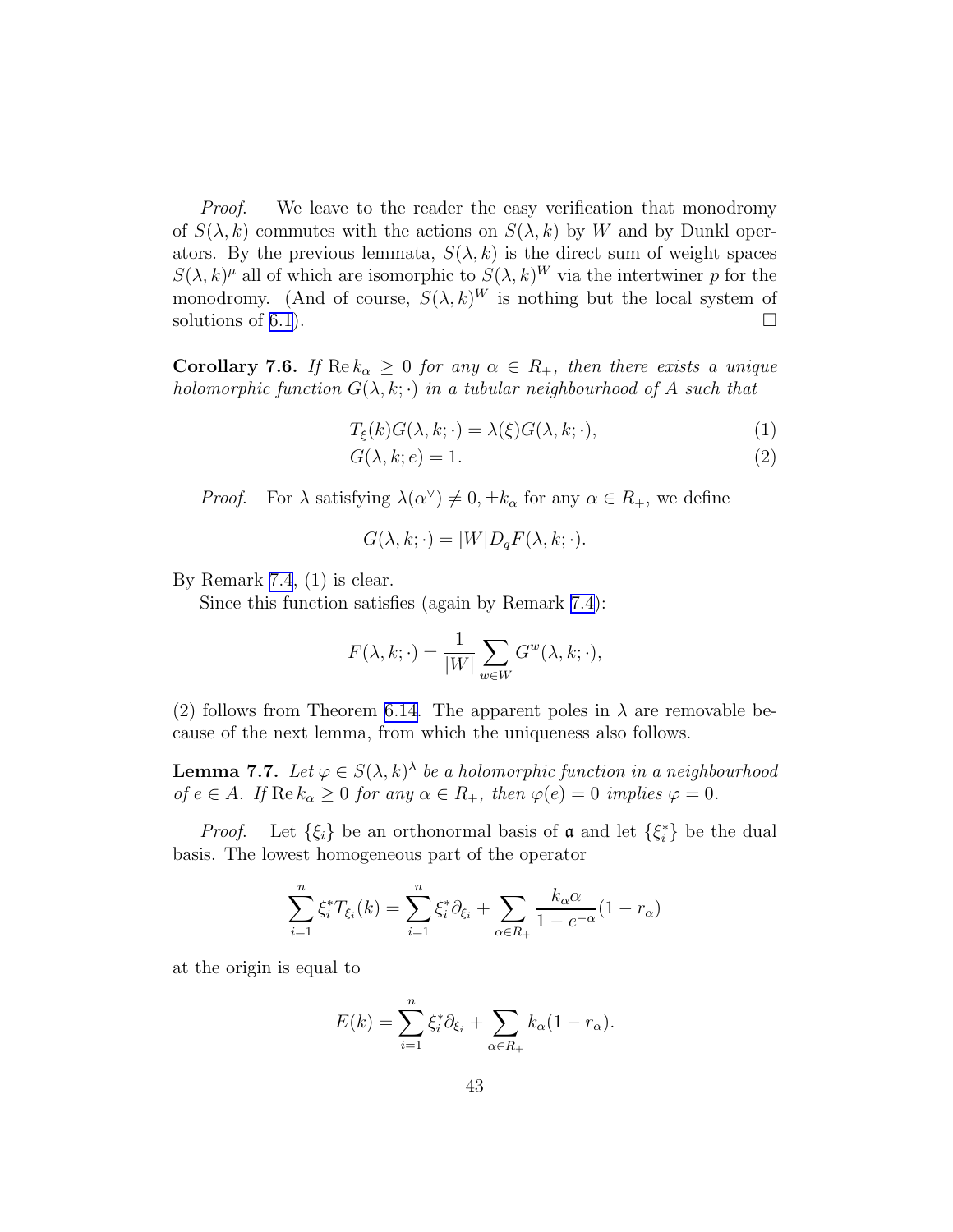<span id="page-43-0"></span>Proof. We leave to the reader the easy verification that monodromy of  $S(\lambda, k)$  commutes with the actions on  $S(\lambda, k)$  by W and by Dunkl operators. By the previous lemmata,  $S(\lambda, k)$  is the direct sum of weight spaces  $S(\lambda, k)^{\mu}$  all of which are isomorphic to  $S(\lambda, k)^{W}$  via the intertwiner p for the monodromy. (And of course,  $S(\lambda, k)^W$  is nothing but the local system of solutions of [6.1](#page-29-0)).  $\Box$ 

**Corollary 7.6.** If  $\text{Re } k_{\alpha} \geq 0$  for any  $\alpha \in R_+$ , then there exists a unique holomorphic function  $G(\lambda, k; \cdot)$  in a tubular neighbourhood of A such that

$$
T_{\xi}(k)G(\lambda,k;\cdot) = \lambda(\xi)G(\lambda,k;\cdot),\tag{1}
$$

$$
G(\lambda, k; e) = 1.
$$
\n<sup>(2)</sup>

*Proof.* For  $\lambda$  satisfying  $\lambda(\alpha^{\vee}) \neq 0, \pm k_{\alpha}$  for any  $\alpha \in R_+$ , we define

$$
G(\lambda, k; \cdot) = |W| D_q F(\lambda, k; \cdot).
$$

By Remark [7.4](#page-42-0), (1) is clear.

Since this function satisfies (again by Remark [7.4\)](#page-42-0):

$$
F(\lambda, k; \cdot) = \frac{1}{|W|} \sum_{w \in W} G^w(\lambda, k; \cdot),
$$

(2) follows from Theorem [6.14](#page-38-0). The apparent poles in  $\lambda$  are removable because of the next lemma, from which the uniqueness also follows.

**Lemma 7.7.** Let  $\varphi \in S(\lambda, k)^{\lambda}$  be a holomorphic function in a neighbourhood of  $e \in A$ . If  $\text{Re } k_{\alpha} \geq 0$  for any  $\alpha \in R_+$ , then  $\varphi(e) = 0$  implies  $\varphi = 0$ .

*Proof.* Let  $\{\xi_i\}$  be an orthonormal basis of **a** and let  $\{\xi_i^*\}$  be the dual basis. The lowest homogeneous part of the operator

$$
\sum_{i=1}^{n} \xi_i^* T_{\xi_i}(k) = \sum_{i=1}^{n} \xi_i^* \partial_{\xi_i} + \sum_{\alpha \in R_+} \frac{k_{\alpha} \alpha}{1 - e^{-\alpha}} (1 - r_{\alpha})
$$

at the origin is equal to

$$
E(k) = \sum_{i=1}^{n} \xi_i^* \partial_{\xi_i} + \sum_{\alpha \in R_+} k_{\alpha} (1 - r_{\alpha}).
$$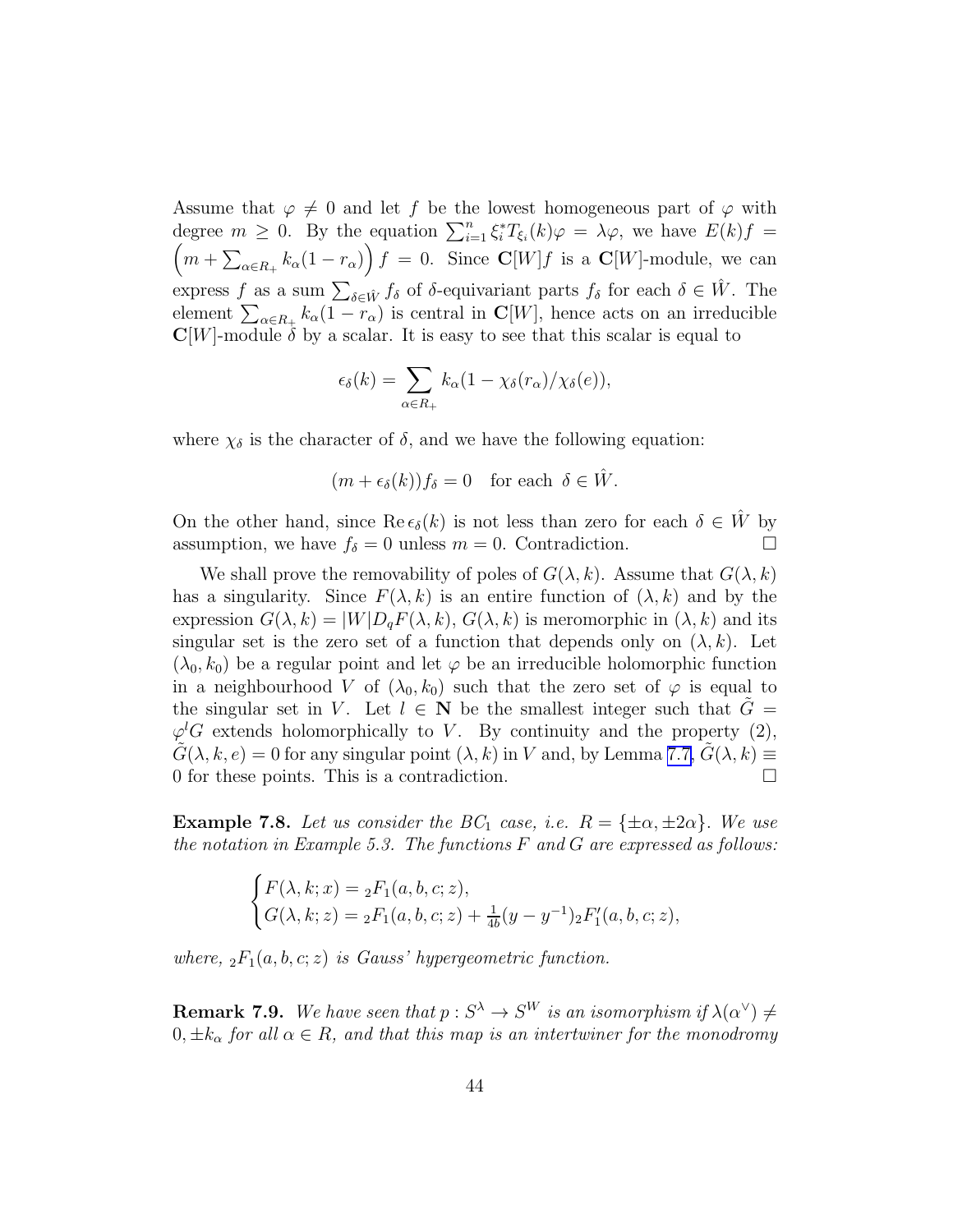Assume that  $\varphi \neq 0$  and let f be the lowest homogeneous part of  $\varphi$  with degree  $m \geq 0$ . By the equation  $\sum_{i=1}^{n} \xi_i^* T_{\xi_i}(k) \varphi = \lambda \varphi$ , we have  $E(k)f =$  $\left(m + \sum_{\alpha \in R_+} k_{\alpha}(1 - r_{\alpha})\right) f = 0$ . Since  $\mathbb{C}[W]f$  is a  $\mathbb{C}[W]$ -module, we can express f as a sum  $\sum_{\delta \in \hat{W}} f_{\delta}$  of  $\delta$ -equivariant parts  $f_{\delta}$  for each  $\delta \in \hat{W}$ . The element  $\sum_{\alpha \in R_+} k_\alpha (1 - r_\alpha)$  is central in  $\mathbb{C}[W]$ , hence acts on an irreducible  $\mathbb{C}[W]$ -module  $\delta$  by a scalar. It is easy to see that this scalar is equal to

$$
\epsilon_{\delta}(k) = \sum_{\alpha \in R_+} k_{\alpha} (1 - \chi_{\delta}(r_{\alpha}) / \chi_{\delta}(e)),
$$

where  $\chi_{\delta}$  is the character of  $\delta$ , and we have the following equation:

$$
(m + \epsilon_{\delta}(k))f_{\delta} = 0
$$
 for each  $\delta \in \hat{W}$ .

On the other hand, since  $\text{Re } \epsilon_{\delta}(k)$  is not less than zero for each  $\delta \in \tilde{W}$  by assumption we have  $f_s = 0$  unless  $m = 0$  Contradiction assumption, we have  $f_{\delta} = 0$  unless  $m = 0$ . Contradiction.

We shall prove the removability of poles of  $G(\lambda, k)$ . Assume that  $G(\lambda, k)$ has a singularity. Since  $F(\lambda, k)$  is an entire function of  $(\lambda, k)$  and by the expression  $G(\lambda, k) = |W|D_{q}F(\lambda, k), G(\lambda, k)$  is meromorphic in  $(\lambda, k)$  and its singular set is the zero set of a function that depends only on  $(\lambda, k)$ . Let  $(\lambda_0, k_0)$  be a regular point and let  $\varphi$  be an irreducible holomorphic function in a neighbourhood V of  $(\lambda_0, k_0)$  such that the zero set of  $\varphi$  is equal to the singular set in V. Let  $l \in \mathbb{N}$  be the smallest integer such that  $G =$  $\varphi^lG$  extends holomorphically to V. By continuity and the property  $(2)$ ,  $G(\lambda, k, e) = 0$  for any singular point  $(\lambda, k)$  in V and, by Lemma [7.7,](#page-43-0)  $G(\lambda, k) \equiv 0$  for these points. This is a contradiction. 0 for these points. This is a contradiction.

**Example 7.8.** Let us consider the BC<sub>1</sub> case, i.e.  $R = \{\pm \alpha, \pm 2\alpha\}$ . We use the notation in Example 5.3. The functions  $F$  and  $G$  are expressed as follows:

$$
\begin{cases} F(\lambda, k; x) = {}_2F_1(a, b, c; z), \\ G(\lambda, k; z) = {}_2F_1(a, b, c; z) + \frac{1}{4b}(y - y^{-1}){}_2F'_1(a, b, c; z), \end{cases}
$$

where,  $_2F_1(a, b, c; z)$  is Gauss' hypergeometric function.

**Remark 7.9.** We have seen that  $p: S^{\lambda} \to S^W$  is an isomorphism if  $\lambda(\alpha^{\vee}) \neq$  $0, \pm k_{\alpha}$  for all  $\alpha \in R$ , and that this map is an intertwiner for the monodromy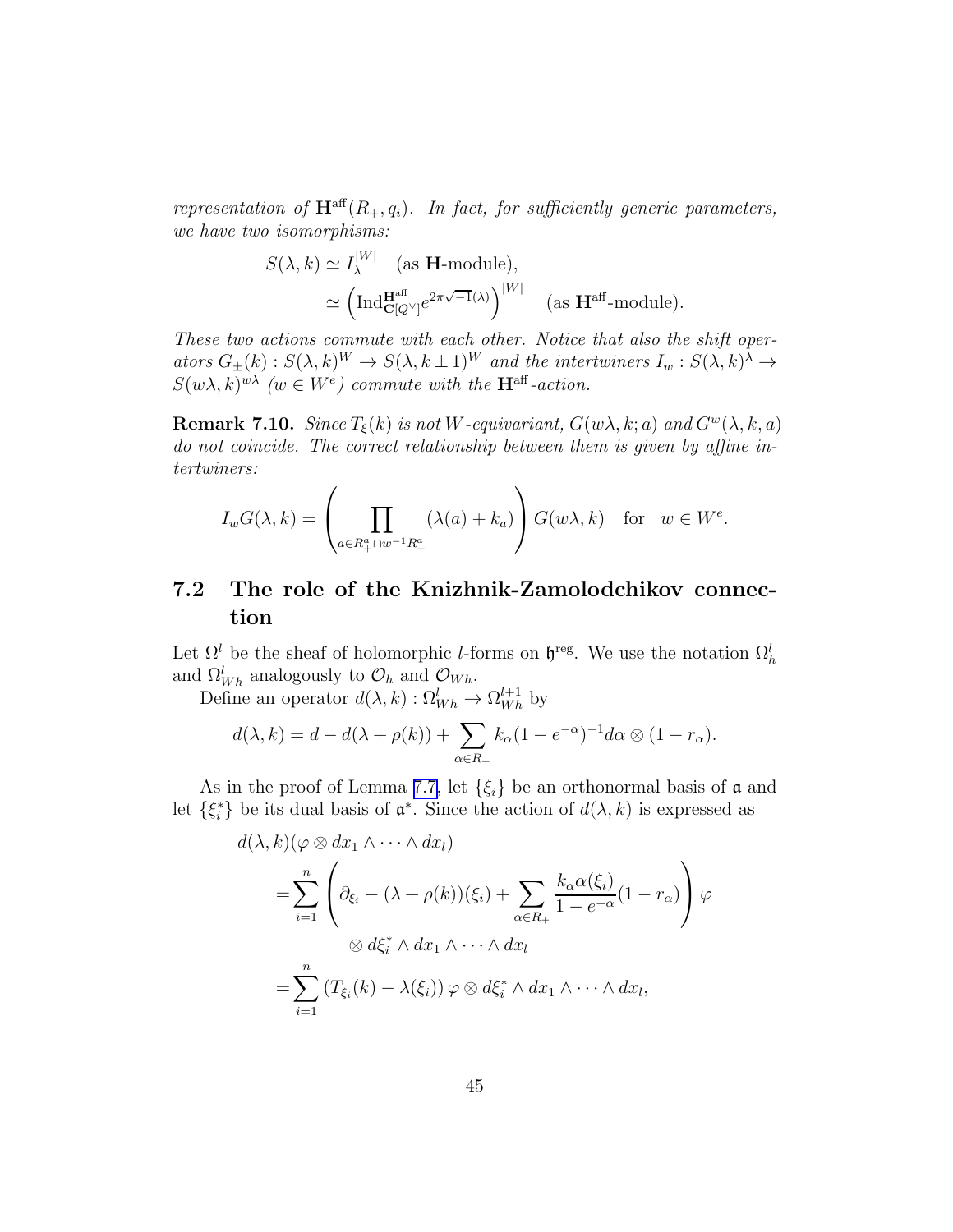<span id="page-45-0"></span>representation of  $\mathbf{H}^{\text{aff}}(R_{+}, q_{i})$ . In fact, for sufficiently generic parameters, we have two isomorphisms:

$$
S(\lambda, k) \simeq I_{\lambda}^{|W|} \quad \text{(as H-module)},
$$
  

$$
\simeq \left( \text{Ind}_{\mathbf{C}[Q^{\vee}]}^{\mathbf{H}^{\text{aff}}}\, e^{2\pi \sqrt{-1}(\lambda)} \right)^{|W|} \quad \text{(as Haff-module)}.
$$

These two actions commute with each other. Notice that also the shift operators  $G_{\pm}(k): S(\lambda, k)^W \to S(\lambda, k \pm 1)^W$  and the intertwiners  $I_w: S(\lambda, k)^\lambda \to$  $S(w\lambda, k)^{w\lambda}$  ( $w \in W^e$ ) commute with the **H**<sup>aff</sup>-action.

**Remark 7.10.** Since  $T_{\xi}(k)$  is not W-equivariant,  $G(w\lambda, k; a)$  and  $G^{w}(\lambda, k, a)$ do not coincide. The correct relationship between them is given by affine intertwiners:

$$
I_w G(\lambda, k) = \left(\prod_{a \in R_+^a \cap w^{-1} R_+^a} (\lambda(a) + k_a)\right) G(w\lambda, k) \text{ for } w \in W^e.
$$

# 7.2 The role of the Knizhnik-Zamolodchikov connection

Let  $\Omega^l$  be the sheaf of holomorphic l-forms on  $\mathfrak{h}^{\text{reg}}$ . We use the notation  $\Omega^l_h$ and  $\Omega_{Wh}^l$  analogously to  $\mathcal{O}_h$  and  $\mathcal{O}_{Wh}$ .

Define an operator  $d(\lambda, k) : \Omega_{Wh}^l \to \Omega_{Wh}^{l+1}$  by

$$
d(\lambda, k) = d - d(\lambda + \rho(k)) + \sum_{\alpha \in R_+} k_{\alpha} (1 - e^{-\alpha})^{-1} d\alpha \otimes (1 - r_{\alpha}).
$$

As in the proof of Lemma [7.7,](#page-43-0) let  $\{\xi_i\}$  be an orthonormal basis of **a** and let  $\{\xi_i^*\}$  be its dual basis of  $\mathfrak{a}^*$ . Since the action of  $d(\lambda, k)$  is expressed as

$$
d(\lambda, k)(\varphi \otimes dx_1 \wedge \cdots \wedge dx_l)
$$
  
= 
$$
\sum_{i=1}^n \left( \partial_{\xi_i} - (\lambda + \rho(k))(\xi_i) + \sum_{\alpha \in R_+} \frac{k_\alpha \alpha(\xi_i)}{1 - e^{-\alpha}} (1 - r_\alpha) \right) \varphi
$$
  

$$
\otimes d\xi_i^* \wedge dx_1 \wedge \cdots \wedge dx_l
$$
  
= 
$$
\sum_{i=1}^n (T_{\xi_i}(k) - \lambda(\xi_i)) \varphi \otimes d\xi_i^* \wedge dx_1 \wedge \cdots \wedge dx_l,
$$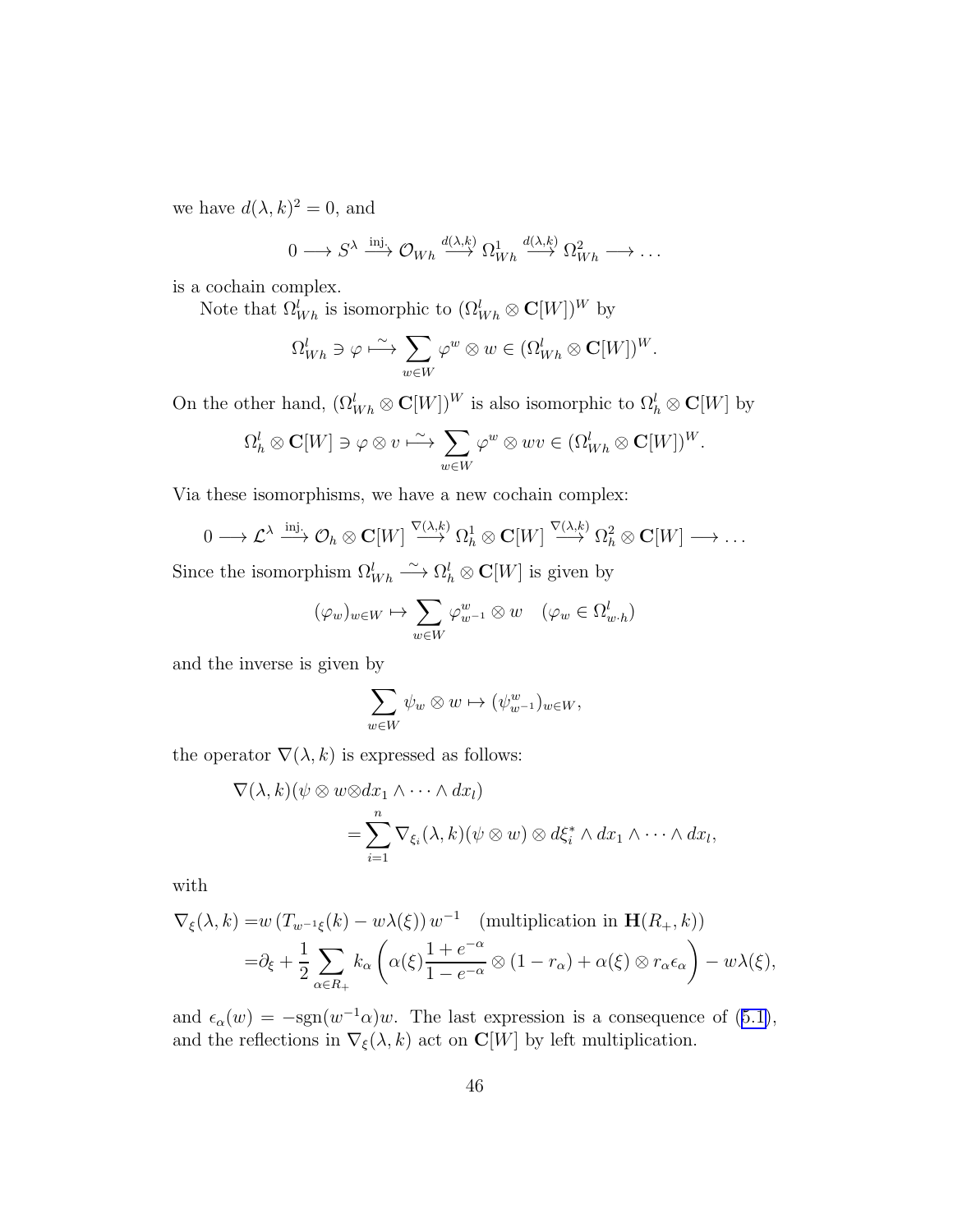we have  $d(\lambda, k)^2 = 0$ , and

$$
0 \longrightarrow S^{\lambda} \xrightarrow{\operatorname{inj}} \mathcal{O}_{Wh} \xrightarrow{d(\lambda,k)} \Omega^1_{Wh} \xrightarrow{d(\lambda,k)} \Omega^2_{Wh} \longrightarrow \dots
$$

is a cochain complex.

Note that  $\Omega^l_{Wh}$  is isomorphic to  $(\Omega^l_{Wh} \otimes \mathbf{C}[W])^W$  by

$$
\Omega^l_{Wh} \ni \varphi \stackrel{\sim}{\longmapsto} \sum_{w \in W} \varphi^w \otimes w \in (\Omega^l_{Wh} \otimes \mathbf{C}[W])^W.
$$

On the other hand,  $(\Omega^l_{Wh} \otimes \mathbf{C}[W])^W$  is also isomorphic to  $\Omega^l_h \otimes \mathbf{C}[W]$  by

$$
\Omega_h^l \otimes \mathbf{C}[W] \ni \varphi \otimes v \stackrel{\sim}{\longmapsto} \sum_{w \in W} \varphi^w \otimes wv \in (\Omega_{Wh}^l \otimes \mathbf{C}[W])^W.
$$

Via these isomorphisms, we have a new cochain complex:

$$
0 \longrightarrow \mathcal{L}^{\lambda} \stackrel{\text{inj.}}{\longrightarrow} \mathcal{O}_h \otimes \mathbf{C}[W] \stackrel{\nabla(\lambda,k)}{\longrightarrow} \Omega^1_h \otimes \mathbf{C}[W] \stackrel{\nabla(\lambda,k)}{\longrightarrow} \Omega^2_h \otimes \mathbf{C}[W] \longrightarrow \dots
$$

Since the isomorphism  $\Omega^l_{Wh} \longrightarrow \Omega^l_h \otimes \mathbf{C}[W]$  is given by

$$
(\varphi_w)_{w \in W} \mapsto \sum_{w \in W} \varphi_{w^{-1}}^w \otimes w \quad (\varphi_w \in \Omega_{w \cdot h}^l)
$$

and the inverse is given by

$$
\sum_{w \in W} \psi_w \otimes w \mapsto (\psi_{w^{-1}}^w)_{w \in W},
$$

the operator  $\nabla(\lambda, k)$  is expressed as follows:

$$
\nabla(\lambda, k)(\psi \otimes w \otimes dx_1 \wedge \dots \wedge dx_l)
$$
  
= 
$$
\sum_{i=1}^n \nabla_{\xi_i}(\lambda, k)(\psi \otimes w) \otimes d\xi_i^* \wedge dx_1 \wedge \dots \wedge dx_l,
$$

with

$$
\nabla_{\xi}(\lambda, k) = w(T_{w^{-1}\xi}(k) - w\lambda(\xi)) w^{-1} \quad \text{(multiplication in } \mathbf{H}(R_+, k))
$$
\n
$$
= \partial_{\xi} + \frac{1}{2} \sum_{\alpha \in R_+} k_{\alpha} \left( \alpha(\xi) \frac{1 + e^{-\alpha}}{1 - e^{-\alpha}} \otimes (1 - r_{\alpha}) + \alpha(\xi) \otimes r_{\alpha} \epsilon_{\alpha} \right) - w\lambda(\xi),
$$

and $\epsilon_{\alpha}(w) = -\text{sgn}(w^{-1}\alpha)w$ . The last expression is a consequence of ([5.1\)](#page-21-0), and the reflections in  $\nabla_{\xi}(\lambda, k)$  act on  $\mathbb{C}[W]$  by left multiplication.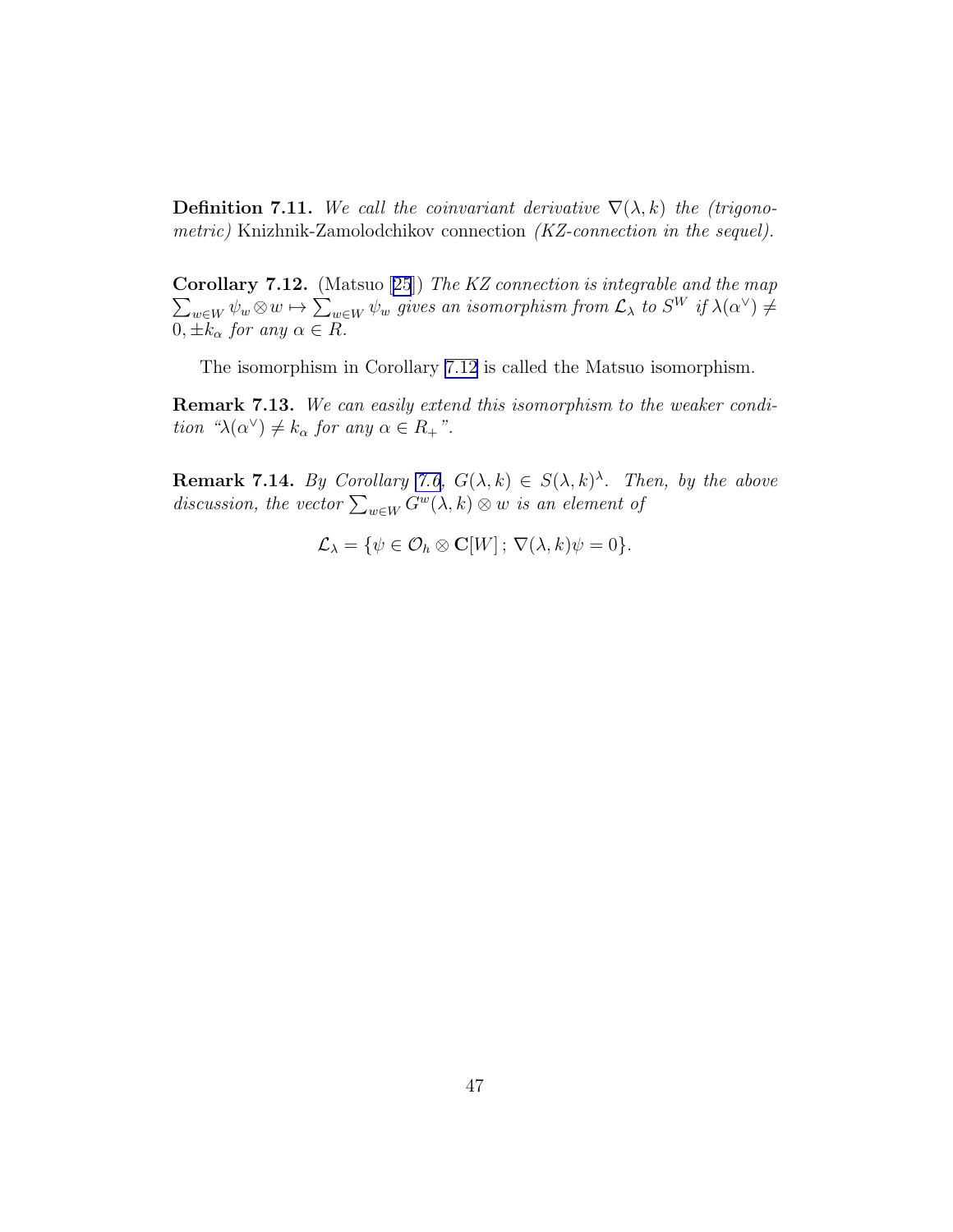**Definition 7.11.** We call the coinvariant derivative  $\nabla(\lambda, k)$  the (trigonometric) Knizhnik-Zamolodchikov connection (KZ-connection in the sequel).

**Corollary7.12.** (Matsuo [[25](#page-65-0)]) The KZ connection is integrable and the map  $\sum_{w \in W} \psi_w \otimes w \mapsto \sum_{w \in W} \psi_w$  gives an isomorphism from  $\mathcal{L}_\lambda$  to  $S^W$  if  $\lambda(\alpha^\vee) \neq$  $0, \pm k_{\alpha}$  for any  $\alpha \in R$ .

The isomorphism in Corollary 7.12 is called the Matsuo isomorphism.

Remark 7.13. We can easily extend this isomorphism to the weaker condition " $\lambda(\alpha^{\vee}) \neq k_{\alpha}$  for any  $\alpha \in R_+$ ".

**Remark 7.14.** By Corollary [7.6,](#page-43-0)  $G(\lambda, k) \in S(\lambda, k)$ <sup> $\lambda$ </sup>. Then, by the above discussion, the vector  $\sum_{w \in W} G^w(\lambda, k) \otimes w$  is an element of

$$
\mathcal{L}_{\lambda} = \{ \psi \in \mathcal{O}_{h} \otimes \mathbf{C}[W]; \, \nabla(\lambda, k)\psi = 0 \}.
$$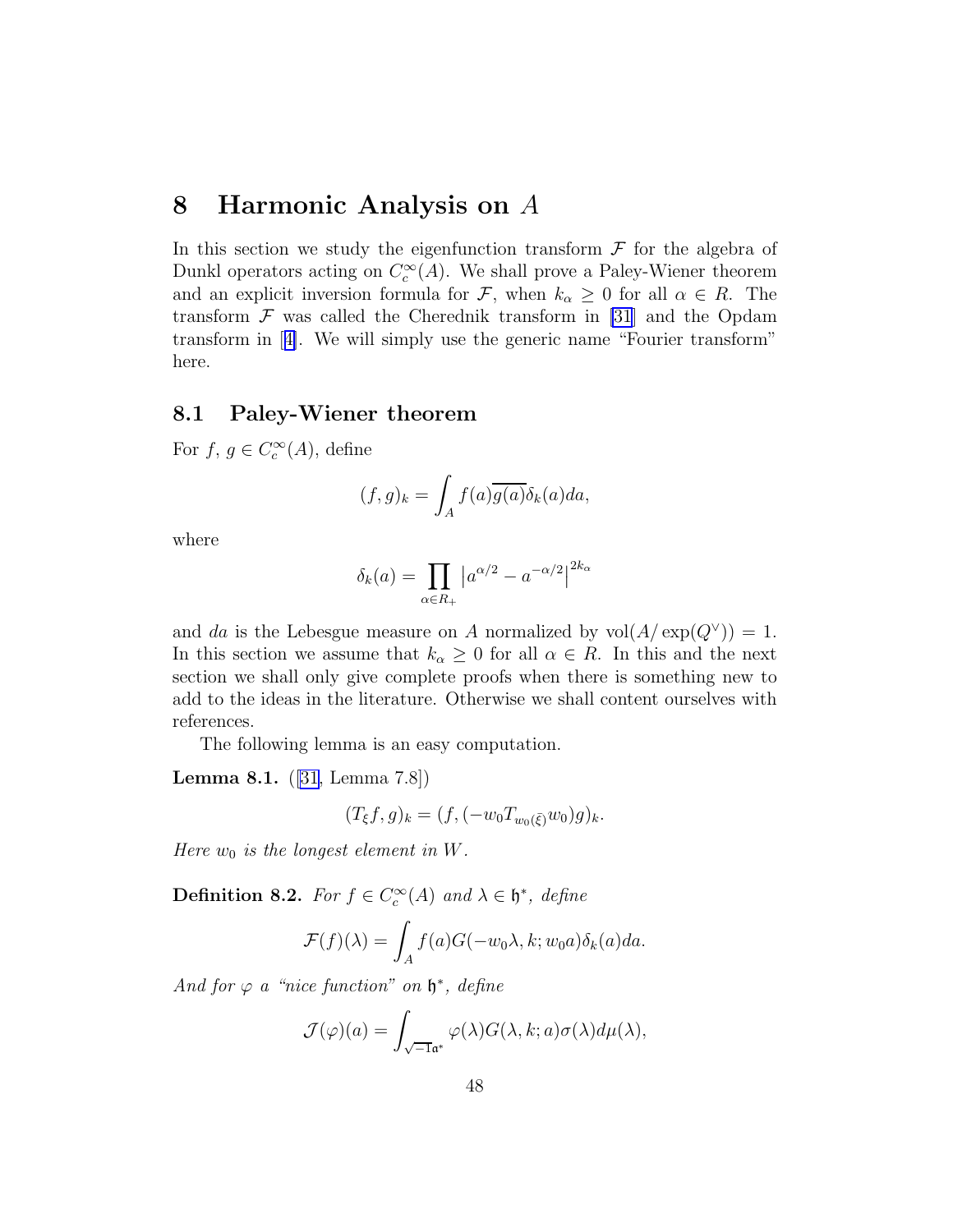# <span id="page-48-0"></span>8 Harmonic Analysis on A

In this section we study the eigenfunction transform  $\mathcal F$  for the algebra of Dunkl operators acting on  $C_c^{\infty}(A)$ . We shall prove a Paley-Wiener theorem and an explicit inversion formula for F, when  $k_{\alpha} \geq 0$  for all  $\alpha \in R$ . The transform  $\mathcal F$  was called the Cherednik transform in [\[31](#page-65-0)] and the Opdam transform in[[4\]](#page-63-0). We will simply use the generic name "Fourier transform" here.

#### 8.1 Paley-Wiener theorem

For  $f, g \in C_c^{\infty}(A)$ , define

$$
(f,g)_k = \int_A f(a)\overline{g(a)}\delta_k(a)da,
$$

where

$$
\delta_k(a) = \prod_{\alpha \in R_+} |a^{\alpha/2} - a^{-\alpha/2}|^{2k_{\alpha}}
$$

and da is the Lebesgue measure on A normalized by  $vol(A / exp(Q^{\vee})) = 1$ . In this section we assume that  $k_{\alpha} \geq 0$  for all  $\alpha \in R$ . In this and the next section we shall only give complete proofs when there is something new to add to the ideas in the literature. Otherwise we shall content ourselves with references.

The following lemma is an easy computation.

Lemma 8.1. ([\[31,](#page-65-0) Lemma 7.8])

$$
(T_{\xi}f, g)_k = (f, (-w_0 T_{w_0(\bar{\xi})}w_0)g)_k.
$$

Here  $w_0$  is the longest element in W.

**Definition 8.2.** For  $f \in C_c^{\infty}(A)$  and  $\lambda \in \mathfrak{h}^*$ , define

$$
\mathcal{F}(f)(\lambda) = \int_A f(a)G(-w_0\lambda, k; w_0 a)\delta_k(a)da.
$$

And for  $\varphi$  a "nice function" on  $\mathfrak{h}^*$ , define

$$
\mathcal{J}(\varphi)(a) = \int_{\sqrt{-1}a^*} \varphi(\lambda)G(\lambda,k;a)\sigma(\lambda)d\mu(\lambda),
$$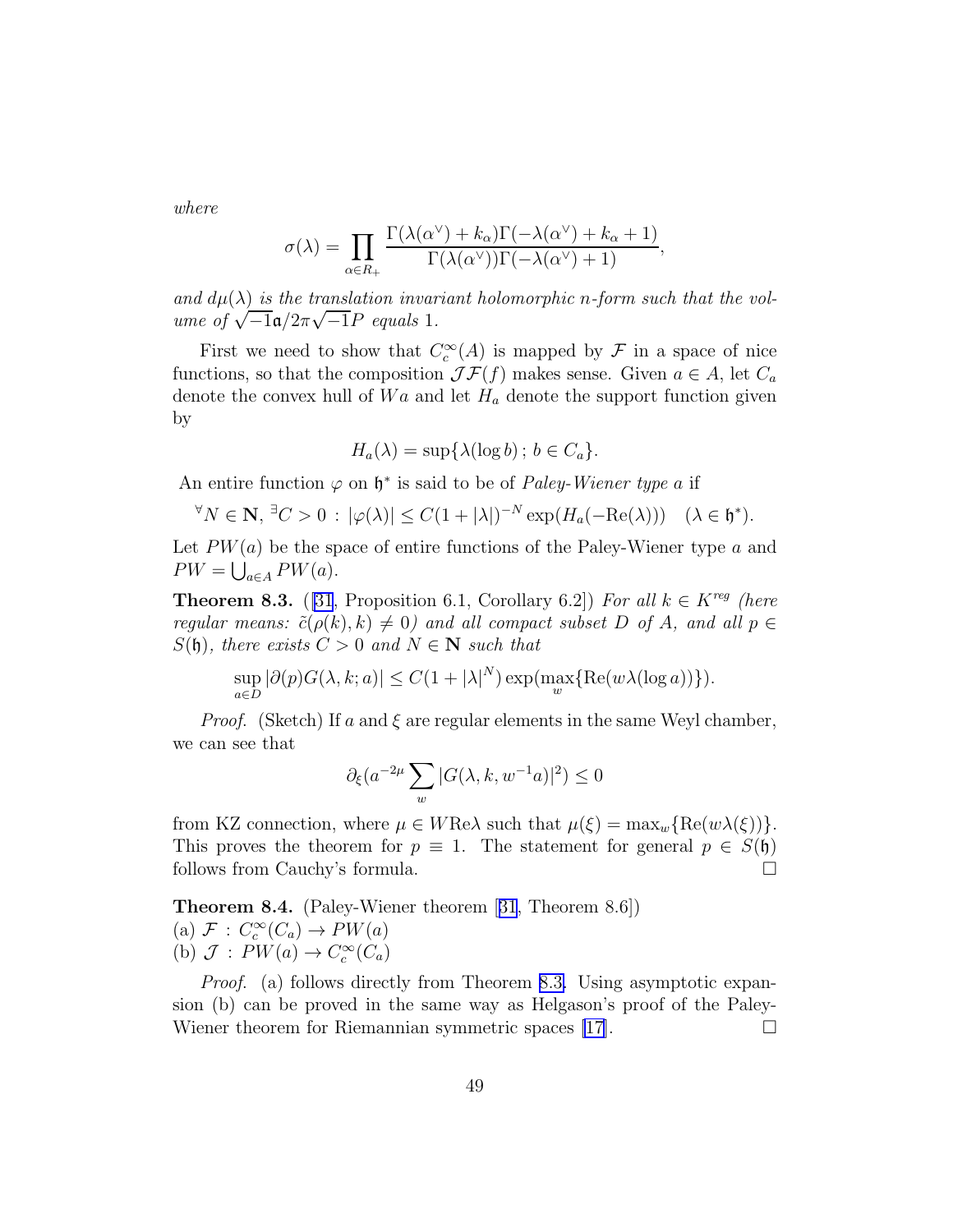where

$$
\sigma(\lambda) = \prod_{\alpha \in R_+} \frac{\Gamma(\lambda(\alpha^{\vee}) + k_\alpha)\Gamma(-\lambda(\alpha^{\vee}) + k_\alpha + 1)}{\Gamma(\lambda(\alpha^{\vee}))\Gamma(-\lambda(\alpha^{\vee}) + 1)},
$$

and  $d\mu(\lambda)$  is the translation invariant holomorphic n-form such that the volume of  $\sqrt{-1}a/2\pi\sqrt{-1}P$  equals 1.

First we need to show that  $C_c^{\infty}(A)$  is mapped by  $\mathcal F$  in a space of nice functions, so that the composition  $\mathcal{J}F(f)$  makes sense. Given  $a \in A$ , let  $C_a$ denote the convex hull of  $Wa$  and let  $H_a$  denote the support function given by

$$
H_a(\lambda) = \sup \{ \lambda (\log b) \, ; \, b \in C_a \}.
$$

An entire function  $\varphi$  on  $\mathfrak{h}^*$  is said to be of *Paley-Wiener type a* if

 $\forall N \in \mathbf{N}, \exists C > 0 : |\varphi(\lambda)| \leq C(1 + |\lambda|)^{-N} \exp(H_a(-\text{Re}(\lambda))) \quad (\lambda \in \mathfrak{h}^*).$ 

Let  $PW(a)$  be the space of entire functions of the Paley-Wiener type a and  $PW = \bigcup_{a \in A} PW(a).$ 

**Theorem 8.3.** ([\[31](#page-65-0), Proposition 6.1, Corollary 6.2]) For all  $k \in K^{reg}$  (here regular means:  $\tilde{c}(\rho(k), k) \neq 0$  and all compact subset D of A, and all  $p \in$  $S(\mathfrak{h})$ , there exists  $C > 0$  and  $N \in \mathbb{N}$  such that

$$
\sup_{a \in D} |\partial(p)G(\lambda, k; a)| \le C(1 + |\lambda|^N) \exp(\max_w \{ \text{Re}(w\lambda(\log a)) \}).
$$

*Proof.* (Sketch) If a and  $\xi$  are regular elements in the same Weyl chamber, we can see that

$$
\partial_{\xi}(a^{-2\mu}\sum_{w}|G(\lambda,k,w^{-1}a)|^2)\leq 0
$$

from KZ connection, where  $\mu \in W \text{Re}\lambda$  such that  $\mu(\xi) = \max_w {\text{Re}(w\lambda(\xi))}.$ This proves the theorem for  $p \equiv 1$ . The statement for general  $p \in S(\mathfrak{h})$  follows from Cauchy's formula. follows from Cauchy's formula.

Theorem 8.4. (Paley-Wiener theorem[[31](#page-65-0), Theorem 8.6])

(a) 
$$
\mathcal{F}: C_c^{\infty}(C_a) \to PW(a)
$$
  
(b)  $\mathcal{J}: PW(a) \to C_c^{\infty}(C_a)$ 

Proof. (a) follows directly from Theorem 8.3. Using asymptotic expansion (b) can be proved in the same way as Helgason's proof of the Paley-Wiener theorem for Riemannian symmetric spaces [\[17\]](#page-64-0).  $\Box$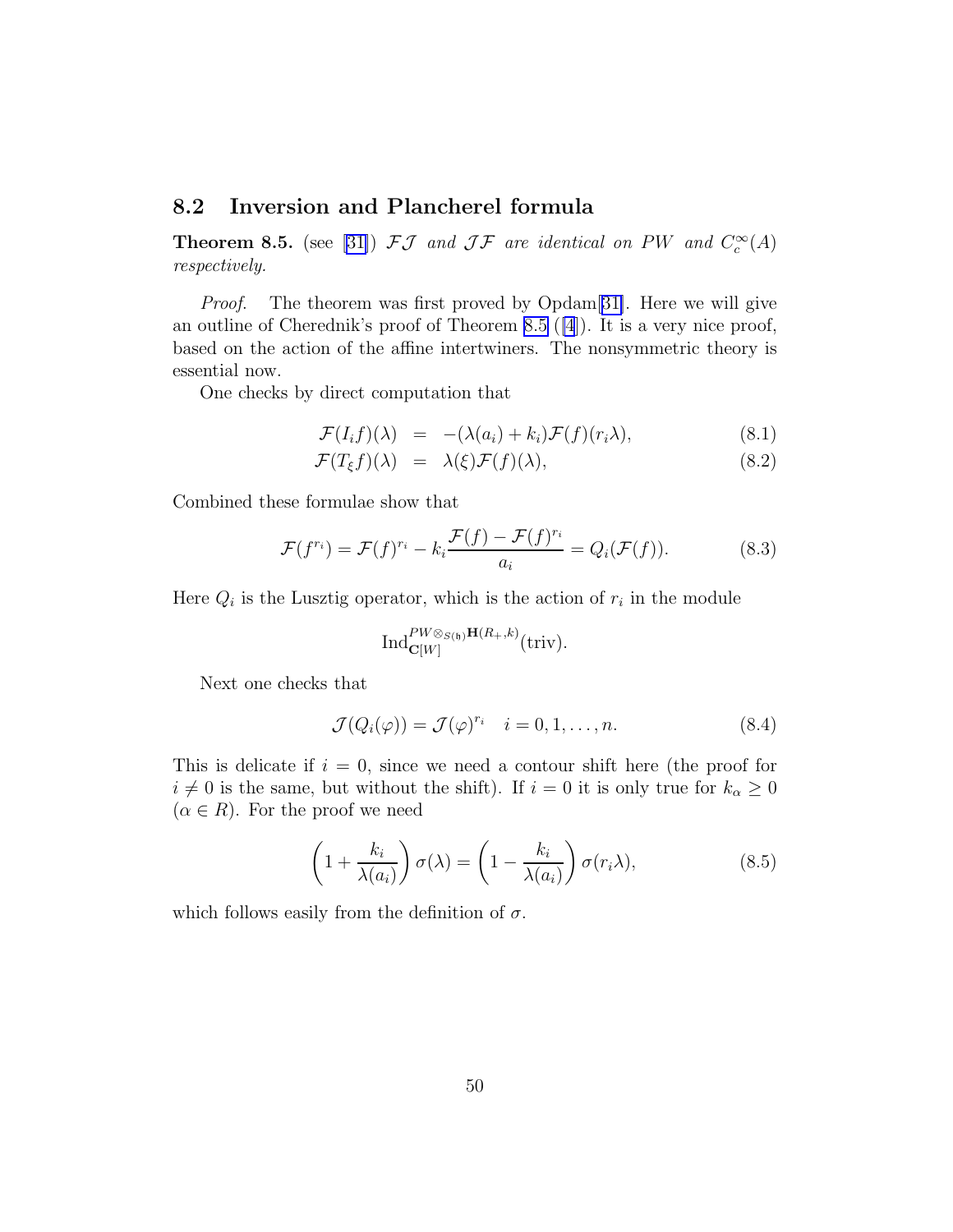#### <span id="page-50-0"></span>8.2 Inversion and Plancherel formula

**Theorem8.5.** (see [[31\]](#page-65-0))  $\mathcal{FJ}$  and  $\mathcal{JF}$  are identical on PW and  $C_c^{\infty}(A)$ respectively.

Proof. The theorem was first proved by Opdam[[31\]](#page-65-0). Here we will give an outline of Cherednik's proof of Theorem 8.5 ([\[4](#page-63-0)]). It is a very nice proof, based on the action of the affine intertwiners. The nonsymmetric theory is essential now.

One checks by direct computation that

$$
\mathcal{F}(I_i f)(\lambda) = -(\lambda(a_i) + k_i) \mathcal{F}(f)(r_i \lambda), \qquad (8.1)
$$

$$
\mathcal{F}(T_{\xi}f)(\lambda) = \lambda(\xi)\mathcal{F}(f)(\lambda), \qquad (8.2)
$$

Combined these formulae show that

$$
\mathcal{F}(f^{r_i}) = \mathcal{F}(f)^{r_i} - k_i \frac{\mathcal{F}(f) - \mathcal{F}(f)^{r_i}}{a_i} = Q_i(\mathcal{F}(f)).
$$
\n(8.3)

Here  $Q_i$  is the Lusztig operator, which is the action of  $r_i$  in the module

$$
\text{Ind}_{\mathbf{C}[W]}^{PW\otimes_{S(\mathfrak{h})}\mathbf{H}(R_+,k)}(\text{triv}).
$$

Next one checks that

$$
\mathcal{J}(Q_i(\varphi)) = \mathcal{J}(\varphi)^{r_i} \quad i = 0, 1, \dots, n. \tag{8.4}
$$

This is delicate if  $i = 0$ , since we need a contour shift here (the proof for  $i\neq 0$  is the same, but without the shift). If  $i=0$  it is only true for  $k_\alpha\geq 0$  $(\alpha \in R)$ . For the proof we need

$$
\left(1 + \frac{k_i}{\lambda(a_i)}\right)\sigma(\lambda) = \left(1 - \frac{k_i}{\lambda(a_i)}\right)\sigma(r_i\lambda),\tag{8.5}
$$

which follows easily from the definition of  $\sigma$ .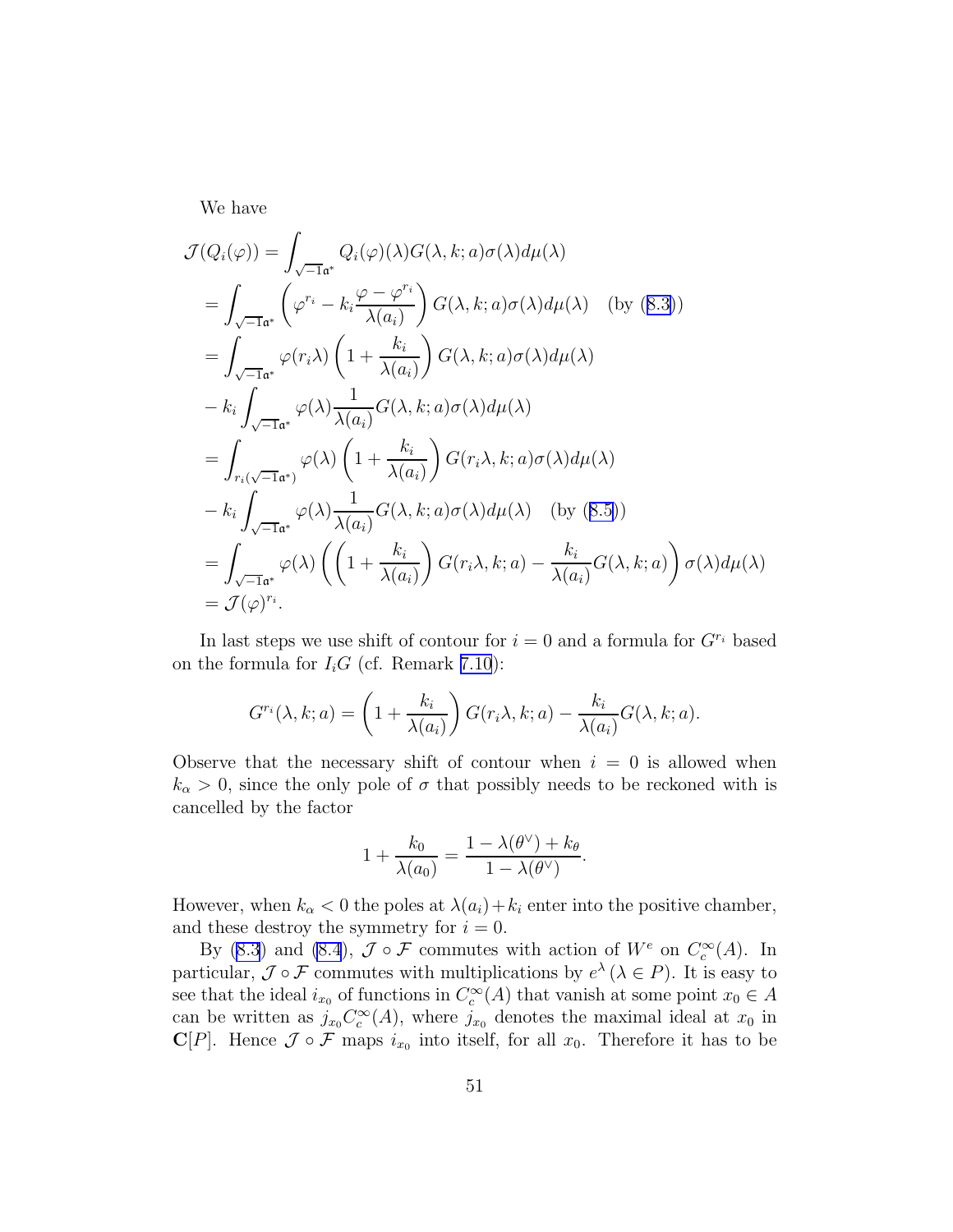We have

$$
\mathcal{J}(Q_i(\varphi)) = \int_{\sqrt{-1}\mathfrak{a}^*} Q_i(\varphi)(\lambda)G(\lambda, k; a)\sigma(\lambda)d\mu(\lambda)
$$
  
\n
$$
= \int_{\sqrt{-1}\mathfrak{a}^*} \left(\varphi^{r_i} - k_i \frac{\varphi - \varphi^{r_i}}{\lambda(a_i)}\right) G(\lambda, k; a)\sigma(\lambda)d\mu(\lambda) \quad \text{(by (8.3))}
$$
  
\n
$$
= \int_{\sqrt{-1}\mathfrak{a}^*} \varphi(r_i\lambda) \left(1 + \frac{k_i}{\lambda(a_i)}\right) G(\lambda, k; a)\sigma(\lambda)d\mu(\lambda)
$$
  
\n
$$
- k_i \int_{\sqrt{-1}\mathfrak{a}^*} \varphi(\lambda) \frac{1}{\lambda(a_i)} G(\lambda, k; a)\sigma(\lambda)d\mu(\lambda)
$$
  
\n
$$
= \int_{r_i(\sqrt{-1}\mathfrak{a}^*)} \varphi(\lambda) \left(1 + \frac{k_i}{\lambda(a_i)}\right) G(r_i\lambda, k; a)\sigma(\lambda)d\mu(\lambda)
$$
  
\n
$$
- k_i \int_{\sqrt{-1}\mathfrak{a}^*} \varphi(\lambda) \frac{1}{\lambda(a_i)} G(\lambda, k; a)\sigma(\lambda)d\mu(\lambda) \quad \text{(by (8.5))}
$$
  
\n
$$
= \int_{\sqrt{-1}\mathfrak{a}^*} \varphi(\lambda) \left(\left(1 + \frac{k_i}{\lambda(a_i)}\right) G(r_i\lambda, k; a) - \frac{k_i}{\lambda(a_i)} G(\lambda, k; a)\right) \sigma(\lambda)d\mu(\lambda)
$$
  
\n
$$
= \mathcal{J}(\varphi)^{r_i}.
$$

In last steps we use shift of contour for  $i = 0$  and a formula for  $G^{r_i}$  based on the formula for  $I_i$ G (cf. Remark [7.10](#page-45-0)):

$$
G^{r_i}(\lambda, k; a) = \left(1 + \frac{k_i}{\lambda(a_i)}\right) G(r_i \lambda, k; a) - \frac{k_i}{\lambda(a_i)} G(\lambda, k; a).
$$

Observe that the necessary shift of contour when  $i = 0$  is allowed when  $k_{\alpha} > 0$ , since the only pole of  $\sigma$  that possibly needs to be reckoned with is cancelled by the factor

$$
1 + \frac{k_0}{\lambda(a_0)} = \frac{1 - \lambda(\theta^{\vee}) + k_{\theta}}{1 - \lambda(\theta^{\vee})}.
$$

However, when  $k_{\alpha} < 0$  the poles at  $\lambda(a_i) + k_i$  enter into the positive chamber, and these destroy the symmetry for  $i = 0$ .

By [\(8.3](#page-50-0)) and [\(8.4](#page-50-0)),  $\mathcal{J} \circ \mathcal{F}$  commutes with action of  $W^e$  on  $C_c^{\infty}(A)$ . In particular,  $\mathcal{J} \circ \mathcal{F}$  commutes with multiplications by  $e^{\lambda}$  ( $\lambda \in P$ ). It is easy to see that the ideal  $i_{x_0}$  of functions in  $C_c^{\infty}(A)$  that vanish at some point  $x_0 \in A$ can be written as  $j_{x_0}C_c^{\infty}(A)$ , where  $j_{x_0}$  denotes the maximal ideal at  $x_0$  in  $\mathbf{C}[P]$ . Hence  $\mathcal{J} \circ \mathcal{F}$  maps  $i_{x_0}$  into itself, for all  $x_0$ . Therefore it has to be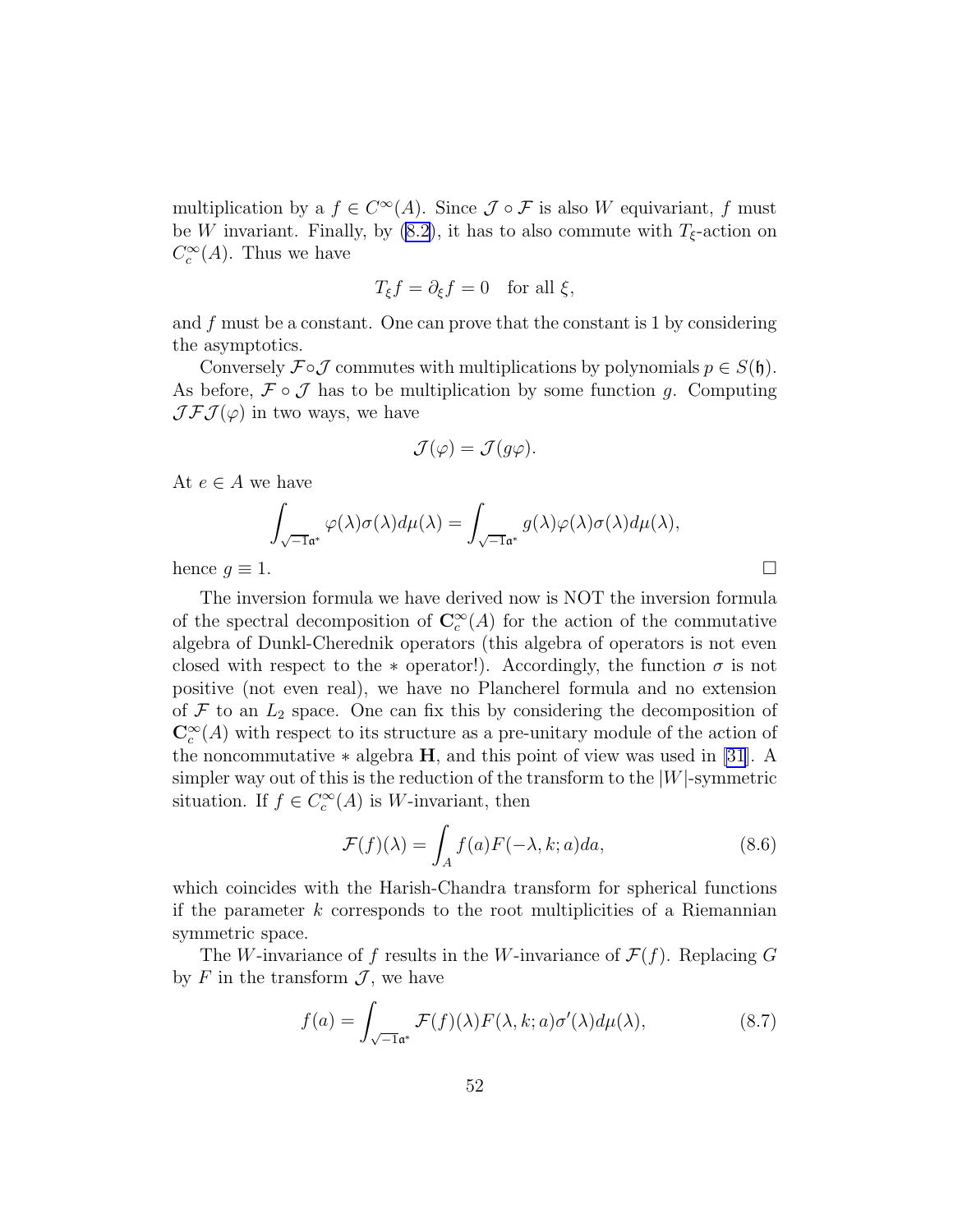<span id="page-52-0"></span>multiplication by a  $f \in C^{\infty}(A)$ . Since  $\mathcal{J} \circ \mathcal{F}$  is also W equivariant, f must be W invariant. Finally, by [\(8.2](#page-50-0)), it has to also commute with  $T_{\xi}$ -action on  $C_c^{\infty}(A)$ . Thus we have

$$
T_{\xi}f = \partial_{\xi}f = 0 \quad \text{for all } \xi,
$$

and  $f$  must be a constant. One can prove that the constant is 1 by considering the asymptotics.

Conversely  $\mathcal{F} \circ \mathcal{J}$  commutes with multiplications by polynomials  $p \in S(\mathfrak{h})$ . As before,  $\mathcal{F} \circ \mathcal{J}$  has to be multiplication by some function g. Computing  $\mathcal{J} \mathcal{F} \mathcal{J}(\varphi)$  in two ways, we have

$$
\mathcal{J}(\varphi) = \mathcal{J}(g\varphi).
$$

At  $e \in A$  we have

$$
\int_{\sqrt{-1}\mathfrak{a}^*} \varphi(\lambda)\sigma(\lambda)d\mu(\lambda) = \int_{\sqrt{-1}\mathfrak{a}^*} g(\lambda)\varphi(\lambda)\sigma(\lambda)d\mu(\lambda),
$$
  
hence  $g \equiv 1$ .

The inversion formula we have derived now is NOT the inversion formula of the spectral decomposition of  $\mathbb{C}_c^{\infty}(A)$  for the action of the commutative algebra of Dunkl-Cherednik operators (this algebra of operators is not even closed with respect to the  $*$  operator!). Accordingly, the function  $\sigma$  is not positive (not even real), we have no Plancherel formula and no extension of  $\mathcal F$  to an  $L_2$  space. One can fix this by considering the decomposition of  $\mathbb{C}_c^{\infty}(A)$  with respect to its structure as a pre-unitary module of the action of the noncommutative  $*$  algebra  $H$ , and this point of view was used in [\[31](#page-65-0)]. A simpler way out of this is the reduction of the transform to the  $|W|$ -symmetric situation. If  $f \in C_c^{\infty}(A)$  is W-invariant, then

$$
\mathcal{F}(f)(\lambda) = \int_{A} f(a)F(-\lambda, k; a)da,
$$
\n(8.6)

which coincides with the Harish-Chandra transform for spherical functions if the parameter  $k$  corresponds to the root multiplicities of a Riemannian symmetric space.

The W-invariance of f results in the W-invariance of  $\mathcal{F}(f)$ . Replacing G by F in the transform  $\mathcal{J}$ , we have

$$
f(a) = \int_{\sqrt{-1}a^*} \mathcal{F}(f)(\lambda) F(\lambda, k; a) \sigma'(\lambda) d\mu(\lambda), \tag{8.7}
$$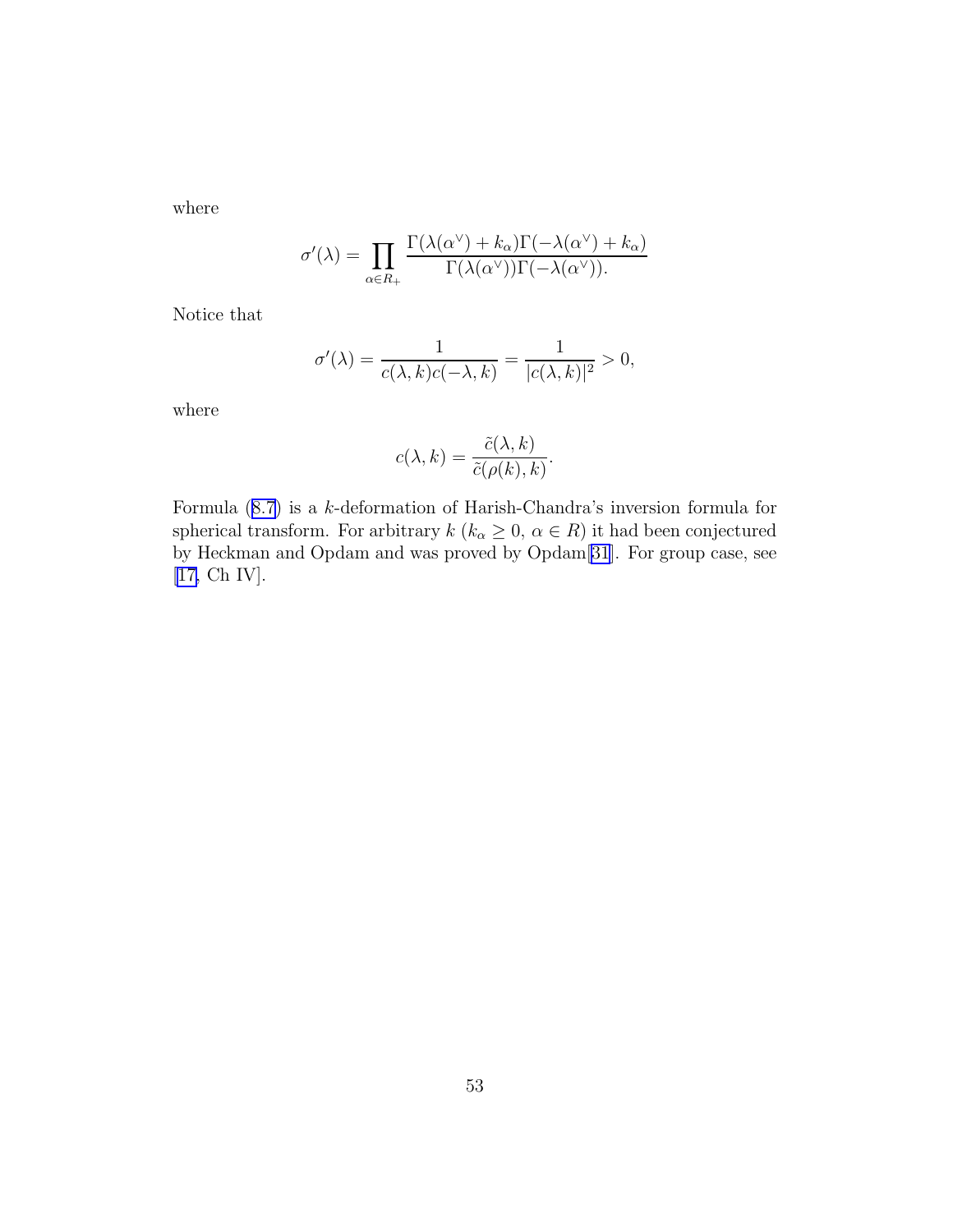where

$$
\sigma'(\lambda) = \prod_{\alpha \in R_+} \frac{\Gamma(\lambda(\alpha^{\vee}) + k_\alpha)\Gamma(-\lambda(\alpha^{\vee}) + k_\alpha)}{\Gamma(\lambda(\alpha^{\vee}))\Gamma(-\lambda(\alpha^{\vee})).}
$$

Notice that

$$
\sigma'(\lambda) = \frac{1}{c(\lambda, k)c(-\lambda, k)} = \frac{1}{|c(\lambda, k)|^2} > 0,
$$

where

$$
c(\lambda, k) = \frac{\tilde{c}(\lambda, k)}{\tilde{c}(\rho(k), k)}.
$$

Formula([8.7\)](#page-52-0) is a k-deformation of Harish-Chandra's inversion formula for spherical transform. For arbitrary  $k$  ( $k_{\alpha} \geq 0$ ,  $\alpha \in R$ ) it had been conjectured by Heckman and Opdam and was proved by Opdam[\[31\]](#page-65-0). For group case, see [\[17,](#page-64-0) Ch IV].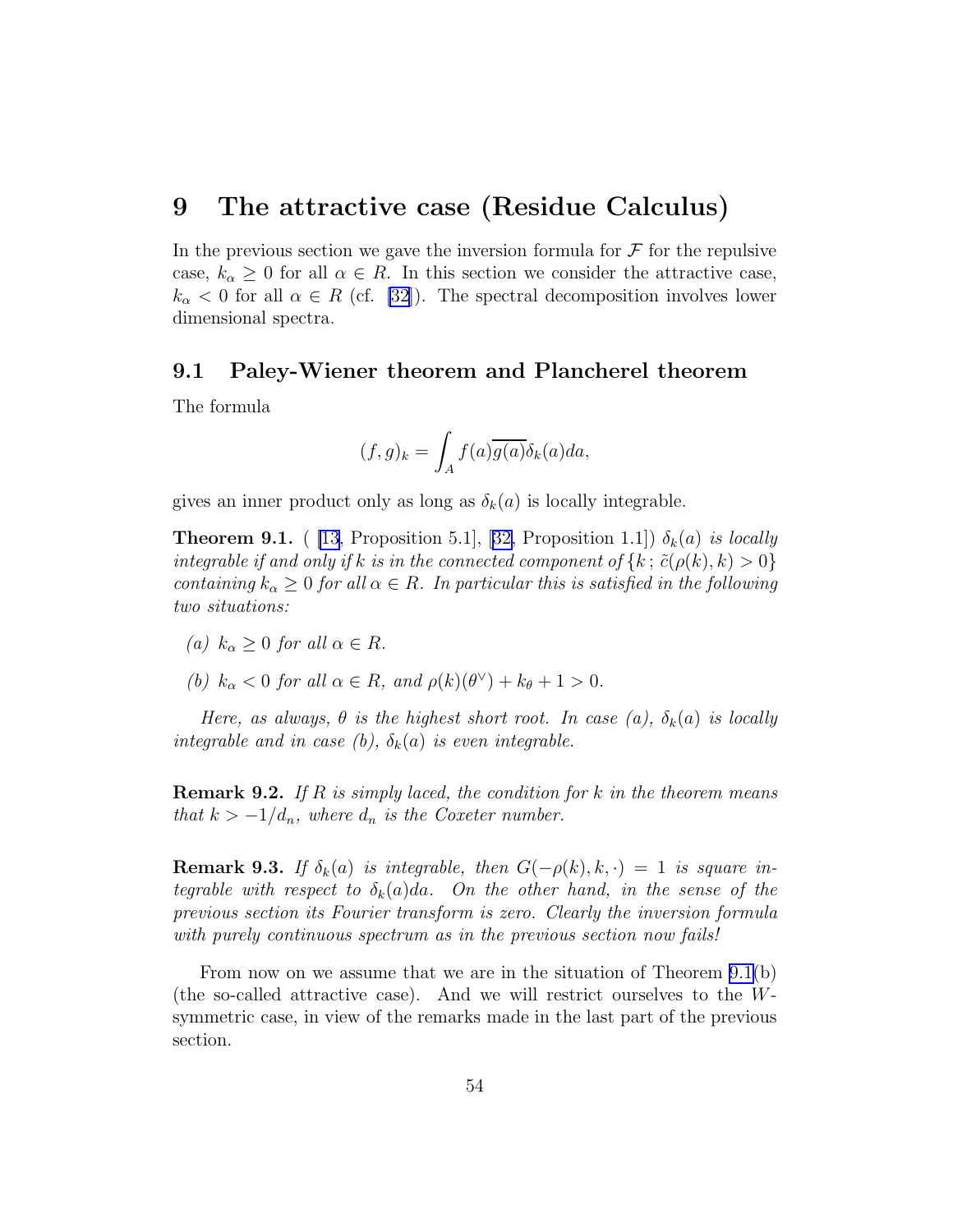# <span id="page-54-0"></span>9 The attractive case (Residue Calculus)

In the previous section we gave the inversion formula for  $\mathcal F$  for the repulsive case,  $k_{\alpha} \geq 0$  for all  $\alpha \in R$ . In this section we consider the attractive case,  $k_{\alpha}$  < 0 for all  $\alpha \in R$  (cf. [\[32\]](#page-65-0)). The spectral decomposition involves lower dimensional spectra.

#### 9.1 Paley-Wiener theorem and Plancherel theorem

The formula

$$
(f,g)_k = \int_A f(a)\overline{g(a)}\delta_k(a)da,
$$

gives an inner product only as long as  $\delta_k(a)$  is locally integrable.

**Theorem9.1.** ( [\[13](#page-64-0), Proposition 5.1], [[32,](#page-65-0) Proposition 1.1])  $\delta_k(a)$  is locally integrable if and only if k is in the connected component of  $\{k : \tilde{c}(\rho(k), k) > 0\}$ containing  $k_{\alpha} \geq 0$  for all  $\alpha \in R$ . In particular this is satisfied in the following two situations:

- (a)  $k_{\alpha} > 0$  for all  $\alpha \in R$ .
- (b)  $k_{\alpha} < 0$  for all  $\alpha \in R$ , and  $\rho(k)(\theta^{\vee}) + k_{\theta} + 1 > 0$ .

Here, as always,  $\theta$  is the highest short root. In case (a),  $\delta_k(a)$  is locally integrable and in case (b),  $\delta_k(a)$  is even integrable.

**Remark 9.2.** If R is simply laced, the condition for k in the theorem means that  $k > -1/d_n$ , where  $d_n$  is the Coxeter number.

**Remark 9.3.** If  $\delta_k(a)$  is integrable, then  $G(-\rho(k), k, \cdot) = 1$  is square integrable with respect to  $\delta_k(a)da$ . On the other hand, in the sense of the previous section its Fourier transform is zero. Clearly the inversion formula with purely continuous spectrum as in the previous section now fails!

From now on we assume that we are in the situation of Theorem 9.1(b) (the so-called attractive case). And we will restrict ourselves to the Wsymmetric case, in view of the remarks made in the last part of the previous section.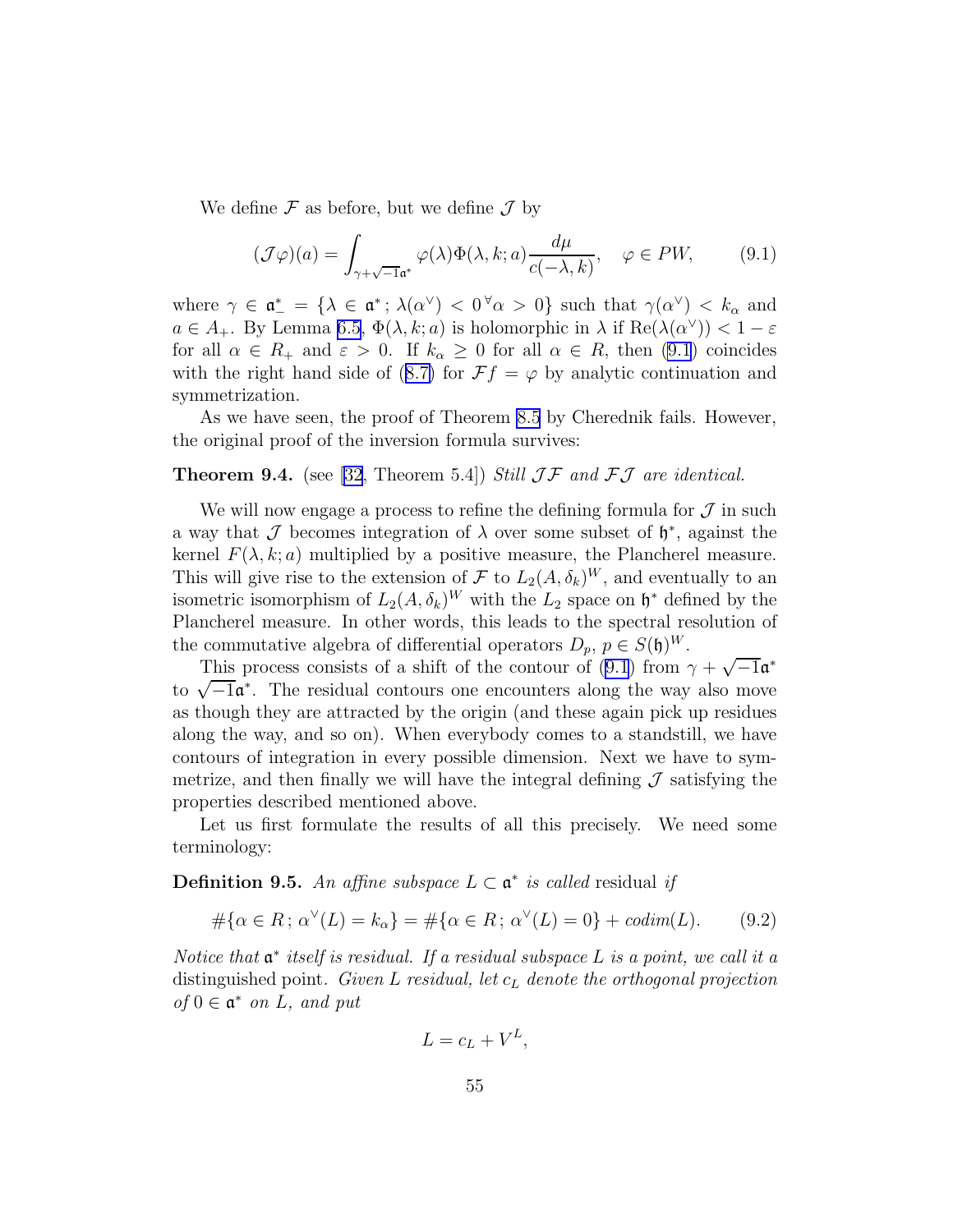<span id="page-55-0"></span>We define  $\mathcal F$  as before, but we define  $\mathcal J$  by

$$
(\mathcal{J}\varphi)(a) = \int_{\gamma+\sqrt{-1}a^*} \varphi(\lambda)\Phi(\lambda,k;a)\frac{d\mu}{c(-\lambda,k)}, \quad \varphi \in PW, \tag{9.1}
$$

where  $\gamma \in \mathfrak{a}^* = {\lambda \in \mathfrak{a}^*; \lambda(\alpha^{\vee}) < 0^{\forall \alpha > 0}}$  such that  $\gamma(\alpha^{\vee}) < k_{\alpha}$  and  $a \in A_+$ . By Lemma [6.5,](#page-32-0)  $\Phi(\lambda, k; a)$  is holomorphic in  $\lambda$  if  $\text{Re}(\lambda(\alpha^{\vee})) < 1 - \varepsilon$ for all  $\alpha \in R_+$  and  $\varepsilon > 0$ . If  $k_\alpha \geq 0$  for all  $\alpha \in R$ , then  $(9.1)$  coincides withthe right hand side of ([8.7\)](#page-52-0) for  $\mathcal{F}f = \varphi$  by analytic continuation and symmetrization.

As we have seen, the proof of Theorem [8.5](#page-50-0) by Cherednik fails. However, the original proof of the inversion formula survives:

**Theorem 9.4.** (see [\[32](#page-65-0), Theorem 5.4]) Still  $J\mathcal{F}$  and  $\mathcal{F}J$  are identical.

We will now engage a process to refine the defining formula for  $\mathcal J$  in such a way that  $\mathcal J$  becomes integration of  $\lambda$  over some subset of  $\mathfrak h^*$ , against the kernel  $F(\lambda, k; a)$  multiplied by a positive measure, the Plancherel measure. This will give rise to the extension of  $\mathcal F$  to  $L_2(A, \delta_k)^W$ , and eventually to an isometric isomorphism of  $L_2(A, \delta_k)^W$  with the  $L_2$  space on  $\mathfrak{h}^*$  defined by the Plancherel measure. In other words, this leads to the spectral resolution of the commutative algebra of differential operators  $D_p$ ,  $p \in S(\mathfrak{h})^W$ .

This process consists of a shift of the contour of (9.1) from  $\gamma + \sqrt{-1}a^*$ to  $\sqrt{-1}\mathfrak{a}^*$ . The residual contours one encounters along the way also move as though they are attracted by the origin (and these again pick up residues along the way, and so on). When everybody comes to a standstill, we have contours of integration in every possible dimension. Next we have to symmetrize, and then finally we will have the integral defining  $\mathcal J$  satisfying the properties described mentioned above.

Let us first formulate the results of all this precisely. We need some terminology:

**Definition 9.5.** An affine subspace  $L \subset \mathfrak{a}^*$  is called residual if

$$
#\{\alpha \in R \,;\, \alpha^{\vee}(L) = k_{\alpha}\} = #\{\alpha \in R \,;\, \alpha^{\vee}(L) = 0\} + \text{codim}(L). \tag{9.2}
$$

Notice that  $\mathfrak{a}^*$  itself is residual. If a residual subspace L is a point, we call it a distinguished point. Given L residual, let  $c<sub>L</sub>$  denote the orthogonal projection  $of 0 \in \mathfrak{a}^*$  on L, and put

$$
L = c_L + V^L,
$$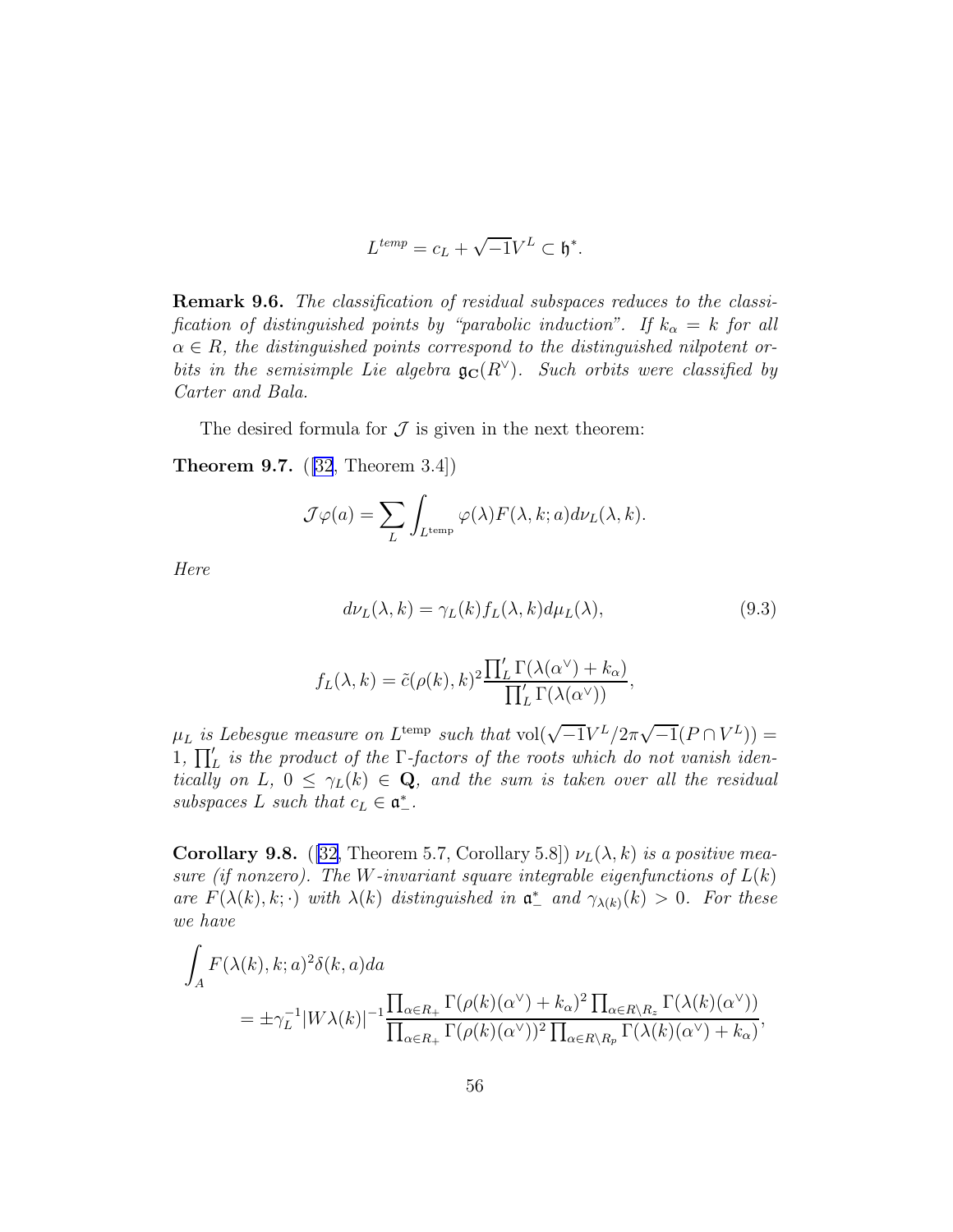$$
L^{temp} = c_L + \sqrt{-1}V^L \subset \mathfrak{h}^*.
$$

<span id="page-56-0"></span>Remark 9.6. The classification of residual subspaces reduces to the classification of distinguished points by "parabolic induction". If  $k_{\alpha} = k$  for all  $\alpha \in R$ , the distinguished points correspond to the distinguished nilpotent orbits in the semisimple Lie algebra  $\mathfrak{g}_{\mathbb{C}}(R^{\vee})$ . Such orbits were classified by Carter and Bala.

The desired formula for  $\mathcal J$  is given in the next theorem:

Theorem 9.7. ([\[32](#page-65-0), Theorem 3.4])

$$
\mathcal{J}\varphi(a) = \sum_{L} \int_{L^{\text{temp}}} \varphi(\lambda) F(\lambda, k; a) d\nu_L(\lambda, k).
$$

Here

$$
d\nu_L(\lambda, k) = \gamma_L(k) f_L(\lambda, k) d\mu_L(\lambda), \qquad (9.3)
$$

$$
f_L(\lambda, k) = \tilde{c}(\rho(k), k)^2 \frac{\prod_L' \Gamma(\lambda(\alpha^{\vee}) + k_\alpha)}{\prod_L' \Gamma(\lambda(\alpha^{\vee}))},
$$

 $\mu_L$  is Lebesgue measure on L<sup>temp</sup> such that vol $(\sqrt{-1}V^L/2\pi\sqrt{-1}(P\cap V^L))$  = 1,  $\prod'_{L}$  is the product of the  $\Gamma$ -factors of the roots which do not vanish identically on L,  $0 \leq \gamma_L(k) \in \mathbf{Q}$ , and the sum is taken over all the residual subspaces L such that  $c_L \in \mathfrak{a}_-^*$ .

Corollary 9.8. ([\[32,](#page-65-0) Theorem 5.7, Corollary 5.8])  $\nu_L(\lambda, k)$  is a positive measure (if nonzero). The W-invariant square integrable eigenfunctions of  $L(k)$ are  $F(\lambda(k), k; \cdot)$  with  $\lambda(k)$  distinguished in  $\mathfrak{a}^*_{-}$  and  $\gamma_{\lambda(k)}(k) > 0$ . For these we have

$$
\int_{A} F(\lambda(k), k; a)^{2} \delta(k, a) da
$$
\n
$$
= \pm \gamma_{L}^{-1} |W\lambda(k)|^{-1} \frac{\prod_{\alpha \in R_{+}} \Gamma(\rho(k)(\alpha^{\vee}) + k_{\alpha})^{2} \prod_{\alpha \in R \setminus R_{z}} \Gamma(\lambda(k)(\alpha^{\vee}))}{\prod_{\alpha \in R_{+}} \Gamma(\rho(k)(\alpha^{\vee}))^{2} \prod_{\alpha \in R \setminus R_{p}} \Gamma(\lambda(k)(\alpha^{\vee}) + k_{\alpha})},
$$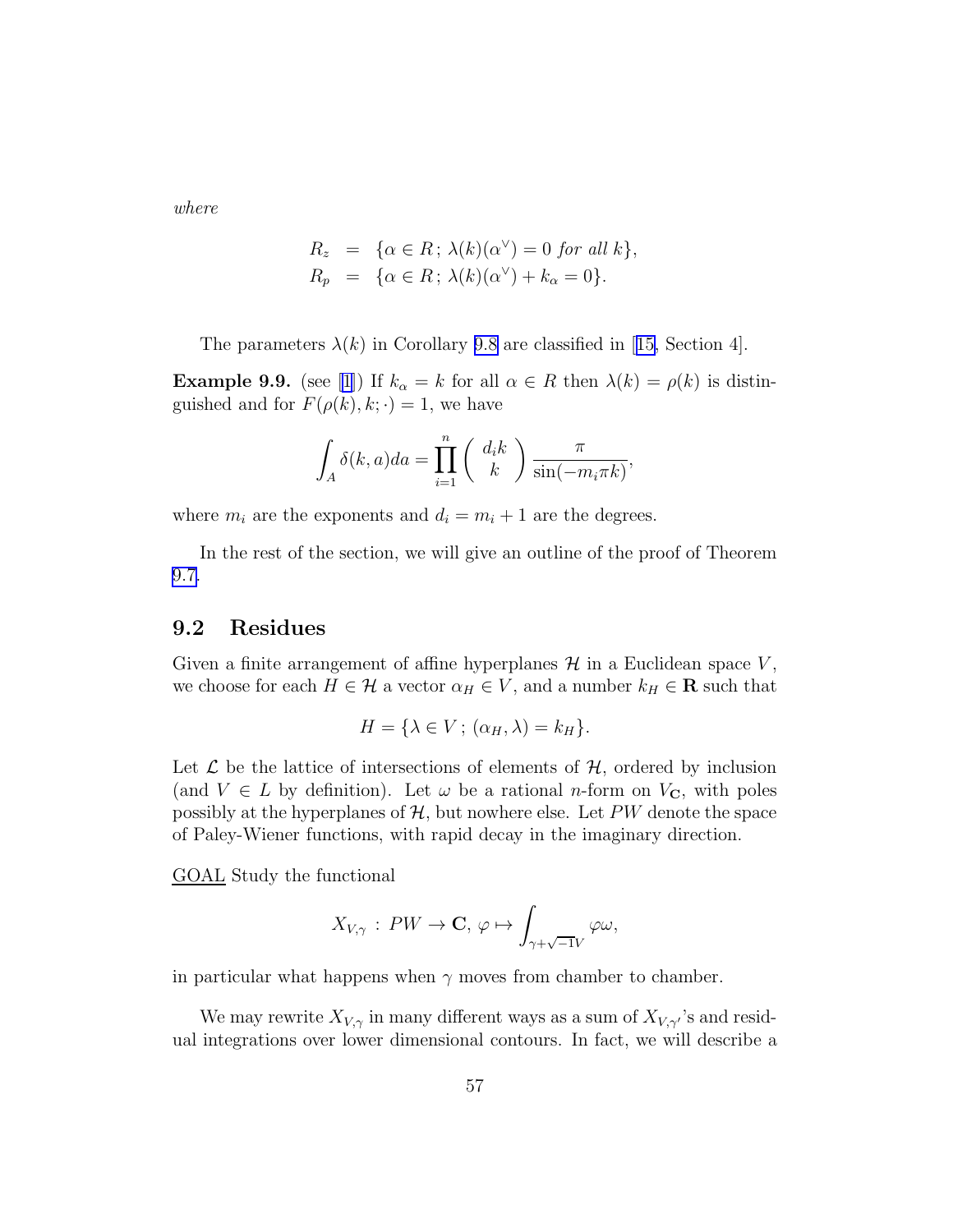<span id="page-57-0"></span>where

$$
R_z = \{ \alpha \in R \, ; \, \lambda(k)(\alpha^{\vee}) = 0 \text{ for all } k \},
$$
  
\n
$$
R_p = \{ \alpha \in R \, ; \, \lambda(k)(\alpha^{\vee}) + k_\alpha = 0 \}.
$$

Theparameters  $\lambda(k)$  in Corollary [9.8](#page-56-0) are classified in [[15,](#page-64-0) Section 4].

**Example 9.9.** (see [\[1](#page-63-0)]) If  $k_{\alpha} = k$  for all  $\alpha \in R$  then  $\lambda(k) = \rho(k)$  is distinguished and for  $F(\rho(k), k; \cdot) = 1$ , we have

$$
\int_A \delta(k, a) da = \prod_{i=1}^n \binom{d_i k}{k} \frac{\pi}{\sin(-m_i \pi k)},
$$

where  $m_i$  are the exponents and  $d_i = m_i + 1$  are the degrees.

In the rest of the section, we will give an outline of the proof of Theorem [9.7.](#page-56-0)

#### 9.2 Residues

Given a finite arrangement of affine hyperplanes  $\mathcal H$  in a Euclidean space  $V$ , we choose for each  $H \in \mathcal{H}$  a vector  $\alpha_H \in V$ , and a number  $k_H \in \mathbf{R}$  such that

$$
H = \{ \lambda \in V; (\alpha_H, \lambda) = k_H \}.
$$

Let  $\mathcal L$  be the lattice of intersections of elements of  $\mathcal H$ , ordered by inclusion (and  $V \in L$  by definition). Let  $\omega$  be a rational *n*-form on  $V_{\mathbf{C}}$ , with poles possibly at the hyperplanes of  $H$ , but nowhere else. Let PW denote the space of Paley-Wiener functions, with rapid decay in the imaginary direction.

GOAL Study the functional

$$
X_{V,\gamma}: PW \to \mathbf{C}, \varphi \mapsto \int_{\gamma+\sqrt{-1}V} \varphi \omega,
$$

in particular what happens when  $\gamma$  moves from chamber to chamber.

We may rewrite  $X_{V,\gamma}$  in many different ways as a sum of  $X_{V,\gamma}$ 's and residual integrations over lower dimensional contours. In fact, we will describe a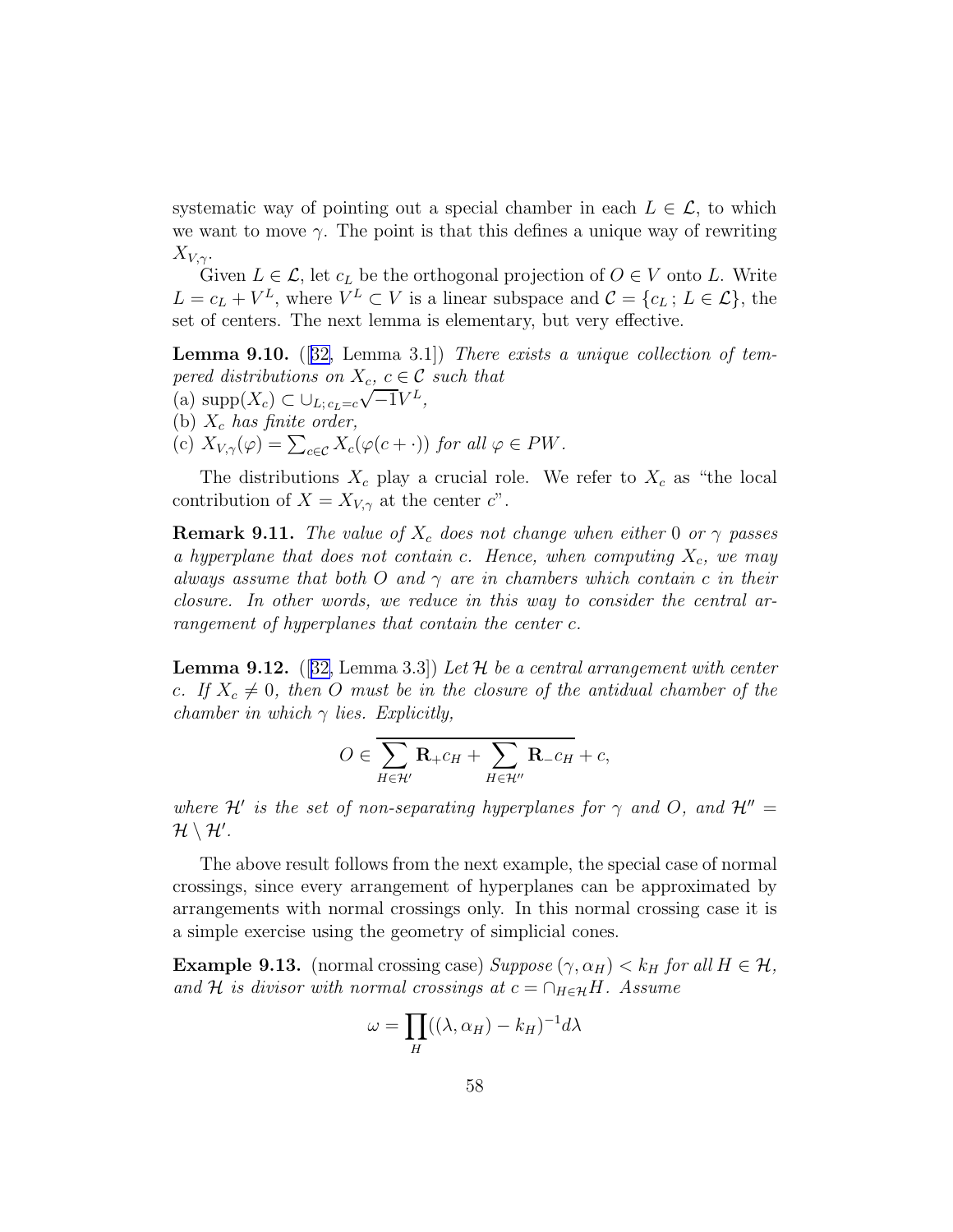<span id="page-58-0"></span>systematic way of pointing out a special chamber in each  $L \in \mathcal{L}$ , to which we want to move  $\gamma$ . The point is that this defines a unique way of rewriting  $X_{V,\gamma}$ .

Given  $L \in \mathcal{L}$ , let  $c_L$  be the orthogonal projection of  $O \in V$  onto L. Write  $L = c_L + V^L$ , where  $V^L \subset V$  is a linear subspace and  $\mathcal{C} = \{c_L : L \in \mathcal{L}\}\$ , the set of centers. The next lemma is elementary, but very effective.

**Lemma 9.10.** ([[32,](#page-65-0) Lemma 3.1]) There exists a unique collection of tempered distributions on  $X_c$ ,  $c \in \mathcal{C}$  such that

- (a)  $\text{supp}(X_c) \subset \bigcup_{L; c_L = c} \sqrt{-1}V^L$ ,
- (b)  $X_c$  has finite order,
- (c)  $X_{V,\gamma}(\varphi) = \sum_{c \in \mathcal{C}} X_c(\varphi(c + \cdot))$  for all  $\varphi \in PW$ .

The distributions  $X_c$  play a crucial role. We refer to  $X_c$  as "the local contribution of  $X = X_{V,\gamma}$  at the center c".

**Remark 9.11.** The value of  $X_c$  does not change when either 0 or  $\gamma$  passes a hyperplane that does not contain c. Hence, when computing  $X_c$ , we may always assume that both O and  $\gamma$  are in chambers which contain c in their closure. In other words, we reduce in this way to consider the central arrangement of hyperplanes that contain the center c.

**Lemma 9.12.** ([[32,](#page-65-0) Lemma 3.3]) Let H be a central arrangement with center c. If  $X_c \neq 0$ , then O must be in the closure of the antidual chamber of the chamber in which  $\gamma$  lies. Explicitly,

$$
O \in \sum_{H \in \mathcal{H}'} \mathbf{R}_{+} c_{H} + \sum_{H \in \mathcal{H}''} \mathbf{R}_{-} c_{H} + c,
$$

where  $\mathcal{H}'$  is the set of non-separating hyperplanes for  $\gamma$  and  $O$ , and  $\mathcal{H}'' =$  $\mathcal{H}\setminus\mathcal{H}'.$ 

The above result follows from the next example, the special case of normal crossings, since every arrangement of hyperplanes can be approximated by arrangements with normal crossings only. In this normal crossing case it is a simple exercise using the geometry of simplicial cones.

**Example 9.13.** (normal crossing case) Suppose  $(\gamma, \alpha_H) < k_H$  for all  $H \in \mathcal{H}$ , and H is divisor with normal crossings at  $c = \bigcap_{H \in \mathcal{H}} H$ . Assume

$$
\omega = \prod_{H} ((\lambda, \alpha_H) - k_H)^{-1} d\lambda
$$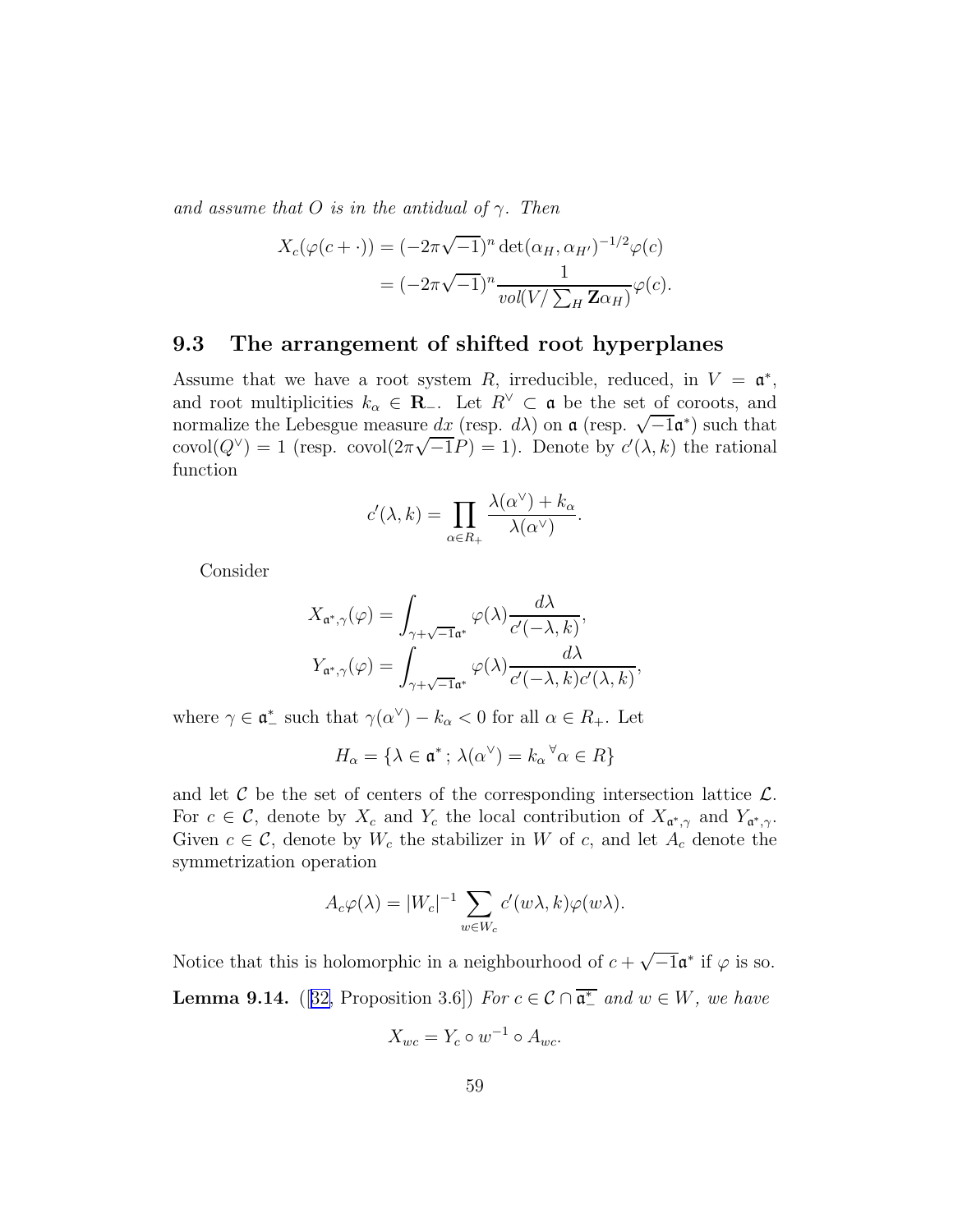<span id="page-59-0"></span>and assume that O is in the antidual of  $\gamma$ . Then

$$
X_c(\varphi(c+\cdot)) = (-2\pi\sqrt{-1})^n \det(\alpha_H, \alpha_{H'})^{-1/2} \varphi(c)
$$
  
= 
$$
(-2\pi\sqrt{-1})^n \frac{1}{vol(V/\sum_H \mathbf{Z}\alpha_H)} \varphi(c).
$$

#### 9.3 The arrangement of shifted root hyperplanes

Assume that we have a root system R, irreducible, reduced, in  $V = \mathfrak{a}^*$ , and root multiplicities  $k_{\alpha} \in \mathbf{R}_-$ . Let  $R^{\vee} \subset \mathfrak{a}$  be the set of coroots, and normalize the Lebesgue measure  $dx$  (resp.  $d\lambda$ ) on  $\alpha$  (resp.  $\sqrt{-1}\alpha^*$ ) such that covol $(Q^{\vee}) = 1$  (resp. covol $(2\pi\sqrt{-1}P) = 1$ ). Denote by  $c'(\lambda, k)$  the rational function

$$
c'(\lambda, k) = \prod_{\alpha \in R_+} \frac{\lambda(\alpha^{\vee}) + k_{\alpha}}{\lambda(\alpha^{\vee})}.
$$

Consider

$$
X_{\mathfrak{a}^*,\gamma}(\varphi) = \int_{\gamma+\sqrt{-1}\mathfrak{a}^*} \varphi(\lambda) \frac{d\lambda}{c'(-\lambda,k)},
$$
  

$$
Y_{\mathfrak{a}^*,\gamma}(\varphi) = \int_{\gamma+\sqrt{-1}\mathfrak{a}^*} \varphi(\lambda) \frac{d\lambda}{c'(-\lambda,k)c'(\lambda,k)},
$$

where  $\gamma \in \mathfrak{a}_{-}^*$  such that  $\gamma(\alpha^{\vee}) - k_{\alpha} < 0$  for all  $\alpha \in R_+$ . Let

$$
H_{\alpha} = \{ \lambda \in \mathfrak{a}^* \, ; \, \lambda(\alpha^{\vee}) = k_{\alpha} {}^{\forall} \alpha \in R \}
$$

and let  $\mathcal C$  be the set of centers of the corresponding intersection lattice  $\mathcal L$ . For  $c \in \mathcal{C}$ , denote by  $X_c$  and  $Y_c$  the local contribution of  $X_{\mathfrak{a}^*, \gamma}$  and  $Y_{\mathfrak{a}^*, \gamma}$ . Given  $c \in \mathcal{C}$ , denote by  $W_c$  the stabilizer in W of c, and let  $A_c$  denote the symmetrization operation

$$
A_c\varphi(\lambda) = |W_c|^{-1} \sum_{w \in W_c} c'(w\lambda, k)\varphi(w\lambda).
$$

Notice that this is holomorphic in a neighbourhood of  $c + \sqrt{-1}a^*$  if  $\varphi$  is so. **Lemma 9.14.** ([[32,](#page-65-0) Proposition 3.6]) For  $c \in \mathcal{C} \cap \overline{\mathfrak{a}^*_{-}}$  and  $w \in W$ , we have

$$
X_{wc} = Y_c \circ w^{-1} \circ A_{wc}.
$$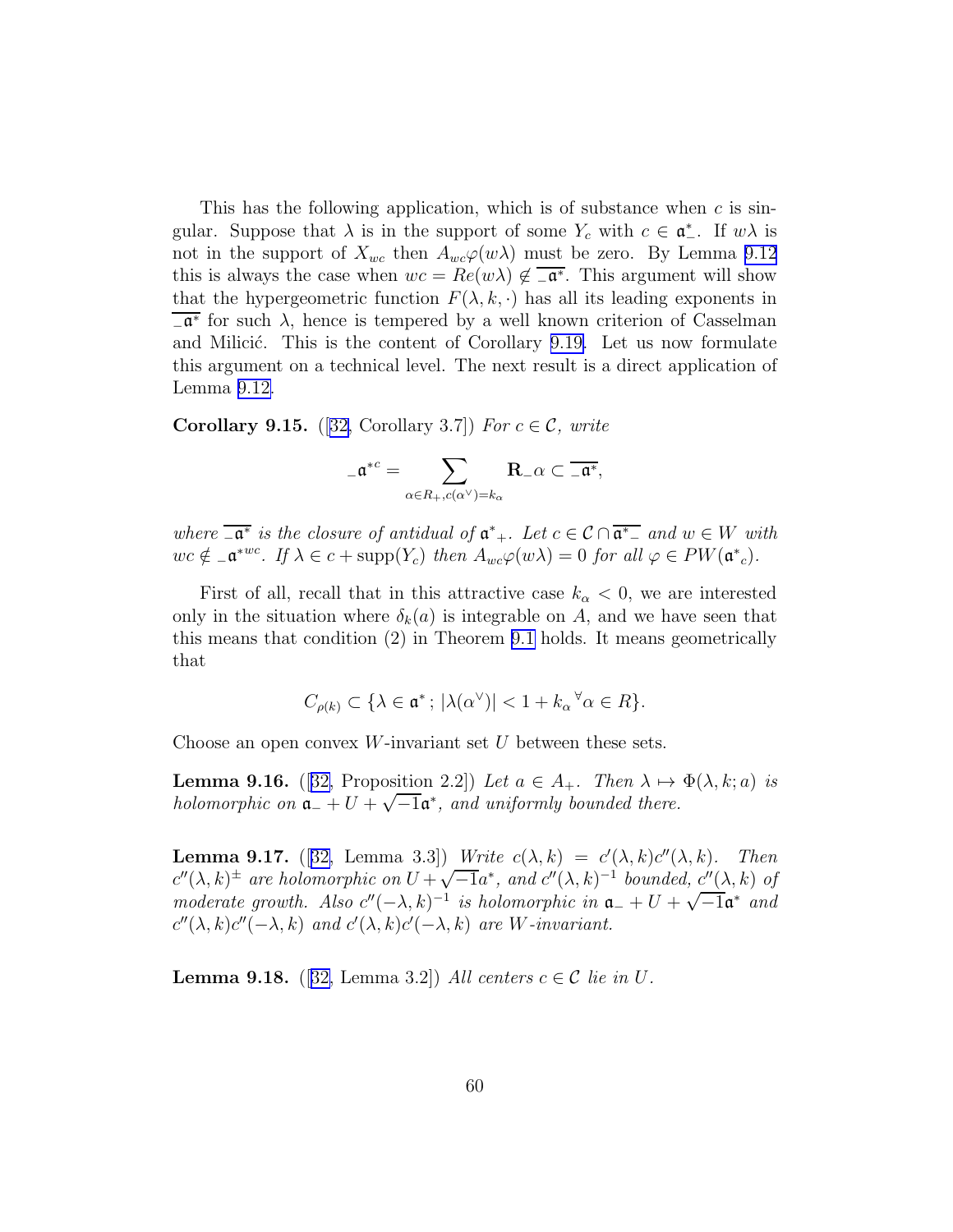<span id="page-60-0"></span>This has the following application, which is of substance when  $c$  is singular. Suppose that  $\lambda$  is in the support of some  $Y_c$  with  $c \in \mathfrak{a}^*$ . If  $w\lambda$  is not in the support of  $X_{wc}$  then  $A_{wc}\varphi(w\lambda)$  must be zero. By Lemma [9.12](#page-58-0) this is always the case when  $wc = Re(w\lambda) \notin \overline{a^*}$ . This argument will show that the hypergeometric function  $F(\lambda, k, \cdot)$  has all its leading exponents in  $-\mathbf{a}^*$  for such  $\lambda$ , hence is tempered by a well known criterion of Casselman and Milicić. This is the content of Corollary [9.19.](#page-61-0) Let us now formulate this argument on a technical level. The next result is a direct application of Lemma [9.12.](#page-58-0)

**Corollary 9.15.** ([[32,](#page-65-0) Corollary 3.7]) For  $c \in \mathcal{C}$ , write

$$
{}_{-}\mathfrak{a}^{*c}=\sum_{\alpha\in R_{+},c(\alpha^{\vee})=k_{\alpha}}\mathbf{R}_{-}\alpha\subset\overline{-\mathfrak{a}^{*}},
$$

where  $\overline{a^*}$  is the closure of antidual of  $\mathfrak{a}^*_+$ . Let  $c \in \mathcal{C} \cap \overline{\mathfrak{a}^*_-}$  and  $w \in W$  with  $wc \notin \mathcal{A}^{*wc}$ . If  $\lambda \in c + \text{supp}(Y_c)$  then  $A_{wc}\varphi(w\lambda) = 0$  for all  $\varphi \in PW(\mathfrak{a}^*_{c})$ .

First of all, recall that in this attractive case  $k_{\alpha} < 0$ , we are interested only in the situation where  $\delta_k(a)$  is integrable on A, and we have seen that this means that condition (2) in Theorem [9.1](#page-54-0) holds. It means geometrically that

$$
C_{\rho(k)} \subset \{\lambda \in \mathfrak{a}^* \, ; \, |\lambda(\alpha^{\vee})| < 1 + k_{\alpha} \, ^\forall \alpha \in R\}.
$$

Choose an open convex  $W$ -invariant set  $U$  between these sets.

**Lemma 9.16.** ([[32,](#page-65-0) Proposition 2.2]) Let  $a \in A_+$ . Then  $\lambda \mapsto \Phi(\lambda, k; a)$  is holomorphic on  $a_+ + U + \sqrt{-1}a^*$ , and uniformly bounded there.

**Lemma 9.17.** ([[32,](#page-65-0) Lemma 3.3]) Write  $c(\lambda, k) = c'(\lambda, k)c''(\lambda, k)$ . Then  $c''(\lambda, k)^{\pm}$  are holomorphic on  $U + \sqrt{-1}a^*$ , and  $c''(\lambda, k)^{-1}$  bounded,  $c''(\lambda, k)$  of moderate growth. Also  $c''(-\lambda, k)^{-1}$  is holomorphic in  $a_- + U + \sqrt{-1}a^*$  and  $c''(\lambda, k)c''(-\lambda, k)$  and  $c'(\lambda, k)c'(-\lambda, k)$  are W-invariant.

**Lemma 9.18.** ([[32,](#page-65-0) Lemma 3.2]) All centers  $c \in \mathcal{C}$  lie in U.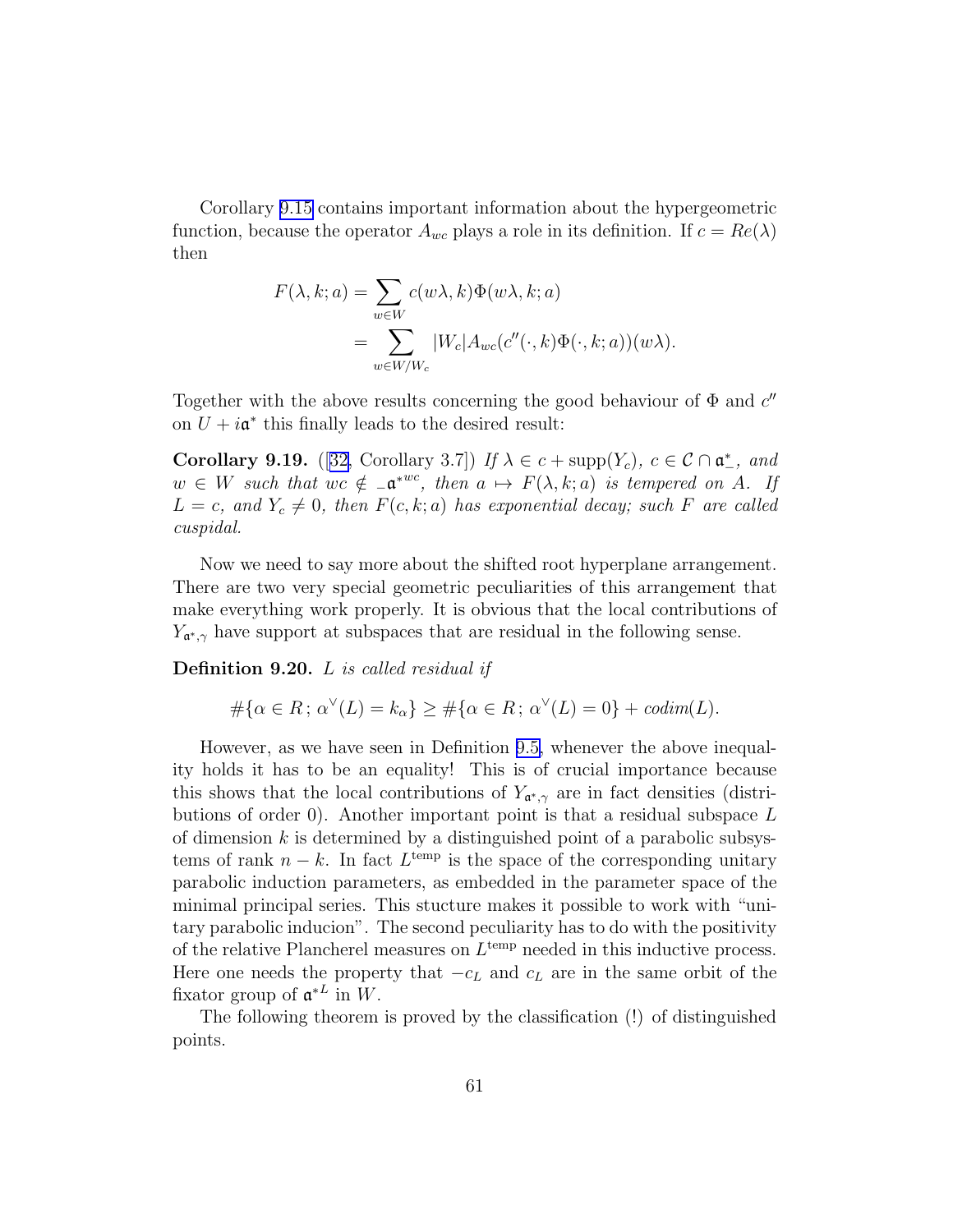<span id="page-61-0"></span>Corollary [9.15](#page-60-0) contains important information about the hypergeometric function, because the operator  $A_{wc}$  plays a role in its definition. If  $c = Re(\lambda)$ then

$$
F(\lambda, k; a) = \sum_{w \in W} c(w\lambda, k) \Phi(w\lambda, k; a)
$$
  
= 
$$
\sum_{w \in W/W_c} |W_c| A_{wc}(c''(\cdot, k) \Phi(\cdot, k; a))(w\lambda).
$$

Together with the above results concerning the good behaviour of  $\Phi$  and  $c''$ on  $U + i\mathfrak{a}^*$  this finally leads to the desired result:

Corollary 9.19. ([[32,](#page-65-0) Corollary 3.7]) If  $\lambda \in c + \text{supp}(Y_c)$ ,  $c \in \mathcal{C} \cap \mathfrak{a}^*$ , and  $w \in W$  such that  $wc \notin \mathcal{A}^{*wc}$ , then  $a \mapsto F(\lambda, k; a)$  is tempered on A. If  $L = c$ , and  $Y_c \neq 0$ , then  $F(c, k; a)$  has exponential decay; such F are called cuspidal.

Now we need to say more about the shifted root hyperplane arrangement. There are two very special geometric peculiarities of this arrangement that make everything work properly. It is obvious that the local contributions of  $Y_{\mathfrak{a}^*,\gamma}$  have support at subspaces that are residual in the following sense.

Definition 9.20. L is called residual if

$$
#\{\alpha \in R\,;\,\alpha^{\vee}(L)=k_{\alpha}\} \geq #\{\alpha \in R\,;\,\alpha^{\vee}(L)=0\} + codim(L).
$$

However, as we have seen in Definition [9.5,](#page-55-0) whenever the above inequality holds it has to be an equality! This is of crucial importance because this shows that the local contributions of  $Y_{\mathfrak{a}^*,\gamma}$  are in fact densities (distributions of order 0). Another important point is that a residual subspace  $L$ of dimension  $k$  is determined by a distinguished point of a parabolic subsystems of rank  $n - k$ . In fact  $L^{\text{temp}}$  is the space of the corresponding unitary parabolic induction parameters, as embedded in the parameter space of the minimal principal series. This stucture makes it possible to work with "unitary parabolic inducion". The second peculiarity has to do with the positivity of the relative Plancherel measures on  $L^{\text{temp}}$  needed in this inductive process. Here one needs the property that  $-c<sub>L</sub>$  and  $c<sub>L</sub>$  are in the same orbit of the fixator group of  $\mathfrak{a}^{*L}$  in W.

The following theorem is proved by the classification (!) of distinguished points.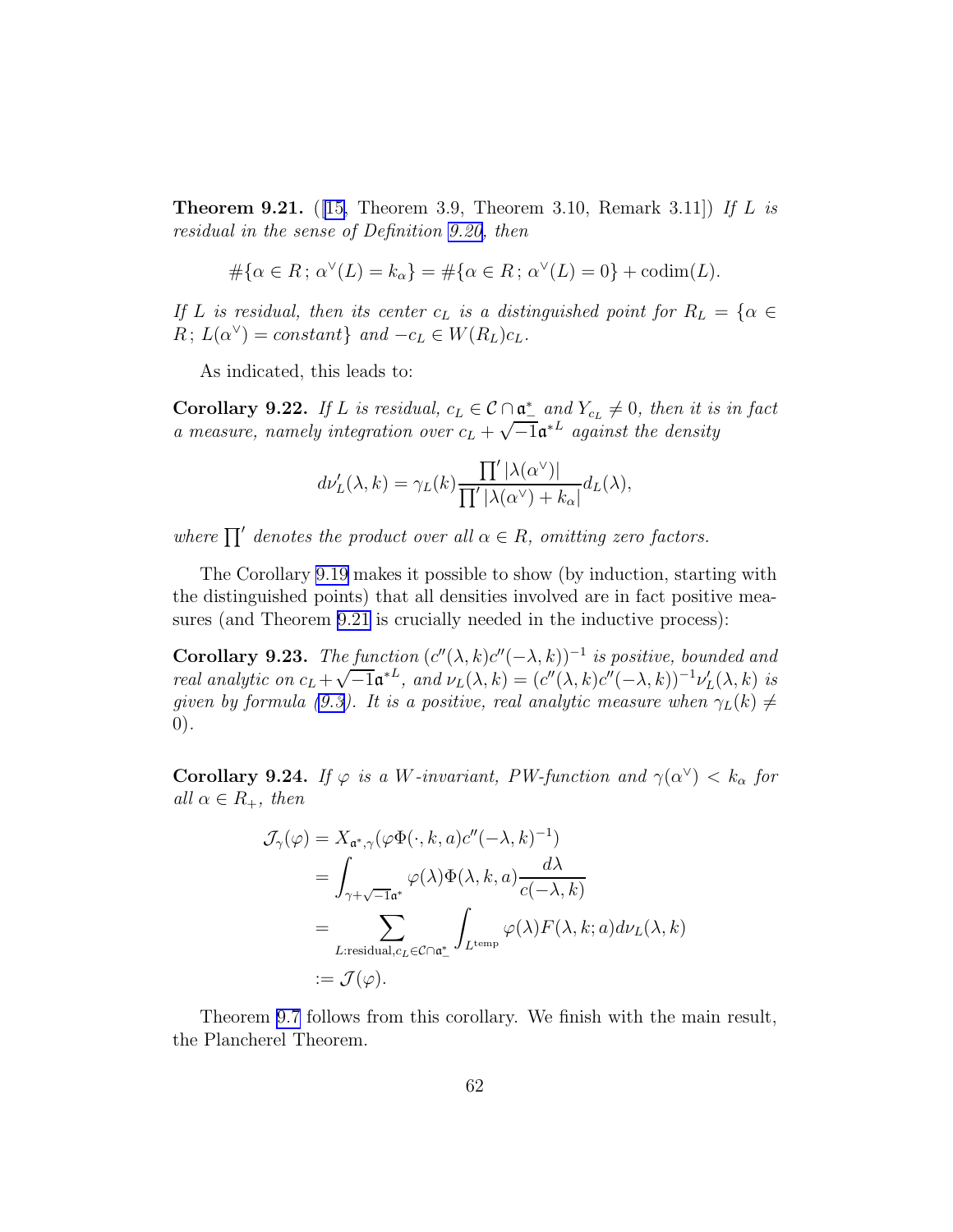**Theorem 9.21.** (15, Theorem 3.9, Theorem 3.10, Remark 3.11) If L is residual in the sense of Definition [9.20,](#page-61-0) then

$$
#\{\alpha \in R \,;\, \alpha^{\vee}(L) = k_{\alpha}\} = #\{\alpha \in R \,;\, \alpha^{\vee}(L) = 0\} + \text{codim}(L).
$$

If L is residual, then its center  $c<sub>L</sub>$  is a distinguished point for  $R<sub>L</sub> = \{ \alpha \in$  $R; L(\alpha^{\vee}) = constant\}$  and  $-c_L \in W(R_L)c_L$ .

As indicated, this leads to:

**Corollary 9.22.** If L is residual,  $c_L \in \mathcal{C} \cap \mathfrak{a}_{-}^*$  and  $Y_{c_L} \neq 0$ , then it is in fact a measure, namely integration over  $c_L + \sqrt{-1} \mathfrak{a}^{*L}$  against the density

$$
d\nu'_L(\lambda, k) = \gamma_L(k) \frac{\prod' |\lambda(\alpha^{\vee})|}{\prod' |\lambda(\alpha^{\vee})| + k_{\alpha}|} d_L(\lambda),
$$

where  $\prod'$  denotes the product over all  $\alpha \in R$ , omitting zero factors.

The Corollary [9.19](#page-61-0) makes it possible to show (by induction, starting with the distinguished points) that all densities involved are in fact positive measures (and Theorem [9.21](#page-61-0) is crucially needed in the inductive process):

**Corollary 9.23.** The function  $(c''(\lambda, k)c''(-\lambda, k))^{-1}$  is positive, bounded and real analytic on  $c_L + \sqrt{-1}a^{*L}$ , and  $\nu_L(\lambda, k) = (c''(\lambda, k)c''(-\lambda, k))^{-1}\nu'_L(\lambda, k)$  is given by formula [\(9.3\)](#page-56-0). It is a positive, real analytic measure when  $\gamma_L(k) \neq$ 0).

**Corollary 9.24.** If  $\varphi$  is a W-invariant, PW-function and  $\gamma(\alpha^{\vee}) < k_{\alpha}$  for all  $\alpha \in R_+$ , then

$$
\mathcal{J}_{\gamma}(\varphi) = X_{\mathfrak{a}^*, \gamma}(\varphi \Phi(\cdot, k, a)c''(-\lambda, k)^{-1})
$$
  
= 
$$
\int_{\gamma + \sqrt{-1}\mathfrak{a}^*} \varphi(\lambda) \Phi(\lambda, k, a) \frac{d\lambda}{c(-\lambda, k)}
$$
  
= 
$$
\sum_{L: \text{residual}, c_L \in \mathcal{C} \cap \mathfrak{a}^*} \int_{L^{\text{temp}}} \varphi(\lambda) F(\lambda, k; a) d\nu_L(\lambda, k)
$$
  
:= 
$$
\mathcal{J}(\varphi).
$$

Theorem [9.7](#page-56-0) follows from this corollary. We finish with the main result, the Plancherel Theorem.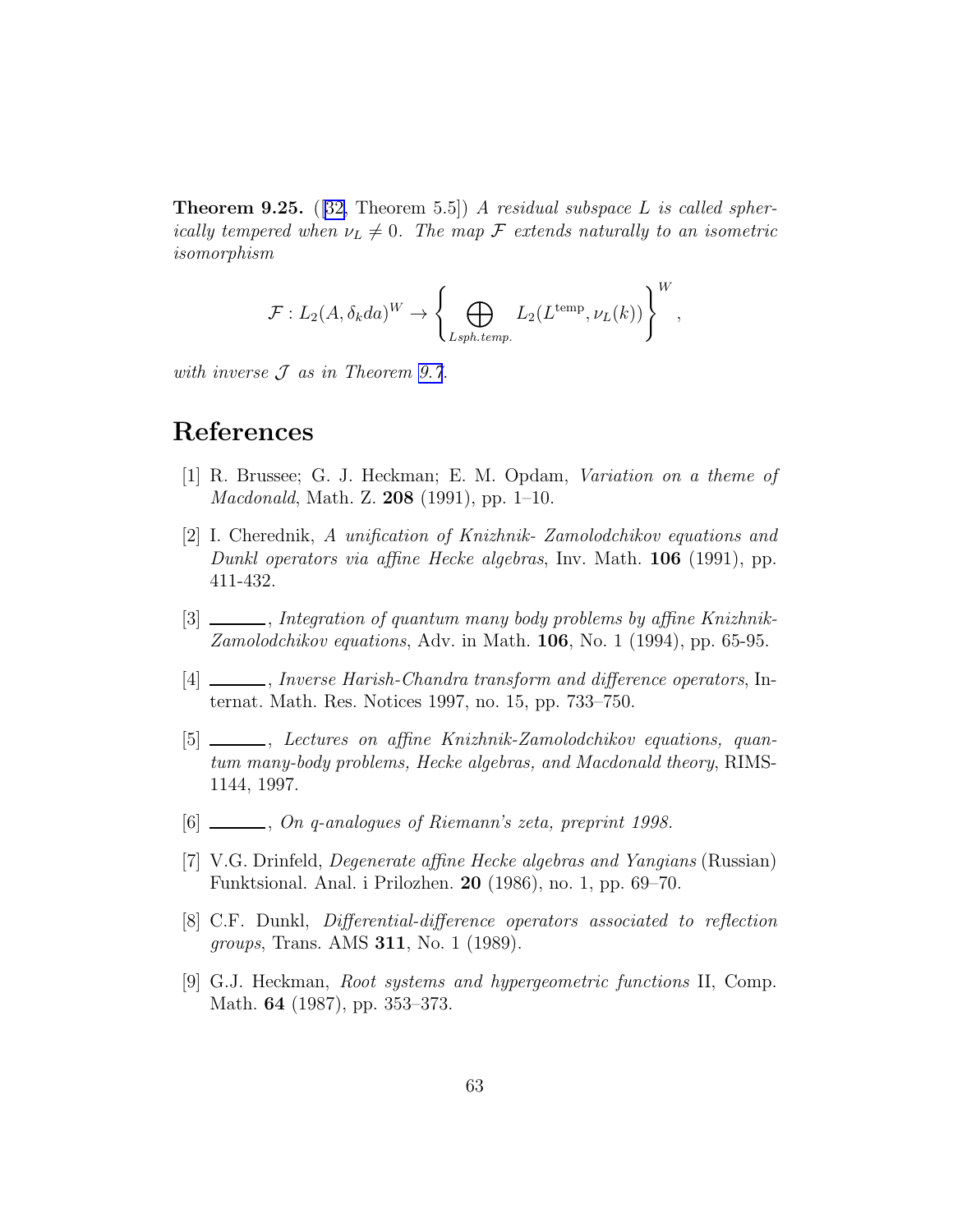<span id="page-63-0"></span>**Theorem 9.25.** ([\[32,](#page-65-0) Theorem 5.5]) A residual subspace L is called spherically tempered when  $\nu_L \neq 0$ . The map F extends naturally to an isometric isomorphism

$$
\mathcal{F}: L_2(A, \delta_k da)^W \to \left\{ \bigoplus_{Lsph. temp.} L_2(L^{temp}, \nu_L(k)) \right\}^W,
$$

with inverse  $J$  as in Theorem [9.7](#page-56-0).

# References

- [1] R. Brussee; G. J. Heckman; E. M. Opdam, Variation on a theme of Macdonald, Math. Z. 208 (1991), pp. 1–10.
- [2] I. Cherednik, A unification of Knizhnik- Zamolodchikov equations and Dunkl operators via affine Hecke algebras, Inv. Math. 106 (1991), pp. 411-432.
- [3]  $\ldots$ , Integration of quantum many body problems by affine Knizhnik- $Zamolodchikov equations, Adv. in Math. 106, No. 1 (1994), pp. 65-95.$
- [4] , Inverse Harish-Chandra transform and difference operators, Internat. Math. Res. Notices 1997, no. 15, pp. 733–750.
- [5]  $\_\_\_\_\_\$ , Lectures on affine Knizhnik-Zamolodchikov equations, quantum many-body problems, Hecke algebras, and Macdonald theory, RIMS-1144, 1997.
- [6]  $\ldots$ , On q-analogues of Riemann's zeta, preprint 1998.
- [7] V.G. Drinfeld, Degenerate affine Hecke algebras and Yangians (Russian) Funktsional. Anal. i Prilozhen. 20 (1986), no. 1, pp. 69–70.
- [8] C.F. Dunkl, Differential-difference operators associated to reflection groups, Trans. AMS 311, No. 1 (1989).
- [9] G.J. Heckman, Root systems and hypergeometric functions II, Comp. Math. 64 (1987), pp. 353–373.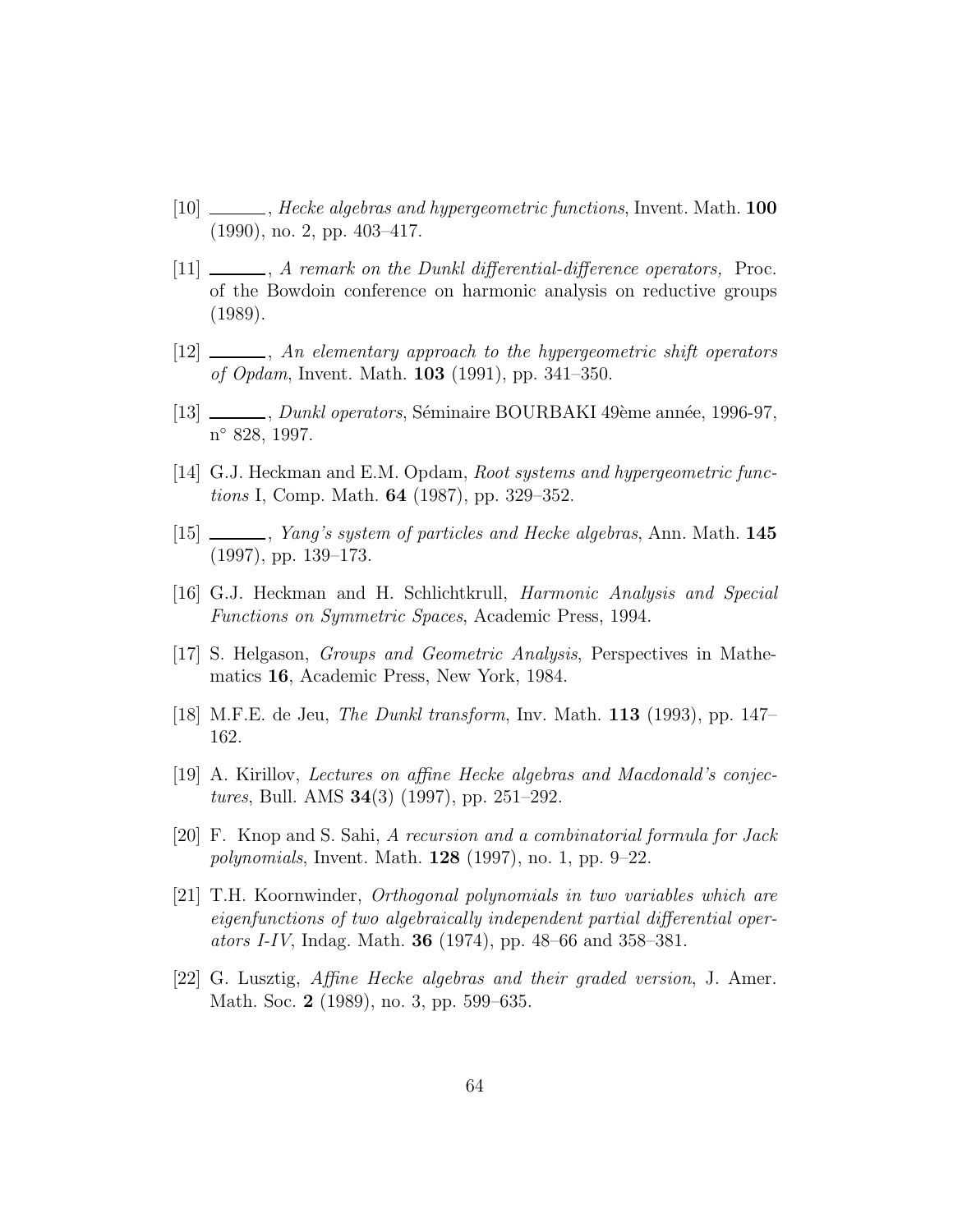- <span id="page-64-0"></span>[10] \_\_\_\_\_, *Hecke algebras and hypergeometric functions*, Invent. Math. **100** (1990), no. 2, pp. 403–417.
- $[11]$   $\_\_\_\_\_$ , A remark on the Dunkl differential-difference operators, Proc. of the Bowdoin conference on harmonic analysis on reductive groups (1989).
- $[12]$   $\_\_\_\_\_$ , An elementary approach to the hypergeometric shift operators of Opdam, Invent. Math. 103 (1991), pp. 341–350.
- [13] *Leonardors*, Séminaire BOURBAKI 49ème année, 1996-97, n ◦ 828, 1997.
- [14] G.J. Heckman and E.M. Opdam, Root systems and hypergeometric functions I, Comp. Math. 64 (1987), pp. 329–352.
- [15] , *Yang's system of particles and Hecke algebras*, Ann. Math. **145** (1997), pp. 139–173.
- [16] G.J. Heckman and H. Schlichtkrull, Harmonic Analysis and Special Functions on Symmetric Spaces, Academic Press, 1994.
- [17] S. Helgason, Groups and Geometric Analysis, Perspectives in Mathematics 16, Academic Press, New York, 1984.
- [18] M.F.E. de Jeu, The Dunkl transform, Inv. Math. 113 (1993), pp. 147– 162.
- $[19]$  A. Kirillov, Lectures on affine Hecke algebras and Macdonald's conjectures, Bull. AMS 34(3) (1997), pp. 251–292.
- [20] F. Knop and S. Sahi, A recursion and a combinatorial formula for Jack polynomials, Invent. Math. 128 (1997), no. 1, pp. 9–22.
- [21] T.H. Koornwinder, Orthogonal polynomials in two variables which are eigenfunctions of two algebraically independent partial differential operators I-IV, Indag. Math. 36 (1974), pp. 48–66 and 358–381.
- [22] G. Lusztig, Affine Hecke algebras and their graded version, J. Amer. Math. Soc. 2 (1989), no. 3, pp. 599–635.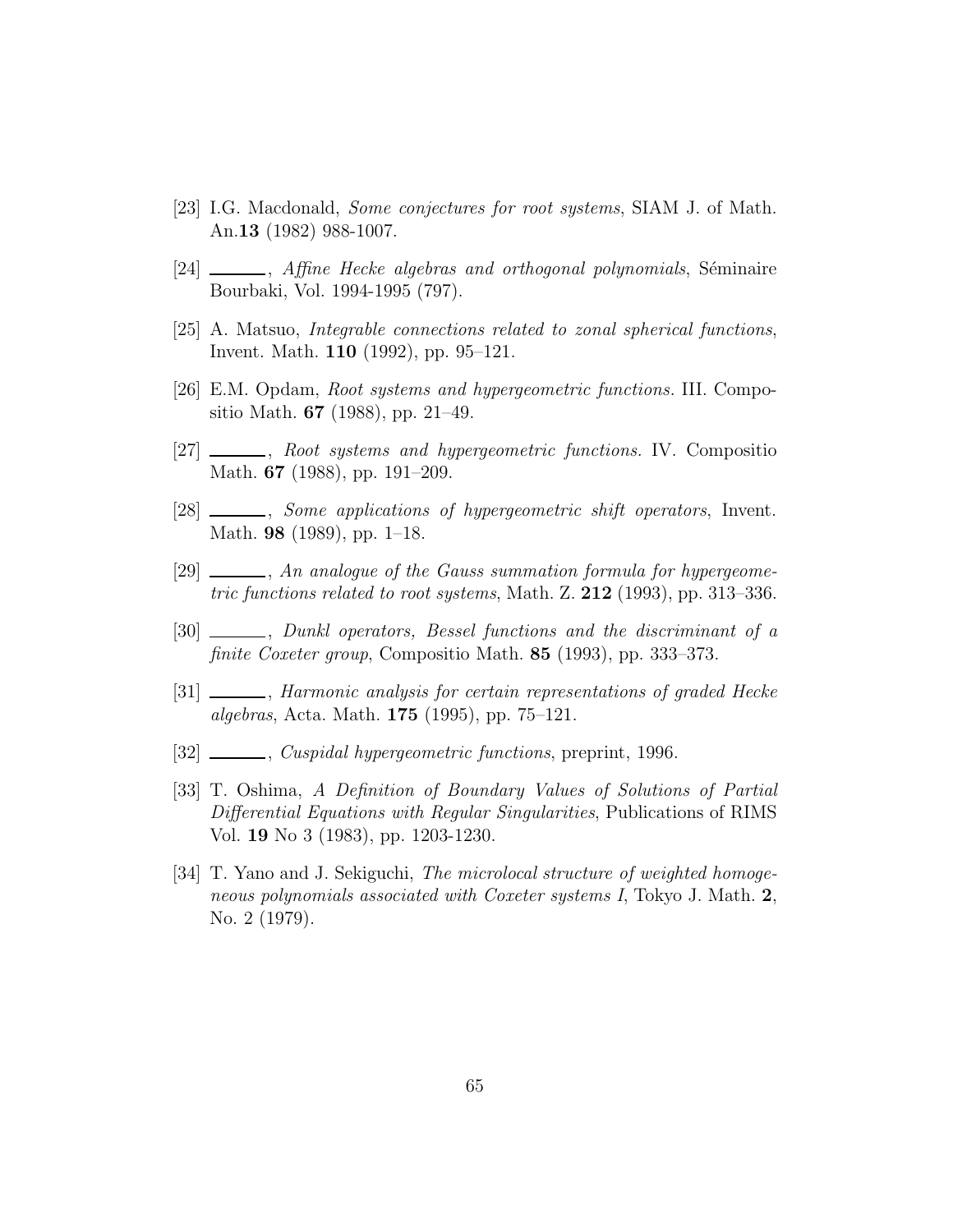- <span id="page-65-0"></span>[23] I.G. Macdonald, Some conjectures for root systems, SIAM J. of Math. An.13 (1982) 988-1007.
- $[24]$   $\_\_\_\_\$ n, Affine Hecke algebras and orthogonal polynomials, Séminaire Bourbaki, Vol. 1994-1995 (797).
- [25] A. Matsuo, Integrable connections related to zonal spherical functions, Invent. Math. 110 (1992), pp. 95–121.
- [26] E.M. Opdam, Root systems and hypergeometric functions. III. Compositio Math. 67 (1988), pp. 21–49.
- $[27]$   $\_\_\_\_\_\$ n, Root systems and hypergeometric functions. IV. Composition Math. 67 (1988), pp. 191–209.
- [28] Some applications of hypergeometric shift operators, Invent. Math. 98 (1989), pp. 1–18.
- [29] \_\_\_\_, An analogue of the Gauss summation formula for hypergeometric functions related to root systems, Math. Z. 212 (1993), pp. 313–336.
- [30] \_\_\_\_\_, Dunkl operators, Bessel functions and the discriminant of a finite Coxeter group, Compositio Math. **85** (1993), pp. 333–373.
- [31] \_\_\_\_\_, Harmonic analysis for certain representations of graded Hecke algebras, Acta. Math. 175 (1995), pp. 75–121.
- [32] , Cuspidal hypergeometric functions, preprint, 1996.
- [33] T. Oshima, A Definition of Boundary Values of Solutions of Partial Differential Equations with Regular Singularities, Publications of RIMS Vol. 19 No 3 (1983), pp. 1203-1230.
- [34] T. Yano and J. Sekiguchi, The microlocal structure of weighted homogeneous polynomials associated with Coxeter systems I, Tokyo J. Math. 2, No. 2 (1979).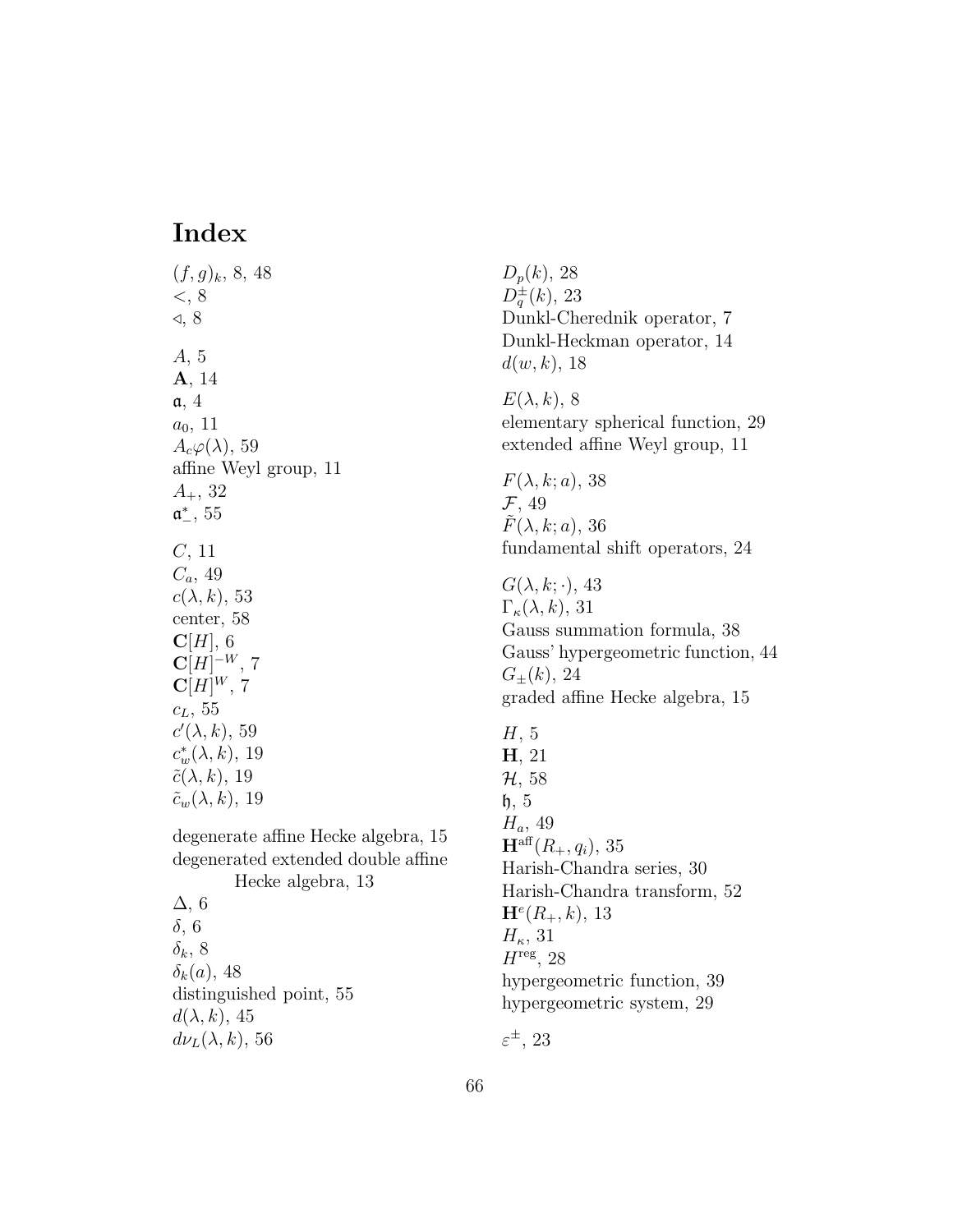# Index

 $(f, g)_k$ , 8, 48 <, 8 ⊳, 8 A, 5 A, 14 a, 4  $a_0$ , 11  $A_c\varphi(\lambda)$ , 59 affine Weyl group, 11  $A_+, 32$  $\mathfrak{a}^*_{-}, 55$ C, 11  $C_a$ , 49  $c(\lambda, k), 53$ center, 58  $\mathbf{C}[H], 6$  ${\bf C}[H]^{-W}, 7$  ${\bf C}[H]^W,$  7  $c_L$ , 55  $c'(\lambda,k),\,59$  $c_w^*(\lambda, k)$ , 19  $\tilde{c}(\lambda, k), 19$  $\tilde{c}_w(\lambda, k)$ , 19

degenerate affine Hecke algebra, 15 degenerated extended double affine Hecke algebra, 13 ∆, 6 δ, 6  $\delta_k$ , 8

 $\delta_k(a)$ , 48 distinguished point, 55  $d(\lambda, k)$ , 45  $d\nu_L(\lambda, k)$ , 56

 $D_p(k)$ , 28  $D_{q}^{\pm}(k)$ , 23 Dunkl-Cherednik operator, 7 Dunkl-Heckman operator, 14  $d(w, k)$ , 18  $E(\lambda, k)$ , 8 elementary spherical function, 29 extended affine Weyl group, 11  $F(\lambda, k; a)$ , 38 F, 49  $\tilde{F}(\lambda, k; a)$ , 36 fundamental shift operators, 24  $G(\lambda, k; \cdot), 43$  $\Gamma_{\kappa}(\lambda, k), 31$ Gauss summation formula, 38 Gauss' hypergeometric function, 44  $G_{\pm}(k)$ , 24 graded affine Hecke algebra, 15  $H, 5$ H, 21 H, 58  $\mathfrak{h}, 5$  $H_a$ , 49  $H^{\text{aff}}(R_{+}, q_{i}), 35$ Harish-Chandra series, 30 Harish-Chandra transform, 52  $H^e(R_+, k), 13$  $H_{\kappa}$ , 31  $H<sup>reg</sup>$ , 28 hypergeometric function, 39 hypergeometric system, 29

 $\varepsilon^\pm$ , 23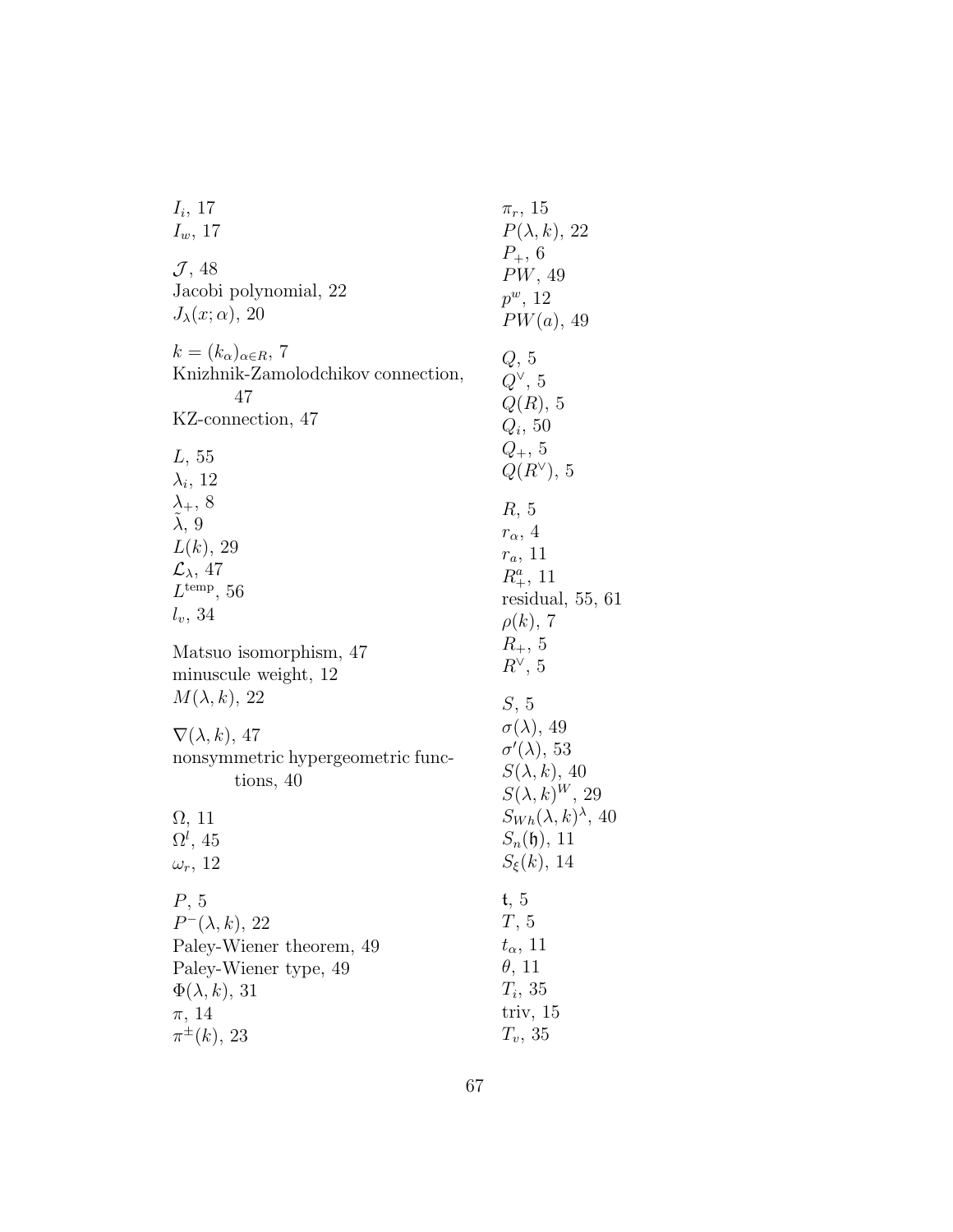| $I_i$ , 17                                                                                                                   | $\pi_r$ , 15                                                                                       |
|------------------------------------------------------------------------------------------------------------------------------|----------------------------------------------------------------------------------------------------|
| $I_w$ , 17                                                                                                                   | $P(\lambda, k), 22$                                                                                |
| $\mathcal{J}, 48$<br>Jacobi polynomial, 22<br>$J_{\lambda}(x;\alpha)$ , 20                                                   | $P_+$ , 6<br>PW, 49<br>$p^w$ , 12<br>PW(a), 49                                                     |
| $k=(k_{\alpha})_{\alpha\in R}, 7$                                                                                            | Q, 5                                                                                               |
| Knizhnik-Zamolodchikov connection,                                                                                           | $Q^{\vee}$ , 5                                                                                     |
| 47                                                                                                                           | Q(R), 5                                                                                            |
| KZ-connection, 47                                                                                                            | $Q_i$ , 50                                                                                         |
| L, 55                                                                                                                        | $Q_+, 5$                                                                                           |
| $\lambda_i$ , 12                                                                                                             | $Q(R^{\vee}), 5$                                                                                   |
| $\lambda_+, 8$<br>$\tilde{\lambda}, 9$<br>$L(k)$ , 29<br>$\mathcal{L}_{\lambda}, 47$<br>$L^{\text{temp}}$ , 56<br>$l_v$ , 34 | R, 5<br>$r_{\alpha}$ , 4<br>$r_a$ , 11<br>$R^a_+, 11$<br>residual, 55, 61<br>$\rho(k), 7$          |
| Matsuo isomorphism, 47                                                                                                       | $R_{+}, 5$                                                                                         |
| minuscule weight, 12                                                                                                         | $R^{\vee}$ , 5                                                                                     |
| $M(\lambda,k)$ , 22                                                                                                          | S, 5                                                                                               |
| $\nabla(\lambda, k), 47$<br>nonsymmetric hypergeometric func-<br>tions, 40                                                   | $\sigma(\lambda)$ , 49<br>$\sigma'(\lambda)$ , 53<br>$S(\lambda, k), 40$<br>$S(\lambda, k)^W$ , 29 |
| $\Omega$ , 11                                                                                                                | $S_{Wh}(\lambda, k)^{\lambda}$ , 40                                                                |
| $\Omega^{\iota}$ , 45                                                                                                        | $S_n(\mathfrak{h}), 11$                                                                            |
| $\omega_r$ , 12                                                                                                              | $S_{\xi}(k)$ , 14                                                                                  |
| P, 5                                                                                                                         | t, 5                                                                                               |
| $P^-(\lambda,k), 22$                                                                                                         | T, 5                                                                                               |
| Paley-Wiener theorem, 49                                                                                                     | $t_{\alpha}$ , 11                                                                                  |
| Paley-Wiener type, 49                                                                                                        | $\theta$ , 11                                                                                      |
| $\Phi(\lambda,k), 31$                                                                                                        | $T_i$ , 35                                                                                         |
| $\pi$ , 14                                                                                                                   | triv, $15$                                                                                         |
| $\pi^{\pm}(k)$ , 23                                                                                                          | $T_v$ , 35                                                                                         |